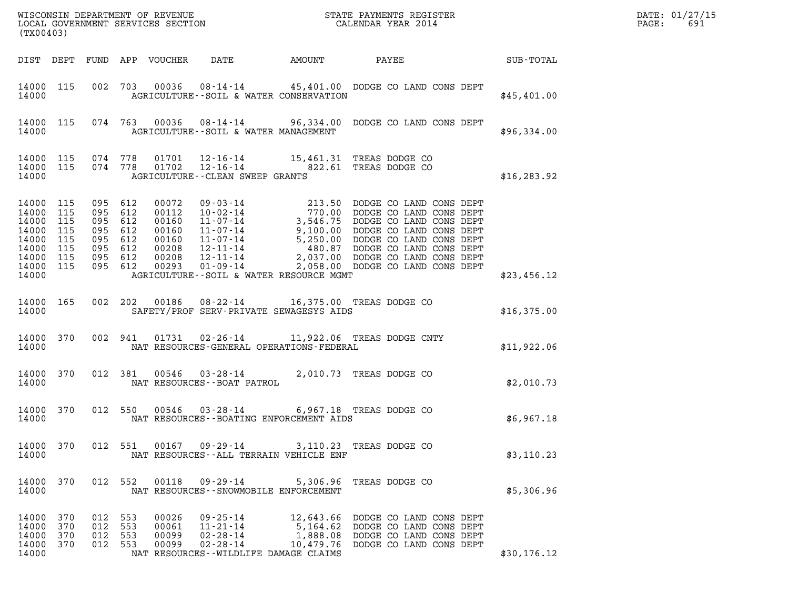| (TX00403)                                                                             |                                        |                                                                                      |            |                                                                      |                                                                                                                |                                   |                                                                                                                                                                                                                                                            | DATE: 01/27/15<br>$\mathtt{PAGE}$ :<br>691 |  |
|---------------------------------------------------------------------------------------|----------------------------------------|--------------------------------------------------------------------------------------|------------|----------------------------------------------------------------------|----------------------------------------------------------------------------------------------------------------|-----------------------------------|------------------------------------------------------------------------------------------------------------------------------------------------------------------------------------------------------------------------------------------------------------|--------------------------------------------|--|
|                                                                                       |                                        |                                                                                      |            | DIST DEPT FUND APP VOUCHER                                           | DATE                                                                                                           | AMOUNT                            | PAYEE SUB-TOTAL                                                                                                                                                                                                                                            |                                            |  |
| 14000 115<br>14000                                                                    |                                        |                                                                                      |            |                                                                      | AGRICULTURE--SOIL & WATER CONSERVATION                                                                         |                                   | 002 703 00036 08-14-14 45,401.00 DODGE CO LAND CONS DEPT                                                                                                                                                                                                   | \$45,401.00                                |  |
| 14000                                                                                 |                                        |                                                                                      |            |                                                                      | AGRICULTURE--SOIL & WATER MANAGEMENT                                                                           |                                   | 14000 115 074 763 00036 08-14-14 96,334.00 DODGE CO LAND CONS DEPT                                                                                                                                                                                         | \$96,334.00                                |  |
| 14000 115 074 778<br>14000 115<br>14000                                               |                                        | 074 778                                                                              |            |                                                                      | AGRICULTURE--CLEAN SWEEP GRANTS                                                                                |                                   | 01701  12-16-14  15,461.31 TREAS DODGE CO<br>01702  12-16-14  822.61 TREAS DODGE CO                                                                                                                                                                        | \$16, 283.92                               |  |
| 14000 115<br>14000<br>14000<br>14000<br>14000<br>14000<br>14000<br>14000 115<br>14000 | 115<br>115<br>115<br>115<br>115<br>115 | 095 612<br>095 612<br>095 612<br>095 612<br>095 612<br>095 612<br>095 612<br>095 612 |            | 00072<br>00112<br>00160<br>00160<br>00160<br>00208<br>00208<br>00293 | AGRICULTURE--SOIL & WATER RESOURCE MGMT                                                                        |                                   | 09 - 03 - 14<br>10 - 02 - 14<br>11 - 07 - 14<br>11 - 07 - 14<br>11 - 07 - 14<br>11 - 07 - 14<br>11 - 07 - 14<br>11 - 07 - 14<br>12 - 11 - 14<br>12 - 11 - 14<br>2,037.00<br>DODGE CO LAND CONS DEPT<br>12 - 11 - 14<br>2,037.00<br>DODGE CO LAND CONS DEPT | \$23,456.12                                |  |
| 14000 165<br>14000                                                                    |                                        |                                                                                      |            |                                                                      | SAFETY/PROF SERV-PRIVATE SEWAGESYS AIDS                                                                        |                                   | 002 202 00186 08-22-14 16,375.00 TREAS DODGE CO                                                                                                                                                                                                            | \$16,375.00                                |  |
| 14000 370<br>14000                                                                    |                                        |                                                                                      | 002 941    |                                                                      | NAT RESOURCES-GENERAL OPERATIONS-FEDERAL                                                                       |                                   | 01731  02-26-14  11,922.06  TREAS DODGE CNTY                                                                                                                                                                                                               | \$11,922.06                                |  |
| 14000 370<br>14000                                                                    |                                        |                                                                                      | 012 381    |                                                                      | NAT RESOURCES - - BOAT PATROL                                                                                  |                                   | 00546  03-28-14  2,010.73  TREAS DODGE CO                                                                                                                                                                                                                  | \$2,010.73                                 |  |
| 14000 370<br>14000                                                                    |                                        |                                                                                      |            |                                                                      | NAT RESOURCES - - BOATING ENFORCEMENT AIDS                                                                     |                                   | 012 550 00546 03-28-14 6,967.18 TREAS DODGE CO                                                                                                                                                                                                             | \$6,967.18                                 |  |
| 14000 370<br>14000                                                                    |                                        | 012 551                                                                              |            | 00167                                                                | 09 - 29 - 14<br>NAT RESOURCES -- ALL TERRAIN VEHICLE ENF                                                       |                                   | 3,110.23 TREAS DODGE CO                                                                                                                                                                                                                                    | \$3,110.23                                 |  |
| 14000 370<br>14000                                                                    |                                        | 012 552                                                                              |            | 00118                                                                | 09 - 29 - 14<br>NAT RESOURCES - - SNOWMOBILE ENFORCEMENT                                                       | 5,306.96                          | TREAS DODGE CO                                                                                                                                                                                                                                             | \$5,306.96                                 |  |
| 14000<br>14000<br>14000<br>14000<br>14000                                             | 370<br>370<br>370<br>370               | 012 553<br>012<br>012<br>012 553                                                     | 553<br>553 | 00026<br>00061<br>00099<br>00099                                     | $09 - 25 - 14$<br>$11 - 21 - 14$<br>$02 - 28 - 14$<br>$02 - 28 - 14$<br>NAT RESOURCES - WILDLIFE DAMAGE CLAIMS | 5,164.62<br>1,888.08<br>10,479.76 | 12,643.66 DODGE CO LAND CONS DEPT<br>DODGE CO LAND CONS DEPT<br>DODGE CO LAND CONS DEPT<br>DODGE CO LAND CONS DEPT                                                                                                                                         | \$30,176.12                                |  |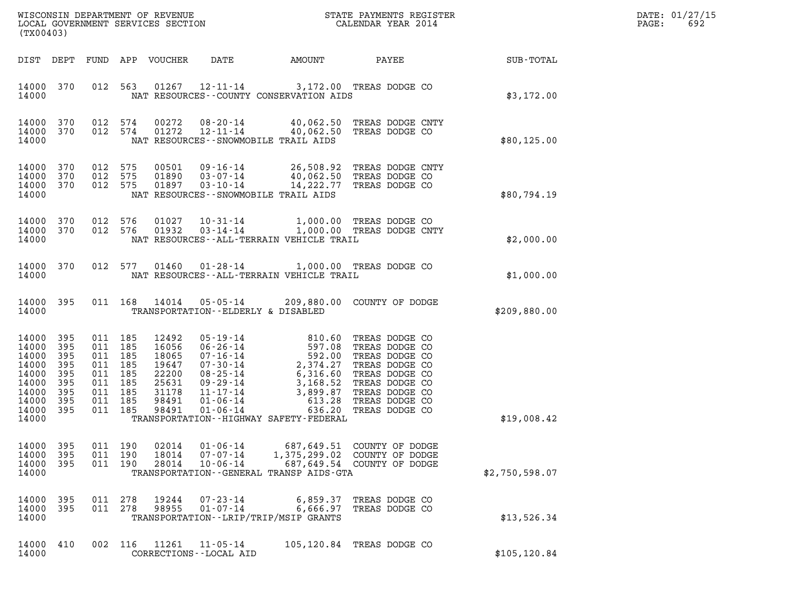| DATE: | 01/27/15 |
|-------|----------|
| PAGE: | 692      |

| WISCONSIN DEPARTMENT OF REVENUE<br>LOCAL GOVERNMENT SERVICES SECTION<br>(TX00403)      |                                                             |                                                                                  |                |                                                                               |                                                                            |                                                                                                                                                                                               | STATE PAYMENTS REGISTER<br>CALENDAR YEAR 2014                                                                                                                  |                | DATE: 01/27/15<br>PAGE:<br>692 |
|----------------------------------------------------------------------------------------|-------------------------------------------------------------|----------------------------------------------------------------------------------|----------------|-------------------------------------------------------------------------------|----------------------------------------------------------------------------|-----------------------------------------------------------------------------------------------------------------------------------------------------------------------------------------------|----------------------------------------------------------------------------------------------------------------------------------------------------------------|----------------|--------------------------------|
| DIST DEPT                                                                              |                                                             |                                                                                  |                | FUND APP VOUCHER                                                              | DATE                                                                       | AMOUNT                                                                                                                                                                                        | PAYEE                                                                                                                                                          | SUB-TOTAL      |                                |
| 14000 370<br>14000                                                                     |                                                             |                                                                                  | 012 563        |                                                                               |                                                                            | 01267  12-11-14  3,172.00  TREAS DODGE CO<br>NAT RESOURCES - - COUNTY CONSERVATION AIDS                                                                                                       |                                                                                                                                                                | \$3,172.00     |                                |
| 14000 370<br>14000<br>14000                                                            | 370                                                         | 012 574<br>012 574                                                               |                | 00272<br>01272                                                                | 08-20-14<br>12-11-14                                                       | 40,062.50 TREAS DODGE CO<br>NAT RESOURCES - - SNOWMOBILE TRAIL AIDS                                                                                                                           | 40,062.50 TREAS DODGE CNTY                                                                                                                                     | \$80,125.00    |                                |
| 14000<br>14000<br>14000<br>14000                                                       | 370<br>370<br>370                                           | 012 575<br>012 575<br>012 575                                                    |                | 00501<br>01890<br>01897                                                       | 09-16-14<br>$03 - 07 - 14$<br>$03 - 10 - 14$                               | NAT RESOURCES - - SNOWMOBILE TRAIL AIDS                                                                                                                                                       | 26,508.92 TREAS DODGE CNTY<br>40,062.50 TREAS DODGE CO<br>14,222.77 TREAS DODGE CO                                                                             | \$80,794.19    |                                |
| 14000<br>14000<br>14000                                                                | 370<br>370                                                  | 012 576<br>012 576                                                               |                | 01027<br>01932                                                                | $03 - 14 - 14$                                                             | NAT RESOURCES - - ALL - TERRAIN VEHICLE TRAIL                                                                                                                                                 | 10-31-14 1,000.00 TREAS DODGE CO<br>03-14-14 1,000.00 TREAS DODGE CNTY                                                                                         | \$2,000.00     |                                |
| 14000 370<br>14000                                                                     |                                                             |                                                                                  | 012 577        | 01460                                                                         |                                                                            | 01-28-14 1,000.00 TREAS DODGE CO<br>NAT RESOURCES - - ALL-TERRAIN VEHICLE TRAIL                                                                                                               |                                                                                                                                                                | \$1,000.00     |                                |
| 14000 395<br>14000                                                                     |                                                             |                                                                                  | 011 168        | 14014                                                                         | 05-05-14<br>TRANSPORTATION--ELDERLY & DISABLED                             |                                                                                                                                                                                               | 209,880.00 COUNTY OF DODGE                                                                                                                                     | \$209,880.00   |                                |
| 14000<br>14000<br>14000<br>14000<br>14000<br>14000<br>14000<br>14000<br>14000<br>14000 | 395<br>395<br>395<br>395<br>395<br>395<br>395<br>395<br>395 | 011 185<br>011 185<br>011 185<br>011 185<br>011 185<br>011<br>011 185<br>011 185 | 185<br>011 185 | 12492<br>16056<br>18065<br>19647<br>22200<br>25631<br>31178<br>98491<br>98491 | 05 - 19 - 14<br>06 - 26 - 14<br>07 - 16 - 14<br>07-30-14<br>$01 - 06 - 14$ | 810.60<br>597.08<br>592.00<br>2,374.27<br>6,316.60<br>08-25-14<br>09-29-14<br>09-29-14<br>11-17-14<br>3,899.87<br>01-06-14<br>613.28<br>636.20<br>TRANSPORTATION - - HIGHWAY SAFETY - FEDERAL | TREAS DODGE CO<br>TREAS DODGE CO<br>TREAS DODGE CO<br>TREAS DODGE CO<br>TREAS DODGE CO<br>TREAS DODGE CO<br>TREAS DODGE CO<br>TREAS DODGE CO<br>TREAS DODGE CO | \$19,008.42    |                                |
| 14000<br>14000<br>14000<br>14000                                                       | 395<br>395<br>395                                           | 011 190<br>011 190                                                               | 011 190        | 02014<br>18014<br>28014                                                       | $01 - 06 - 14$<br>$07 - 07 - 14$<br>$10 - 06 - 14$                         | 1,375,299.02<br>TRANSPORTATION - - GENERAL TRANSP AIDS - GTA                                                                                                                                  | 687,649.51 COUNTY OF DODGE<br>COUNTY OF DODGE<br>687,649.54 COUNTY OF DODGE                                                                                    | \$2,750,598.07 |                                |
| 14000<br>14000<br>14000                                                                | 395<br>395                                                  | 011 278<br>011 278                                                               |                | 19244<br>98955                                                                | $07 - 23 - 14$<br>$01 - 07 - 14$                                           | 6,859.37<br>6,666.97<br>TRANSPORTATION - - LRIP/TRIP/MSIP GRANTS                                                                                                                              | TREAS DODGE CO<br>TREAS DODGE CO                                                                                                                               | \$13,526.34    |                                |
| 14000<br>14000                                                                         | 410                                                         |                                                                                  | 002 116        | 11261                                                                         | $11 - 05 - 14$<br>CORRECTIONS - - LOCAL AID                                | 105,120.84                                                                                                                                                                                    | TREAS DODGE CO                                                                                                                                                 | \$105, 120.84  |                                |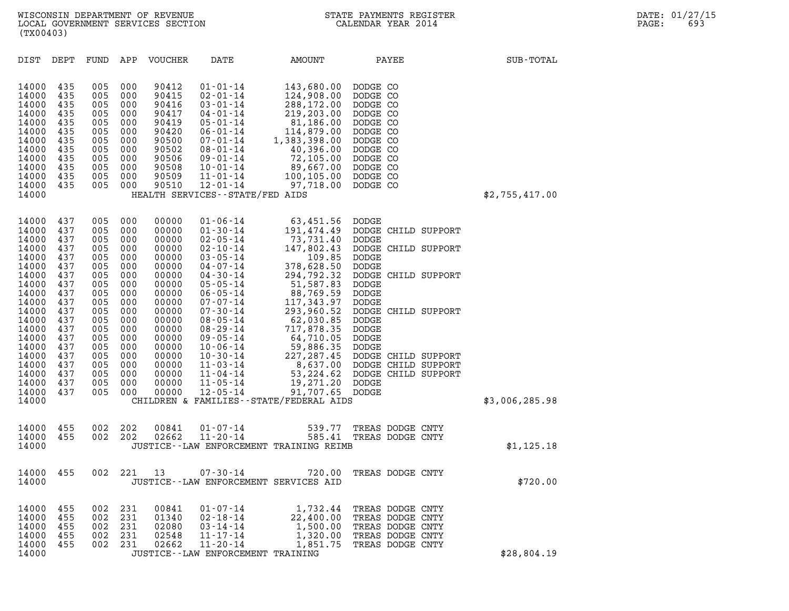| (TX00403)                                                                                                                                                                                                                                                                                                                             |                                                                                                                                                                                                                                                                                                                                                                                                                                                                          |                                                                                                                                                                                                                                                                                                                                                                      |                                                                                                                                                                                                                                                                                         |                                                                                                                                                                                                                                                                                                        |                |
|---------------------------------------------------------------------------------------------------------------------------------------------------------------------------------------------------------------------------------------------------------------------------------------------------------------------------------------|--------------------------------------------------------------------------------------------------------------------------------------------------------------------------------------------------------------------------------------------------------------------------------------------------------------------------------------------------------------------------------------------------------------------------------------------------------------------------|----------------------------------------------------------------------------------------------------------------------------------------------------------------------------------------------------------------------------------------------------------------------------------------------------------------------------------------------------------------------|-----------------------------------------------------------------------------------------------------------------------------------------------------------------------------------------------------------------------------------------------------------------------------------------|--------------------------------------------------------------------------------------------------------------------------------------------------------------------------------------------------------------------------------------------------------------------------------------------------------|----------------|
| DIST<br>DEPT                                                                                                                                                                                                                                                                                                                          | FUND<br>APP<br>VOUCHER                                                                                                                                                                                                                                                                                                                                                                                                                                                   | DATE                                                                                                                                                                                                                                                                                                                                                                 | AMOUNT                                                                                                                                                                                                                                                                                  | PAYEE                                                                                                                                                                                                                                                                                                  | SUB-TOTAL      |
| 14000<br>435<br>14000<br>435<br>14000<br>435<br>14000<br>435<br>14000<br>435<br>14000<br>435<br>14000<br>435<br>14000<br>435<br>14000<br>435<br>435<br>14000<br>14000<br>435<br>435<br>14000<br>14000                                                                                                                                 | 005<br>000<br>90412<br>005<br>000<br>90415<br>005<br>000<br>90416<br>005<br>000<br>90417<br>90419<br>005<br>000<br>005<br>000<br>90420<br>000<br>90500<br>005<br>005<br>000<br>90502<br>90506<br>005<br>000<br>005<br>000<br>90508<br>90509<br>005<br>000<br>005<br>90510<br>000                                                                                                                                                                                         | $01 - 01 - 14$<br>$02 - 01 - 14$<br>$03 - 01 - 14$<br>$04 - 01 - 14$<br>$05 - 01 - 14$<br>$06 - 01 - 14$<br>$07 - 01 - 14$<br>$08 - 01 - 14$<br>$09 - 01 - 14$<br>$10 - 01 - 14$<br>$11 - 01 - 14$<br>$12 - 01 - 14$<br>HEALTH SERVICES - - STATE/FED AIDS                                                                                                           | 143,680.00<br>124,908.00<br>288,172.00<br>219,203.00<br>81,186.00<br>114,879.00<br>1,383,398.00<br>40,396.00<br>72,105.00<br>89,667.00<br>100,105.00<br>97,718.00                                                                                                                       | DODGE CO<br>DODGE CO<br>DODGE CO<br>DODGE CO<br>DODGE CO<br>DODGE CO<br>DODGE CO<br>DODGE CO<br>DODGE CO<br>DODGE CO<br>DODGE CO<br>DODGE CO                                                                                                                                                           | \$2,755,417.00 |
| 437<br>14000<br>437<br>14000<br>14000<br>437<br>14000<br>437<br>14000<br>437<br>14000<br>437<br>14000<br>437<br>14000<br>437<br>14000<br>437<br>14000<br>437<br>14000<br>437<br>14000<br>437<br>14000<br>437<br>14000<br>437<br>14000<br>437<br>14000<br>437<br>14000<br>437<br>437<br>14000<br>437<br>14000<br>437<br>14000<br>14000 | 000<br>00000<br>005<br>000<br>00000<br>005<br>005<br>000<br>00000<br>005<br>000<br>00000<br>005<br>000<br>00000<br>005<br>000<br>00000<br>005<br>000<br>00000<br>005<br>000<br>00000<br>005<br>000<br>00000<br>005<br>000<br>00000<br>005<br>000<br>00000<br>005<br>000<br>00000<br>005<br>000<br>00000<br>005<br>000<br>00000<br>005<br>000<br>00000<br>005<br>000<br>00000<br>005<br>000<br>00000<br>005<br>000<br>00000<br>005<br>000<br>00000<br>00000<br>005<br>000 | $01 - 06 - 14$<br>$01 - 30 - 14$<br>$02 - 05 - 14$<br>$02 - 10 - 14$<br>$03 - 05 - 14$<br>$04 - 07 - 14$<br>$04 - 30 - 14$<br>$05 - 05 - 14$<br>$06 - 05 - 14$<br>$07 - 07 - 14$<br>$07 - 30 - 14$<br>$08 - 05 - 14$<br>$08 - 29 - 14$<br>$09 - 05 - 14$<br>$10 - 06 - 14$<br>$10 - 30 - 14$<br>$11 - 03 - 14$<br>$11 - 04 - 14$<br>$11 - 05 - 14$<br>$12 - 05 - 14$ | 63,451.56<br>191,474.49<br>73,731.40<br>147,802.43<br>109.85<br>378,628.50<br>294,792.32<br>51,587.83<br>88,769.59<br>117,343.97<br>293,960.52<br>62,030.85<br>717,878.35<br>64,710.05<br>59,886.35<br>227, 287.45<br>19,271.20<br>91,707.65<br>CHILDREN & FAMILIES--STATE/FEDERAL AIDS | DODGE<br>DODGE CHILD SUPPORT<br>DODGE<br>DODGE CHILD SUPPORT<br>DODGE<br>DODGE<br>DODGE CHILD SUPPORT<br>DODGE<br>DODGE<br>DODGE<br>DODGE CHILD SUPPORT<br>DODGE<br>DODGE<br>DODGE<br>DODGE<br>DODGE CHILD SUPPORT<br>8,637.00 DODGE CHILD SUPPORT<br>53, 224.62 DODGE CHILD SUPPORT<br>DODGE<br>DODGE | \$3,006,285.98 |
| 455<br>14000<br>14000<br>455<br>14000                                                                                                                                                                                                                                                                                                 | 002<br>202<br>00841<br>002<br>202<br>02662                                                                                                                                                                                                                                                                                                                                                                                                                               | $01 - 07 - 14$<br>$11 - 20 - 14$                                                                                                                                                                                                                                                                                                                                     | 539.77<br>585.41<br>JUSTICE -- LAW ENFORCEMENT TRAINING REIMB                                                                                                                                                                                                                           | TREAS DODGE CNTY<br>TREAS DODGE CNTY                                                                                                                                                                                                                                                                   | \$1, 125.18    |
| 455<br>14000<br>14000                                                                                                                                                                                                                                                                                                                 | 002<br>221<br>13                                                                                                                                                                                                                                                                                                                                                                                                                                                         | $07 - 30 - 14$                                                                                                                                                                                                                                                                                                                                                       | 720.00<br>JUSTICE -- LAW ENFORCEMENT SERVICES AID                                                                                                                                                                                                                                       | TREAS DODGE CNTY                                                                                                                                                                                                                                                                                       | \$720.00       |
| 14000<br>455<br>14000<br>455<br>14000<br>455<br>14000<br>455<br>14000<br>455<br>14000                                                                                                                                                                                                                                                 | 002<br>231<br>00841<br>002<br>231<br>01340<br>002<br>231<br>02080<br>002<br>231<br>02548<br>002<br>231<br>02662                                                                                                                                                                                                                                                                                                                                                          | $01 - 07 - 14$<br>$02 - 18 - 14$<br>$03 - 14 - 14$<br>$11 - 17 - 14$<br>$11 - 20 - 14$<br>JUSTICE - - LAW ENFORCEMENT TRAINING                                                                                                                                                                                                                                       | 1,732.44<br>22,400.00<br>1,500.00<br>1,320.00<br>1,851.75                                                                                                                                                                                                                               | TREAS DODGE CNTY<br>TREAS DODGE CNTY<br>TREAS DODGE CNTY<br>TREAS DODGE CNTY<br>TREAS DODGE CNTY                                                                                                                                                                                                       | \$28,804.19    |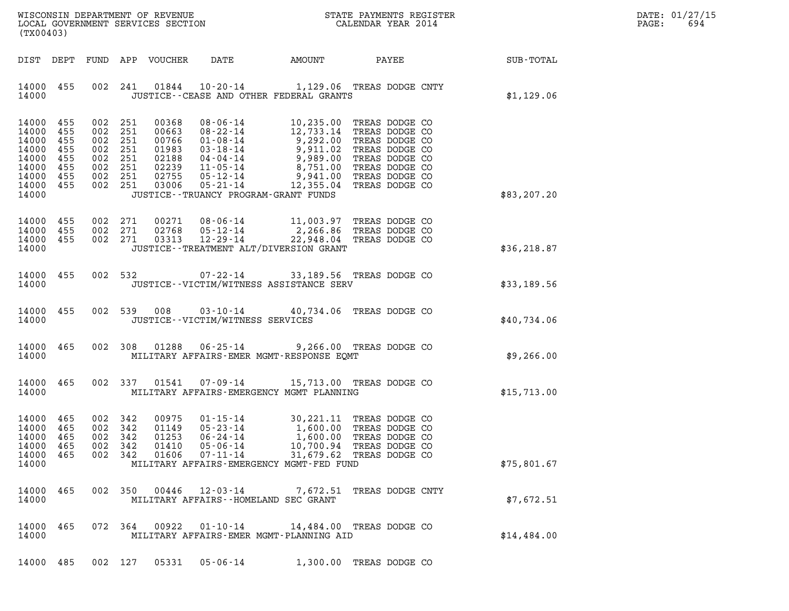|                   | DATE: 01/27/15 |
|-------------------|----------------|
| $\mathtt{PAGE}$ : | 694            |

| (TX00403)                                                                                 |                                 |                               |                                                                                      |                                           |                                                                            |                                                                                             |                                                                                                                                                                                                                                         | DATE: 01/27/15<br>$\mathtt{PAGE}$ :<br>694 |  |
|-------------------------------------------------------------------------------------------|---------------------------------|-------------------------------|--------------------------------------------------------------------------------------|-------------------------------------------|----------------------------------------------------------------------------|---------------------------------------------------------------------------------------------|-----------------------------------------------------------------------------------------------------------------------------------------------------------------------------------------------------------------------------------------|--------------------------------------------|--|
|                                                                                           | DIST DEPT                       |                               |                                                                                      | FUND APP VOUCHER                          | DATE                                                                       | AMOUNT                                                                                      |                                                                                                                                                                                                                                         | PAYEE SUB-TOTAL                            |  |
| 14000 455<br>14000                                                                        |                                 |                               |                                                                                      |                                           |                                                                            | JUSTICE -- CEASE AND OTHER FEDERAL GRANTS                                                   | 002 241 01844 10-20-14 1,129.06 TREAS DODGE CNTY                                                                                                                                                                                        | \$1,129.06                                 |  |
| 14000 455<br>14000<br>14000<br>14000<br>14000<br>14000<br>14000 455<br>14000 455<br>14000 | 455<br>455<br>455<br>455<br>455 |                               | 002 251<br>002 251<br>002 251<br>002 251<br>002 251<br>002 251<br>002 251<br>002 251 |                                           |                                                                            | JUSTICE - - TRUANCY PROGRAM - GRANT FUNDS                                                   | 00368 08-06-14 10,235.00 TREAS DODGE CO<br>00663 08-22-14 12,733.14 TREAS DODGE CO<br>00766 01-08-14 9,292.00 TREAS DODGE CO<br>01983 03-18-14 9,911.02 TREAS DODGE CO<br>02188 04-04-14 9,989.00 TREAS DODGE CO<br>02239 11-05-14 8,75 | \$83,207.20                                |  |
| 14000 455<br>14000 455<br>14000 455<br>14000                                              |                                 |                               | 002 271<br>002 271<br>002 271                                                        |                                           |                                                                            | JUSTICE - - TREATMENT ALT/DIVERSION GRANT                                                   | 00271 08-06-14 11,003.97 TREAS DODGE CO<br>02768 05-12-14 2,266.86 TREAS DODGE CO<br>03313 12-29-14 22,948.04 TREAS DODGE CO                                                                                                            | \$36, 218.87                               |  |
| 14000 455<br>14000                                                                        |                                 |                               |                                                                                      |                                           |                                                                            | JUSTICE - - VICTIM/WITNESS ASSISTANCE SERV                                                  | 002 532 07-22-14 33,189.56 TREAS DODGE CO                                                                                                                                                                                               | \$33,189.56                                |  |
| 14000 455<br>14000                                                                        |                                 |                               |                                                                                      |                                           | JUSTICE - - VICTIM/WITNESS SERVICES                                        |                                                                                             | 002 539 008 03-10-14 40,734.06 TREAS DODGE CO                                                                                                                                                                                           | \$40,734.06                                |  |
| 14000 465<br>14000                                                                        |                                 |                               |                                                                                      |                                           |                                                                            | MILITARY AFFAIRS-EMER MGMT-RESPONSE EQMT                                                    | 002 308 01288 06-25-14 9,266.00 TREAS DODGE CO                                                                                                                                                                                          | \$9,266.00                                 |  |
| 14000 465<br>14000                                                                        |                                 |                               |                                                                                      |                                           |                                                                            | 002 337 01541 07-09-14 15,713.00 TREAS DODGE CO<br>MILITARY AFFAIRS-EMERGENCY MGMT PLANNING |                                                                                                                                                                                                                                         | \$15,713.00                                |  |
| 14000 465<br>14000 465<br>14000<br>14000<br>14000<br>14000                                | 465<br>465<br>465               | 002 342<br>002 342<br>002 342 | 002 342<br>002 342                                                                   | 00975<br>01149<br>01253<br>01410<br>01606 | $01 - 15 - 14$<br>$05 - 23 - 14$<br>06-24-14<br>$05 - 06 - 14$<br>07-11-14 | MILITARY AFFAIRS-EMERGENCY MGMT-FED FUND                                                    | 30,221.11 TREAS DODGE CO<br>1,600.00 TREAS DODGE CO<br>1,600.00 TREAS DODGE CO<br>10,700.94 TREAS DODGE CO<br>31,679.62 TREAS DODGE CO                                                                                                  | \$75,801.67                                |  |
| 14000 465<br>14000                                                                        |                                 |                               | 002 350                                                                              |                                           | 00446 12-03-14                                                             | MILITARY AFFAIRS -- HOMELAND SEC GRANT                                                      | 7,672.51 TREAS DODGE CNTY                                                                                                                                                                                                               | \$7,672.51                                 |  |
| 14000<br>14000                                                                            | 465                             |                               | 072 364                                                                              | 00922                                     | 01-10-14                                                                   | MILITARY AFFAIRS-EMER MGMT-PLANNING AID                                                     | 14,484.00 TREAS DODGE CO                                                                                                                                                                                                                | \$14,484.00                                |  |
| 14000 485                                                                                 |                                 |                               |                                                                                      |                                           |                                                                            | 002 127 05331 05-06-14 1,300.00 TREAS DODGE CO                                              |                                                                                                                                                                                                                                         |                                            |  |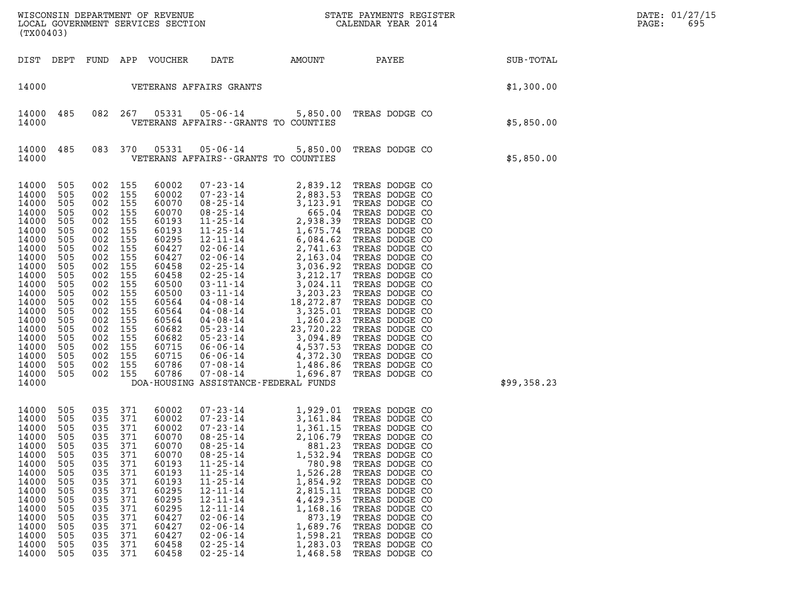| (TX00403)                                                                                                                                                                                                                                                                                                                                                             |                                                                                                                                                        |                                                                                                                                                        |                                                                                                                                                                                                    |                                                                                                                                                                                                                                                                                        |                                                                                                                                                                            |                                                                                                                                                                                                                                                                                                                                           |             | DATE: 01/27/15<br>PAGE:<br>695 |
|-----------------------------------------------------------------------------------------------------------------------------------------------------------------------------------------------------------------------------------------------------------------------------------------------------------------------------------------------------------------------|--------------------------------------------------------------------------------------------------------------------------------------------------------|--------------------------------------------------------------------------------------------------------------------------------------------------------|----------------------------------------------------------------------------------------------------------------------------------------------------------------------------------------------------|----------------------------------------------------------------------------------------------------------------------------------------------------------------------------------------------------------------------------------------------------------------------------------------|----------------------------------------------------------------------------------------------------------------------------------------------------------------------------|-------------------------------------------------------------------------------------------------------------------------------------------------------------------------------------------------------------------------------------------------------------------------------------------------------------------------------------------|-------------|--------------------------------|
| DIST DEPT FUND APP VOUCHER                                                                                                                                                                                                                                                                                                                                            |                                                                                                                                                        |                                                                                                                                                        |                                                                                                                                                                                                    | DATE                                                                                                                                                                                                                                                                                   |                                                                                                                                                                            | AMOUNT PAYEE                                                                                                                                                                                                                                                                                                                              | SUB-TOTAL   |                                |
| 14000                                                                                                                                                                                                                                                                                                                                                                 |                                                                                                                                                        |                                                                                                                                                        |                                                                                                                                                                                                    | VETERANS AFFAIRS GRANTS                                                                                                                                                                                                                                                                |                                                                                                                                                                            |                                                                                                                                                                                                                                                                                                                                           | \$1,300.00  |                                |
| 14000<br>485<br>14000                                                                                                                                                                                                                                                                                                                                                 |                                                                                                                                                        | 082 267                                                                                                                                                | 05331                                                                                                                                                                                              | VETERANS AFFAIRS -- GRANTS TO COUNTIES                                                                                                                                                                                                                                                 |                                                                                                                                                                            | 05-06-14 5,850.00 TREAS DODGE CO                                                                                                                                                                                                                                                                                                          | \$5,850.00  |                                |
| 485<br>14000<br>14000                                                                                                                                                                                                                                                                                                                                                 |                                                                                                                                                        | 083 370                                                                                                                                                | 05331                                                                                                                                                                                              | VETERANS AFFAIRS -- GRANTS TO COUNTIES                                                                                                                                                                                                                                                 |                                                                                                                                                                            | 05-06-14 5,850.00 TREAS DODGE CO                                                                                                                                                                                                                                                                                                          | \$5,850.00  |                                |
| 14000<br>505<br>14000<br>505<br>14000<br>505<br>14000<br>505<br>14000<br>505<br>14000<br>505<br>14000<br>505<br>14000<br>505<br>14000<br>505<br>14000<br>505<br>14000<br>505<br>14000<br>505<br>14000<br>505<br>14000<br>505<br>14000<br>505<br>14000<br>505<br>14000<br>505<br>14000<br>505<br>14000<br>505<br>14000<br>505<br>14000<br>505<br>14000<br>505<br>14000 | 002<br>002<br>002<br>002<br>002<br>002<br>002<br>002<br>002<br>002<br>002<br>002<br>002<br>002<br>002<br>002<br>002<br>002<br>002<br>002<br>002<br>002 | 155<br>155<br>155<br>155<br>155<br>155<br>155<br>155<br>155<br>155<br>155<br>155<br>155<br>155<br>155<br>155<br>155<br>155<br>155<br>155<br>155<br>155 | 60002<br>60002<br>60070<br>60070<br>60193<br>60193<br>60295<br>60427<br>60427<br>60458<br>60458<br>60500<br>60500<br>60564<br>60564<br>60564<br>60682<br>60682<br>60715<br>60715<br>60786<br>60786 | $07 - 08 - 14$<br>DOA-HOUSING ASSISTANCE-FEDERAL FUNDS                                                                                                                                                                                                                                 | 1,696.87                                                                                                                                                                   | TREAS DODGE CO                                                                                                                                                                                                                                                                                                                            | \$99,358.23 |                                |
| 14000<br>505<br>14000<br>505<br>14000<br>505<br>14000<br>505<br>14000<br>505<br>14000<br>505<br>14000<br>505<br>14000<br>505<br>14000<br>505<br>14000<br>505<br>14000<br>505<br>14000<br>505<br>14000<br>505<br>14000<br>505<br>14000<br>505<br>14000<br>505<br>14000<br>505                                                                                          | 035<br>035<br>035<br>035<br>035<br>035<br>035<br>035<br>035<br>035<br>035<br>035<br>035<br>035<br>035<br>035<br>035                                    | 371<br>371<br>371<br>371<br>371<br>371<br>371<br>371<br>371<br>371<br>371<br>371<br>371<br>371<br>371<br>371<br>371                                    | 60002<br>60002<br>60002<br>60070<br>60070<br>60070<br>60193<br>60193<br>60193<br>60295<br>60295<br>60295<br>60427<br>60427<br>60427<br>60458<br>60458                                              | 07-23-14<br>$07 - 23 - 14$<br>$08 - 25 - 14$<br>$08 - 25 - 14$<br>$08 - 25 - 14$<br>$11 - 25 - 14$<br>$11 - 25 - 14$<br>$11 - 25 - 14$<br>$12 - 11 - 14$<br>$12 - 11 - 14$<br>$12 - 11 - 14$<br>$02 - 06 - 14$<br>$02 - 06 - 14$<br>$02 - 06 - 14$<br>$02 - 25 - 14$<br>$02 - 25 - 14$ | 1,361.15<br>2,106.79<br>881.23<br>1,532.94<br>780.98<br>1,526.28<br>1,854.92<br>2,815.11<br>4,429.35<br>1,168.16<br>873.19<br>1,689.76<br>1,598.21<br>1,283.03<br>1,468.58 | 07-23-14 1,929.01 TREAS DODGE CO<br>3,161.84 TREAS DODGE CO<br>TREAS DODGE CO<br>TREAS DODGE CO<br>TREAS DODGE CO<br>TREAS DODGE CO<br>TREAS DODGE CO<br>TREAS DODGE CO<br>TREAS DODGE CO<br>TREAS DODGE CO<br>TREAS DODGE CO<br>TREAS DODGE CO<br>TREAS DODGE CO<br>TREAS DODGE CO<br>TREAS DODGE CO<br>TREAS DODGE CO<br>TREAS DODGE CO |             |                                |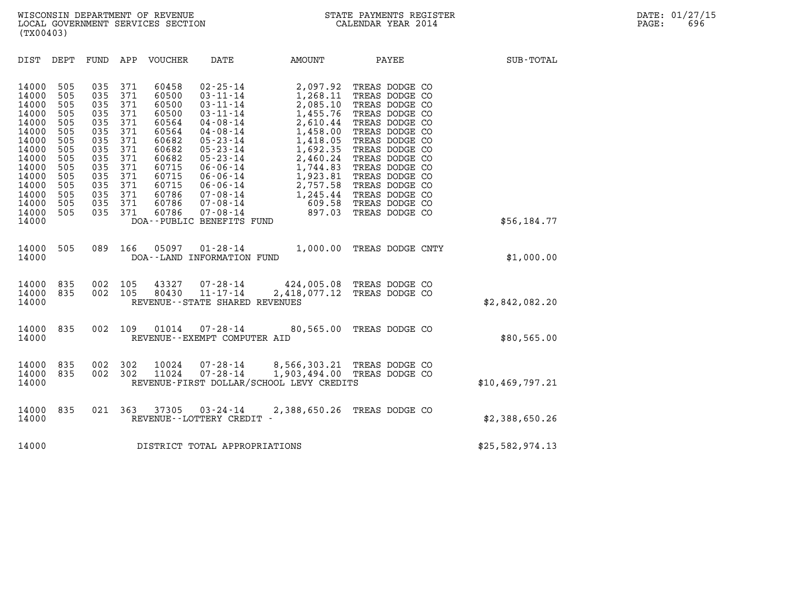| (TX00403)                                                                                                                                                                                                                                    |                                                                                                                                                                                                                                                             |                                                                                                                                                                                                                                                                                                                                                                      |                                                                                                                                                                              |                                                                                                                                                                                                                                                                            |                   |
|----------------------------------------------------------------------------------------------------------------------------------------------------------------------------------------------------------------------------------------------|-------------------------------------------------------------------------------------------------------------------------------------------------------------------------------------------------------------------------------------------------------------|----------------------------------------------------------------------------------------------------------------------------------------------------------------------------------------------------------------------------------------------------------------------------------------------------------------------------------------------------------------------|------------------------------------------------------------------------------------------------------------------------------------------------------------------------------|----------------------------------------------------------------------------------------------------------------------------------------------------------------------------------------------------------------------------------------------------------------------------|-------------------|
| DEPT<br>DIST                                                                                                                                                                                                                                 | APP<br>FUND                                                                                                                                                                                                                                                 | VOUCHER<br>DATE                                                                                                                                                                                                                                                                                                                                                      | AMOUNT                                                                                                                                                                       | PAYEE                                                                                                                                                                                                                                                                      | SUB-TOTAL         |
| 14000<br>505<br>14000<br>505<br>14000<br>505<br>14000<br>505<br>14000<br>505<br>14000<br>505<br>14000<br>505<br>14000<br>505<br>14000<br>505<br>14000<br>505<br>14000<br>505<br>14000<br>505<br>14000<br>505<br>14000<br>505<br>14000<br>505 | 035<br>371<br>60458<br>371<br>035<br>371<br>035<br>60500<br>371<br>035<br>371<br>035<br>035<br>371<br>371<br>035<br>035<br>371<br>035<br>371<br>035<br>371<br>60715<br>371<br>60715<br>035<br>371<br>035<br>60715<br>035<br>371<br>371<br>035<br>371<br>035 | $02 - 25 - 14$<br>60500<br>$03 - 11 - 14$<br>$03 - 11 - 14$<br>60500<br>$03 - 11 - 14$<br>60564<br>$04 - 08 - 14$<br>60564<br>$04 - 08 - 14$<br>60682<br>$05 - 23 - 14$<br>$05 - 23 - 14$<br>60682<br>60682<br>$05 - 23 - 14$<br>$06 - 06 - 14$<br>$06 - 06 - 14$<br>$06 - 06 - 14$<br>60786<br>$07 - 08 - 14$<br>60786<br>$07 - 08 - 14$<br>60786<br>$07 - 08 - 14$ | 2,097.92<br>1,268.11<br>2,085.10<br>1,455.76<br>2,610.44<br>1,458.00<br>1,418.05<br>1,692.35<br>2,460.24<br>1,744.83<br>1,923.81<br>2,757.58<br>1,245.44<br>609.58<br>897.03 | TREAS DODGE CO<br>TREAS DODGE CO<br>TREAS DODGE CO<br>TREAS DODGE CO<br>TREAS DODGE CO<br>TREAS DODGE CO<br>TREAS DODGE CO<br>TREAS DODGE CO<br>TREAS DODGE CO<br>TREAS DODGE CO<br>TREAS DODGE CO<br>TREAS DODGE CO<br>TREAS DODGE CO<br>TREAS DODGE CO<br>TREAS DODGE CO |                   |
| 14000                                                                                                                                                                                                                                        |                                                                                                                                                                                                                                                             | DOA--PUBLIC BENEFITS FUND                                                                                                                                                                                                                                                                                                                                            |                                                                                                                                                                              |                                                                                                                                                                                                                                                                            | \$56, 184.77      |
| 14000<br>505<br>14000                                                                                                                                                                                                                        | 089<br>166                                                                                                                                                                                                                                                  | 05097<br>$01 - 28 - 14$<br>DOA--LAND INFORMATION FUND                                                                                                                                                                                                                                                                                                                | 1,000.00                                                                                                                                                                     | TREAS DODGE CNTY                                                                                                                                                                                                                                                           | \$1,000.00        |
| 835<br>14000<br>14000<br>835<br>14000                                                                                                                                                                                                        | 002<br>105<br>002<br>105                                                                                                                                                                                                                                    | 43327<br>$07 - 28 - 14$<br>80430<br>$11 - 17 - 14$<br>REVENUE - - STATE SHARED REVENUES                                                                                                                                                                                                                                                                              | 2,418,077.12                                                                                                                                                                 | 424,005.08 TREAS DODGE CO<br>TREAS DODGE CO                                                                                                                                                                                                                                | \$2,842,082.20    |
| 835<br>14000<br>14000                                                                                                                                                                                                                        | 002<br>109                                                                                                                                                                                                                                                  | 01014<br>$07 - 28 - 14$<br>REVENUE--EXEMPT COMPUTER AID                                                                                                                                                                                                                                                                                                              | 80,565.00                                                                                                                                                                    | TREAS DODGE CO                                                                                                                                                                                                                                                             | \$80,565.00       |
| 14000<br>835<br>835<br>14000<br>14000                                                                                                                                                                                                        | 002<br>302<br>302<br>002                                                                                                                                                                                                                                    | 10024<br>$07 - 28 - 14$<br>$07 - 28 - 14$<br>11024<br>REVENUE-FIRST DOLLAR/SCHOOL LEVY CREDITS                                                                                                                                                                                                                                                                       | 8,566,303.21<br>1,903,494.00                                                                                                                                                 | TREAS DODGE CO<br>TREAS DODGE CO                                                                                                                                                                                                                                           | \$10, 469, 797.21 |
| 835<br>14000<br>14000                                                                                                                                                                                                                        | 021<br>363                                                                                                                                                                                                                                                  | 37305<br>$03 - 24 - 14$<br>REVENUE--LOTTERY CREDIT -                                                                                                                                                                                                                                                                                                                 | 2,388,650.26                                                                                                                                                                 | TREAS DODGE CO                                                                                                                                                                                                                                                             | \$2,388,650.26    |
| 14000                                                                                                                                                                                                                                        |                                                                                                                                                                                                                                                             | DISTRICT TOTAL APPROPRIATIONS                                                                                                                                                                                                                                                                                                                                        |                                                                                                                                                                              |                                                                                                                                                                                                                                                                            | \$25,582,974.13   |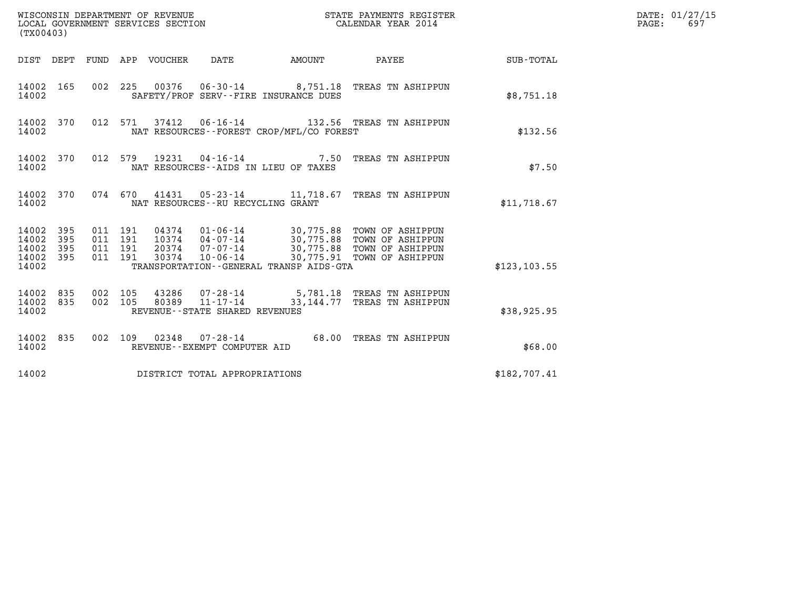| (TX00403)                                                          |                                          |                                 | WISCONSIN DEPARTMENT OF REVENUE<br>LOCAL GOVERNMENT SERVICES SECTION        |                           | STATE PAYMENTS REGISTER<br>CALENDAR YEAR 2014                                                                                                            |               | DATE: 01/27/15<br>PAGE:<br>697 |
|--------------------------------------------------------------------|------------------------------------------|---------------------------------|-----------------------------------------------------------------------------|---------------------------|----------------------------------------------------------------------------------------------------------------------------------------------------------|---------------|--------------------------------|
|                                                                    |                                          | DIST DEPT FUND APP VOUCHER DATE |                                                                             | <b>EXAMPLE THE AMOUNT</b> | PAYEE                                                                                                                                                    | SUB-TOTAL     |                                |
| 14002 165<br>14002                                                 |                                          |                                 | SAFETY/PROF SERV--FIRE INSURANCE DUES                                       |                           | 002 225 00376 06-30-14 8,751.18 TREAS TN ASHIPPUN                                                                                                        | \$8,751.18    |                                |
| 14002 370<br>14002                                                 |                                          |                                 | NAT RESOURCES--FOREST CROP/MFL/CO FOREST                                    |                           | 012 571 37412 06-16-14 132.56 TREAS TN ASHIPPUN                                                                                                          | \$132.56      |                                |
| 14002 370<br>14002                                                 | 012 579                                  |                                 | NAT RESOURCES -- AIDS IN LIEU OF TAXES                                      |                           | 19231 04-16-14 7.50 TREAS TN ASHIPPUN                                                                                                                    | \$7.50        |                                |
| 14002 370<br>14002                                                 |                                          |                                 | NAT RESOURCES - - RU RECYCLING GRANT                                        |                           | 074 670 41431 05-23-14 11,718.67 TREAS TN ASHIPPUN                                                                                                       | \$11,718.67   |                                |
| 14002 395<br>14002<br>395<br>14002<br>395<br>395<br>14002<br>14002 | 011 191<br>011 191<br>011 191<br>011 191 | 30374                           | 20374 07-07-14<br>$10 - 06 - 14$<br>TRANSPORTATION--GENERAL TRANSP AIDS-GTA |                           | 04374  01-06-14  30,775.88  TOWN OF ASHIPPUN<br>10374  04-07-14  30,775.88  TOWN OF ASHIPPUN<br>30,775.88 TOWN OF ASHIPPUN<br>30,775.91 TOWN OF ASHIPPUN | \$123, 103.55 |                                |
| 14002 835<br>835<br>14002<br>14002                                 | 002 105<br>002 105                       | 43286<br>80389                  | 11-17-14<br>REVENUE - - STATE SHARED REVENUES                               |                           | 07-28-14 5,781.18 TREAS TN ASHIPPUN<br>33,144.77 TREAS TN ASHIPPUN                                                                                       | \$38,925.95   |                                |
| 14002 835<br>14002                                                 |                                          |                                 | 002 109 02348 07-28-14<br>REVENUE--EXEMPT COMPUTER AID                      |                           | 68.00 TREAS TN ASHIPPUN                                                                                                                                  | \$68.00       |                                |
| 14002                                                              |                                          |                                 | DISTRICT TOTAL APPROPRIATIONS                                               |                           |                                                                                                                                                          | \$182,707.41  |                                |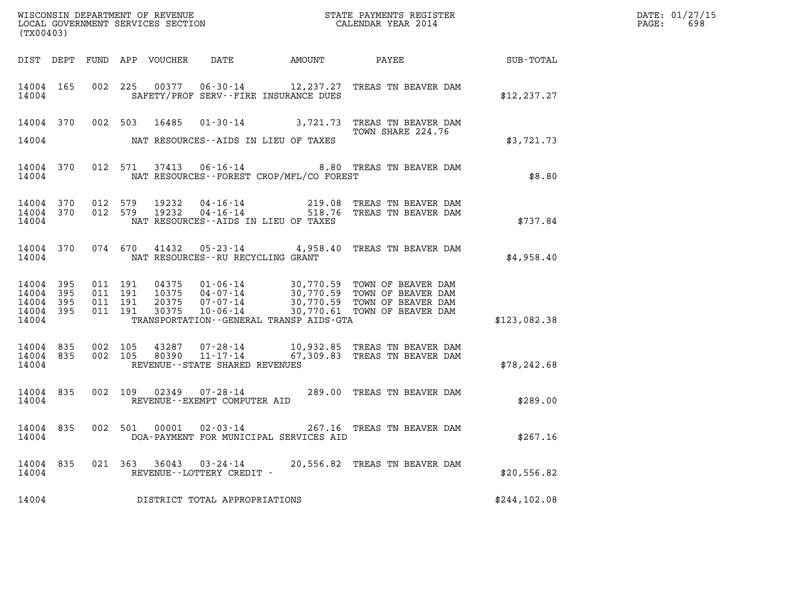| WISCONSIN DEPARTMENT OF REVENUE   | STATE PAYMENTS REGISTER | DATE: 01/27/15 |
|-----------------------------------|-------------------------|----------------|
| LOCAL GOVERNMENT SERVICES SECTION | CALENDAR YEAR 2014      | 698<br>PAGE:   |

| (TX00403)                                |                    |                                          |                         |                                                                  |                                                                                                                                                                                                  | DATE: 01/27/15<br>$\mathtt{PAGE:}$<br>698 |  |
|------------------------------------------|--------------------|------------------------------------------|-------------------------|------------------------------------------------------------------|--------------------------------------------------------------------------------------------------------------------------------------------------------------------------------------------------|-------------------------------------------|--|
|                                          |                    |                                          |                         | DIST DEPT FUND APP VOUCHER DATE AMOUNT                           | PAYEE                                                                                                                                                                                            | SUB-TOTAL                                 |  |
| 14004 165<br>14004                       |                    | 002 225                                  |                         | SAFETY/PROF SERV--FIRE INSURANCE DUES                            | 00377  06-30-14  12, 237.27  TREAS TN BEAVER DAM                                                                                                                                                 | \$12, 237.27                              |  |
| 14004                                    |                    |                                          | 14004 370 002 503 16485 | NAT RESOURCES -- AIDS IN LIEU OF TAXES                           | 01-30-14 3,721.73 TREAS TN BEAVER DAM<br>TOWN SHARE 224.76                                                                                                                                       | \$3,721.73                                |  |
| 14004                                    |                    |                                          |                         | NAT RESOURCES--FOREST CROP/MFL/CO FOREST                         | 14004 370 012 571 37413 06-16-14 8.80 TREAS TN BEAVER DAM                                                                                                                                        | \$8.80                                    |  |
| 14004 370<br>14004                       |                    | 14004 370 012 579<br>012 579             | 19232<br>19232          | NAT RESOURCES--AIDS IN LIEU OF TAXES                             | 04-16-14 219.08 TREAS TN BEAVER DAM<br>04-16-14 518.76 TREAS TN BEAVER DAM                                                                                                                       | \$737.84                                  |  |
| 14004                                    |                    |                                          |                         | NAT RESOURCES--RU RECYCLING GRANT                                | 14004 370 074 670 41432 05-23-14 4,958.40 TREAS TN BEAVER DAM                                                                                                                                    | \$4,958.40                                |  |
| 14004 395<br>14004 395<br>14004<br>14004 | - 395<br>14004 395 | 011 191<br>011 191<br>011 191<br>011 191 |                         | TRANSPORTATION--GENERAL TRANSP AIDS-GTA                          | 04375  01-06-14  30,770.59 TOWN OF BEAVER DAM<br>10375  04-07-14  30,770.59 TOWN OF BEAVER DAM<br>20375  07-07-14  30,770.59 TOWN OF BEAVER DAM<br>30375  10-06-14  30,770.61 TOWN OF BEAVER DAM | \$123,082.38                              |  |
| 14004                                    | 14004 835          | 14004 835 002 105<br>002 105             | 43287                   | REVENUE--STATE SHARED REVENUES                                   | 43287  07-28-14  10,932.85  TREAS TN BEAVER DAM<br>80390  11-17-14  67,309.83  TREAS TN BEAVER DAM                                                                                               | \$78, 242.68                              |  |
| 14004 835<br>14004                       |                    | 002 109                                  | 02349                   | REVENUE--EXEMPT COMPUTER AID                                     | 07-28-14 289.00 TREAS TN BEAVER DAM                                                                                                                                                              | \$289.00                                  |  |
| 14004                                    | 14004 835          |                                          |                         | 002 501 00001 02-03-14<br>DOA-PAYMENT FOR MUNICIPAL SERVICES AID | 267.16 TREAS TN BEAVER DAM                                                                                                                                                                       | \$267.16                                  |  |
| 14004                                    |                    |                                          |                         | REVENUE--LOTTERY CREDIT -                                        | 14004 835 021 363 36043 03-24-14 20,556.82 TREAS TN BEAVER DAM                                                                                                                                   | \$20,556.82                               |  |
| 14004                                    |                    |                                          |                         | DISTRICT TOTAL APPROPRIATIONS                                    |                                                                                                                                                                                                  | \$244, 102.08                             |  |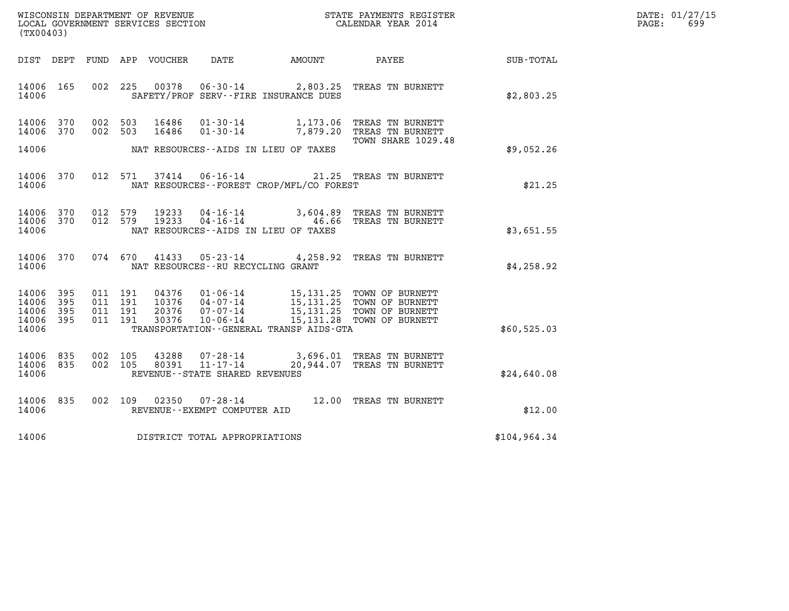| WISCONSIN DEPARTMENT OF REVENUE   | STATE PAYMENTS REGISTER | DATE: 01/27/15 |
|-----------------------------------|-------------------------|----------------|
| LOCAL GOVERNMENT SERVICES SECTION | CALENDAR YEAR 2014      | 699<br>PAGE:   |

| (TX00403)                                 |                          |                          |                          | WISCONSIN DEPARTMENT OF REVENUE<br>LOCAL GOVERNMENT SERVICES SECTION |                                                                            | STATE PAYMENTS REGISTER<br>CALENDAR YEAR 2014                                     |                                                                                    |                  |
|-------------------------------------------|--------------------------|--------------------------|--------------------------|----------------------------------------------------------------------|----------------------------------------------------------------------------|-----------------------------------------------------------------------------------|------------------------------------------------------------------------------------|------------------|
| DIST                                      | DEPT                     | FUND                     | APP                      | VOUCHER                                                              | DATE                                                                       | AMOUNT                                                                            | PAYEE                                                                              | <b>SUB-TOTAL</b> |
| 14006<br>14006                            | 165                      | 002                      | 225                      | 00378                                                                | $06 - 30 - 14$<br>SAFETY/PROF SERV--FIRE INSURANCE DUES                    | 2,803.25                                                                          | TREAS TN BURNETT                                                                   | \$2,803.25       |
| 14006<br>14006                            | 370<br>370               | 002<br>002               | 503<br>503               | 16486<br>16486                                                       | $01 - 30 - 14$<br>$01 - 30 - 14$                                           | 1,173.06<br>7,879.20                                                              | TREAS TN BURNETT<br>TREAS TN BURNETT<br>TOWN SHARE 1029.48                         |                  |
| 14006                                     |                          |                          |                          |                                                                      | NAT RESOURCES--AIDS IN LIEU OF TAXES                                       |                                                                                   |                                                                                    | \$9,052.26       |
| 14006<br>14006                            | 370                      | 012                      | 571                      | 37414                                                                | $06 - 16 - 14$                                                             | NAT RESOURCES - - FOREST CROP/MFL/CO FOREST                                       | 21.25 TREAS TN BURNETT                                                             | \$21.25          |
| 14006<br>14006<br>14006                   | 370<br>370               | 012<br>012               | 579<br>579               | 19233<br>19233                                                       | $04 - 16 - 14$<br>$04 - 16 - 14$<br>NAT RESOURCES -- AIDS IN LIEU OF TAXES | 3,604.89<br>46.66                                                                 | TREAS TN BURNETT<br>TREAS TN BURNETT                                               | \$3,651.55       |
| 14006<br>14006                            | 370                      | 074                      | 670                      | 41433                                                                | $05 - 23 - 14$<br>NAT RESOURCES - - RU RECYCLING GRANT                     | 4,258.92                                                                          | TREAS TN BURNETT                                                                   | \$4,258.92       |
| 14006<br>14006<br>14006<br>14006<br>14006 | 395<br>395<br>395<br>395 | 011<br>011<br>011<br>011 | 191<br>191<br>191<br>191 | 04376<br>10376<br>20376<br>30376                                     | $01 - 06 - 14$<br>04-07-14<br>$07 - 07 - 14$<br>$10 - 06 - 14$             | 15, 131.25<br>15, 131. 25<br>15,131.28<br>TRANSPORTATION--GENERAL TRANSP AIDS-GTA | 15,131.25 TOWN OF BURNETT<br>TOWN OF BURNETT<br>TOWN OF BURNETT<br>TOWN OF BURNETT | \$60,525.03      |
| 14006<br>14006<br>14006                   | 835<br>835               | 002<br>002               | 105<br>105               | 43288<br>80391                                                       | $07 - 28 - 14$<br>$11 - 17 - 14$<br>REVENUE - - STATE SHARED REVENUES      | 3,696.01<br>20,944.07                                                             | TREAS TN BURNETT<br>TREAS TN BURNETT                                               | \$24,640.08      |
| 14006<br>14006                            | 835                      | 002                      | 109                      | 02350                                                                | $07 - 28 - 14$<br>REVENUE--EXEMPT COMPUTER AID                             |                                                                                   | 12.00 TREAS TN BURNETT                                                             | \$12.00          |
| 14006                                     |                          |                          |                          |                                                                      | DISTRICT TOTAL APPROPRIATIONS                                              |                                                                                   |                                                                                    | \$104,964.34     |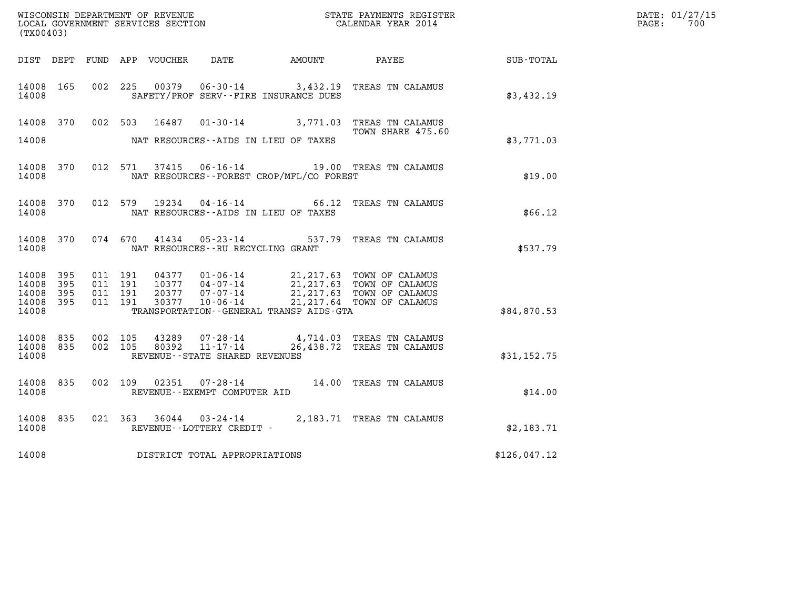| (TX00403)                   |                        |                               |         |       |                                                        |                                              |                                                                                                                                                                                                                       |                                                     | DATE: 01/27/15<br>$\mathtt{PAGE:}$<br>700 |
|-----------------------------|------------------------|-------------------------------|---------|-------|--------------------------------------------------------|----------------------------------------------|-----------------------------------------------------------------------------------------------------------------------------------------------------------------------------------------------------------------------|-----------------------------------------------------|-------------------------------------------|
|                             |                        |                               |         |       |                                                        | DIST DEPT FUND APP VOUCHER DATE AMOUNT PAYEE |                                                                                                                                                                                                                       | $\begin{array}{lcl} \text{SUB - TOTAL} \end{array}$ |                                           |
| 14008 165<br>14008          |                        |                               | 002 225 |       |                                                        | SAFETY/PROF SERV--FIRE INSURANCE DUES        | 00379  06-30-14  3,432.19  TREAS TN CALAMUS                                                                                                                                                                           | \$3,432.19                                          |                                           |
|                             |                        |                               |         |       |                                                        |                                              | 14008 370 002 503 16487 01-30-14 3,771.03 TREAS TN CALAMUS<br>TOWN SHARE 475.60                                                                                                                                       |                                                     |                                           |
| 14008                       |                        |                               |         |       |                                                        | NAT RESOURCES--AIDS IN LIEU OF TAXES         |                                                                                                                                                                                                                       | \$3,771.03                                          |                                           |
| 14008                       | 14008 370              |                               |         |       |                                                        | NAT RESOURCES--FOREST CROP/MFL/CO FOREST     | 012 571 37415 06-16-14 19.00 TREAS TN CALAMUS                                                                                                                                                                         | \$19.00                                             |                                           |
| 14008                       | 14008 370              |                               |         |       |                                                        | NAT RESOURCES--AIDS IN LIEU OF TAXES         | 012 579 19234 04-16-14 66.12 TREAS TN CALAMUS                                                                                                                                                                         | \$66.12                                             |                                           |
| 14008 370<br>14008          |                        |                               | 074 670 | 41434 | $05 - 23 - 14$<br>NAT RESOURCES - - RU RECYCLING GRANT |                                              | 537.79 TREAS TN CALAMUS                                                                                                                                                                                               | \$537.79                                            |                                           |
| 14008 395<br>14008<br>14008 | 395<br>395             | 011 191<br>011 191<br>011 191 |         |       |                                                        |                                              | 04377  01-06-14  21,217.63  TOWN OF CALAMUS<br>10377  04-07-14  21,217.63  TOWN OF CALAMUS<br>20377  07-07-14  21,217.63  TOWN OF CALAMUS<br>07-07-14 21,217.63 TOWN OF CALAMUS<br>10-06-14 21,217.64 TOWN OF CALAMUS |                                                     |                                           |
| 14008<br>14008              | 395                    | 011 191                       |         | 30377 |                                                        | TRANSPORTATION--GENERAL TRANSP AIDS-GTA      |                                                                                                                                                                                                                       | \$84,870.53                                         |                                           |
| 14008                       | 14008 835<br>14008 835 | 002 105<br>002 105            |         |       | REVENUE--STATE SHARED REVENUES                         |                                              | 43289 07-28-14 4,714.03 TREAS TN CALAMUS<br>80392 11-17-14 26,438.72 TREAS TN CALAMUS                                                                                                                                 | \$31,152.75                                         |                                           |
| 14008 835<br>14008          |                        |                               |         |       | REVENUE--EXEMPT COMPUTER AID                           |                                              | 002 109 02351 07-28-14 14.00 TREAS TN CALAMUS                                                                                                                                                                         | \$14.00                                             |                                           |
| 14008 835<br>14008          |                        |                               |         |       | REVENUE--LOTTERY CREDIT -                              |                                              | 021 363 36044 03-24-14 2,183.71 TREAS TN CALAMUS                                                                                                                                                                      | \$2,183.71                                          |                                           |
| 14008                       |                        |                               |         |       | DISTRICT TOTAL APPROPRIATIONS                          |                                              |                                                                                                                                                                                                                       | \$126,047.12                                        |                                           |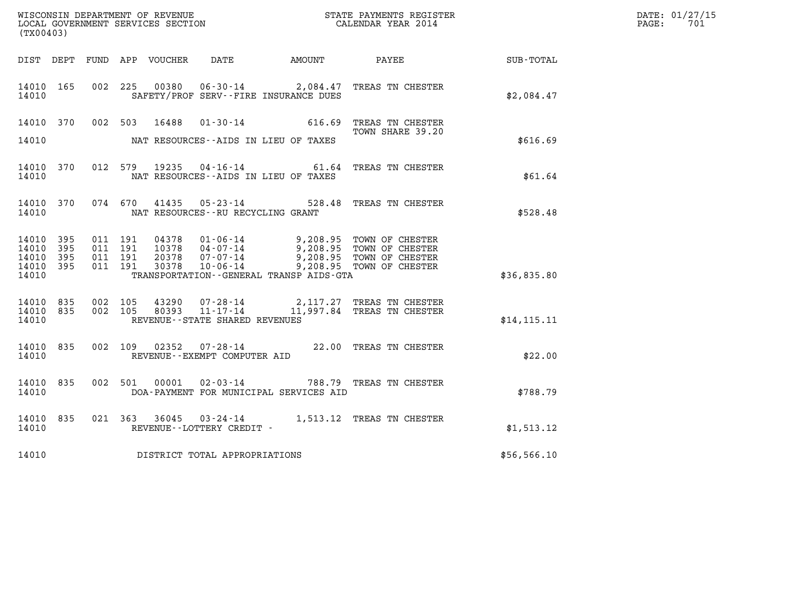| (TX00403)                                     |                   |                                          |         |                                                             |                                         | WISCONSIN DEPARTMENT OF REVENUE<br>LOCAL GOVERNMENT SERVICES SECTION<br>CALENDAR YEAR 2014                                                                                           |              | DATE: 01/27/15<br>PAGE: 701 |
|-----------------------------------------------|-------------------|------------------------------------------|---------|-------------------------------------------------------------|-----------------------------------------|--------------------------------------------------------------------------------------------------------------------------------------------------------------------------------------|--------------|-----------------------------|
|                                               |                   |                                          |         |                                                             |                                         | DIST DEPT FUND APP VOUCHER DATE AMOUNT PAYEE TOTAL                                                                                                                                   |              |                             |
| 14010 165<br>14010                            |                   |                                          |         |                                                             | SAFETY/PROF SERV--FIRE INSURANCE DUES   | 002 225 00380 06-30-14 2,084.47 TREAS TN CHESTER                                                                                                                                     | \$2,084.47   |                             |
|                                               |                   |                                          |         |                                                             |                                         | 14010 370 002 503 16488 01-30-14 616.69 TREAS TN CHESTER<br>TOWN SHARE 39.20                                                                                                         |              |                             |
| 14010                                         |                   |                                          |         |                                                             | NAT RESOURCES--AIDS IN LIEU OF TAXES    |                                                                                                                                                                                      | \$616.69     |                             |
| 14010                                         | 14010 370         |                                          |         |                                                             | NAT RESOURCES--AIDS IN LIEU OF TAXES    | 012 579 19235 04-16-14 61.64 TREAS TN CHESTER                                                                                                                                        | \$61.64      |                             |
| 14010                                         | 14010 370         |                                          |         | 074 670 41435 05-23-14<br>NAT RESOURCES--RU RECYCLING GRANT |                                         | 528.48 TREAS TN CHESTER                                                                                                                                                              | \$528.48     |                             |
| 14010 395<br>14010<br>14010<br>14010<br>14010 | 395<br>395<br>395 | 011 191<br>011 191<br>011 191<br>011 191 |         |                                                             | TRANSPORTATION--GENERAL TRANSP AIDS-GTA | 04378  01-06-14  9,208.95  TOWN OF CHESTER<br>10378  04-07-14  9,208.95  TOWN OF CHESTER<br>20378  07-07-14  9,208.95  TOWN OF CHESTER<br>30378  10-06-14  9,208.95  TOWN OF CHESTER | \$36,835.80  |                             |
| 14010 835<br>14010                            | 14010 835         | 002 105                                  | 002 105 | REVENUE--STATE SHARED REVENUES                              |                                         | $43290$ $07 - 28 - 14$ 2,117.27 TREAS TN CHESTER<br>80393 11-17-14 11,997.84 TREAS TN CHESTER                                                                                        | \$14, 115.11 |                             |
| 14010                                         | 14010 835         |                                          |         | REVENUE--EXEMPT COMPUTER AID                                |                                         | 002 109 02352 07-28-14 22.00 TREAS TN CHESTER                                                                                                                                        | \$22.00      |                             |
| 14010 835<br>14010                            |                   |                                          |         |                                                             | DOA-PAYMENT FOR MUNICIPAL SERVICES AID  | 002 501 00001 02-03-14 788.79 TREAS TN CHESTER                                                                                                                                       | \$788.79     |                             |
| 14010 835<br>14010                            |                   |                                          |         | REVENUE--LOTTERY CREDIT -                                   |                                         | 021 363 36045 03-24-14 1,513.12 TREAS TN CHESTER                                                                                                                                     | \$1,513.12   |                             |
| 14010                                         |                   |                                          |         | DISTRICT TOTAL APPROPRIATIONS                               |                                         |                                                                                                                                                                                      | \$56,566.10  |                             |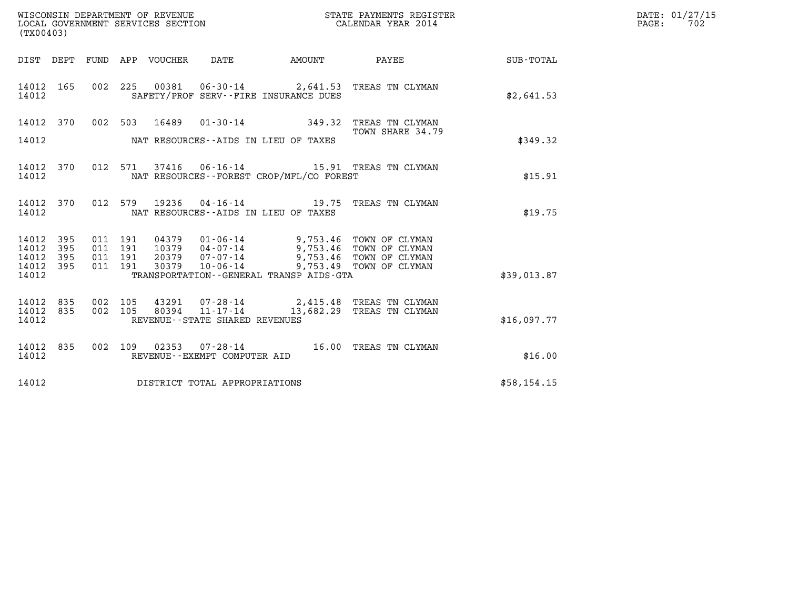| WISCONSIN DEPARTMENT OF REVENUE   | STATE PAYMENTS REGISTER | DATE: 01/27/15 |
|-----------------------------------|-------------------------|----------------|
| LOCAL GOVERNMENT SERVICES SECTION | CALENDAR YEAR 2014      | 702<br>PAGE:   |

| (TX00403)                                             |     |  |  |  |                                     |                                            |                                                                                                                                                                                                                                                                                                                                                    |                                                        | DATE: 01/27/15<br>PAGE: 702 |
|-------------------------------------------------------|-----|--|--|--|-------------------------------------|--------------------------------------------|----------------------------------------------------------------------------------------------------------------------------------------------------------------------------------------------------------------------------------------------------------------------------------------------------------------------------------------------------|--------------------------------------------------------|-----------------------------|
|                                                       |     |  |  |  |                                     |                                            |                                                                                                                                                                                                                                                                                                                                                    | DIST DEPT FUND APP VOUCHER DATE AMOUNT PAYEE SUB-TOTAL |                             |
| 14012                                                 |     |  |  |  |                                     | SAFETY/PROF SERV--FIRE INSURANCE DUES      | 14012 165 002 225 00381 06-30-14 2,641.53 TREAS TN CLYMAN                                                                                                                                                                                                                                                                                          | \$2,641.53                                             |                             |
| 14012 370                                             |     |  |  |  |                                     |                                            | 002 503 16489 01-30-14 349.32 TREAS TN CLYMAN<br>TOWN SHARE 34.79                                                                                                                                                                                                                                                                                  |                                                        |                             |
|                                                       |     |  |  |  |                                     | 14012 NAT RESOURCES--AIDS IN LIEU OF TAXES |                                                                                                                                                                                                                                                                                                                                                    | \$349.32                                               |                             |
| 14012                                                 |     |  |  |  |                                     | NAT RESOURCES -- FOREST CROP/MFL/CO FOREST | 14012 370 012 571 37416 06-16-14 15.91 TREAS TN CLYMAN                                                                                                                                                                                                                                                                                             | \$15.91                                                |                             |
| 14012                                                 |     |  |  |  |                                     | NAT RESOURCES--AIDS IN LIEU OF TAXES       | 14012 370 012 579 19236 04-16-14 19.75 TREAS TN CLYMAN                                                                                                                                                                                                                                                                                             | \$19.75                                                |                             |
| 14012 395<br>14012<br>14012 395<br>14012 395<br>14012 | 395 |  |  |  |                                     | TRANSPORTATION--GENERAL TRANSP AIDS-GTA    | $\begin{array}{cccc} 011 & 191 & 04379 & 01\cdot 06\cdot 14 & 9,753.46 & \text{TOWN OF CLYMAN} \\ 011 & 191 & 10379 & 04\cdot 07\cdot 14 & 9,753.46 & \text{TOWN OF CLYMAN} \\ 011 & 191 & 20379 & 07\cdot 07\cdot 14 & 9,753.46 & \text{TOWN OF CLYMAN} \\ 011 & 191 & 30379 & 10\cdot 06\cdot 14 & 9,753.49 & \text{TOWN OF CLYMAN} \end{array}$ | \$39,013.87                                            |                             |
| 14012 835<br>14012 835<br>14012                       |     |  |  |  | REVENUE--STATE SHARED REVENUES      |                                            | 002 105 43291 07-28-14 2,415.48 TREAS TN CLYMAN<br>002 105 80394 11-17-14 13,682.29 TREAS TN CLYMAN                                                                                                                                                                                                                                                | \$16,097.77                                            |                             |
| 14012                                                 |     |  |  |  | REVENUE--EXEMPT COMPUTER AID        |                                            | 14012 835 002 109 02353 07-28-14 16.00 TREAS TN CLYMAN                                                                                                                                                                                                                                                                                             | \$16.00                                                |                             |
|                                                       |     |  |  |  | 14012 DISTRICT TOTAL APPROPRIATIONS |                                            |                                                                                                                                                                                                                                                                                                                                                    | \$58,154.15                                            |                             |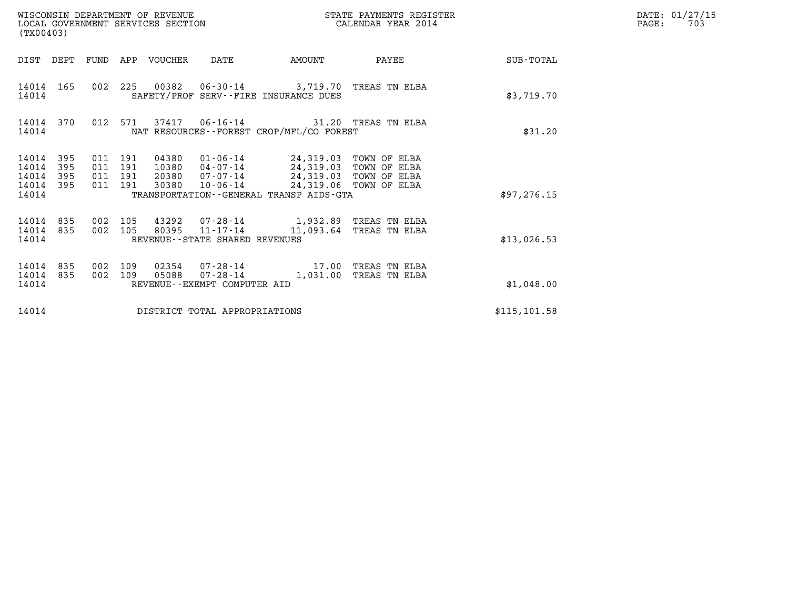| (TX00403)                                                             |                                          |     |       | WISCONSIN DEPARTMENT OF REVENUE<br>LOCAL GOVERNMENT SERVICES SECTION                                                                                                                   |                        | STATE PAYMENTS REGISTER<br>CALENDAR YEAR 2014                                      |               | DATE: 01/27/15<br>$\mathtt{PAGE}$ :<br>703 |
|-----------------------------------------------------------------------|------------------------------------------|-----|-------|----------------------------------------------------------------------------------------------------------------------------------------------------------------------------------------|------------------------|------------------------------------------------------------------------------------|---------------|--------------------------------------------|
| DIST DEPT FUND APP VOUCHER                                            |                                          |     |       | DATE                                                                                                                                                                                   |                        | AMOUNT PAYEE                                                                       | SUB-TOTAL     |                                            |
| 14014 165<br>14014                                                    |                                          |     |       | SAFETY/PROF SERV--FIRE INSURANCE DUES                                                                                                                                                  |                        | 002 225 00382 06-30-14 3,719.70 TREAS TN ELBA                                      | \$3,719.70    |                                            |
| 14014 370<br>14014                                                    |                                          |     |       | NAT RESOURCES--FOREST CROP/MFL/CO FOREST                                                                                                                                               |                        | 012 571 37417 06-16-14 31.20 TREAS TN ELBA                                         | \$31.20       |                                            |
| 14014<br>395<br>14014<br>395<br>14014<br>395<br>14014<br>395<br>14014 | 011 191<br>011 191<br>011 191<br>011 191 |     | 30380 | 04380 01-06-14 24,319.03 TOWN OF ELBA<br>10380 04-07-14 24,319.03 TOWN OF ELBA<br>20380  07-07-14  24,319.03  TOWN OF ELBA<br>10-06-14<br>TRANSPORTATION - - GENERAL TRANSP AIDS - GTA | 24,319.06 TOWN OF ELBA |                                                                                    | \$97, 276.15  |                                            |
|                                                                       |                                          |     |       |                                                                                                                                                                                        |                        |                                                                                    |               |                                            |
| 14014 835<br>14014 835<br>14014                                       | 002 105<br>002 105                       |     |       | REVENUE--STATE SHARED REVENUES                                                                                                                                                         |                        | 43292 07-28-14 1,932.89 TREAS TN ELBA<br>80395  11-17-14  11,093.64  TREAS TN ELBA | \$13,026.53   |                                            |
| 14014<br>835<br>14014 835<br>14014                                    | 002<br>002 109                           | 109 | 05088 | REVENUE--EXEMPT COMPUTER AID                                                                                                                                                           |                        | 02354  07-28-14  17.00 TREAS TN ELBA<br>07-28-14 1,031.00 TREAS TN ELBA            | \$1,048.00    |                                            |
| 14014                                                                 |                                          |     |       | DISTRICT TOTAL APPROPRIATIONS                                                                                                                                                          |                        |                                                                                    | \$115, 101.58 |                                            |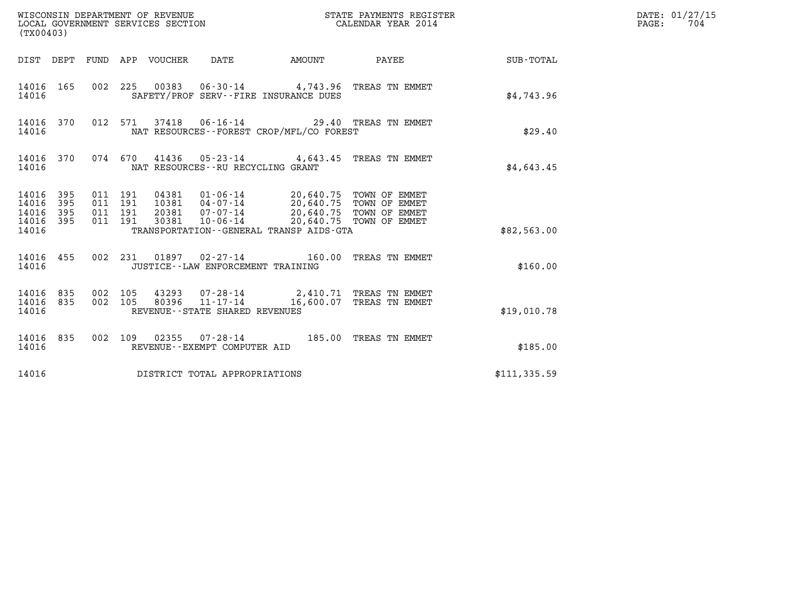| (TX00403)                                 |                          |                                          |                                 | WISCONSIN DEPARTMENT OF REVENUE<br>LOCAL GOVERNMENT SERVICES SECTION |                                                                                                                                                                                                                             | STATE PAYMENTS REGISTER<br>CALENDAR YEAR 2014                      |              | DATE: 01/27/15<br>$\mathtt{PAGE}$ :<br>704 |
|-------------------------------------------|--------------------------|------------------------------------------|---------------------------------|----------------------------------------------------------------------|-----------------------------------------------------------------------------------------------------------------------------------------------------------------------------------------------------------------------------|--------------------------------------------------------------------|--------------|--------------------------------------------|
|                                           |                          |                                          | DIST DEPT FUND APP VOUCHER DATE |                                                                      | AMOUNT PAYEE                                                                                                                                                                                                                |                                                                    | SUB-TOTAL    |                                            |
| 14016 165<br>14016                        |                          |                                          |                                 |                                                                      | SAFETY/PROF SERV--FIRE INSURANCE DUES                                                                                                                                                                                       | 002 225 00383 06-30-14 4,743.96 TREAS TN EMMET                     | \$4,743.96   |                                            |
| 14016 370<br>14016                        |                          |                                          |                                 |                                                                      | NAT RESOURCES - - FOREST CROP/MFL/CO FOREST                                                                                                                                                                                 | 012 571 37418 06-16-14 29.40 TREAS TN EMMET                        | \$29.40      |                                            |
| 14016 370<br>14016                        |                          |                                          |                                 | NAT RESOURCES--RU RECYCLING GRANT                                    |                                                                                                                                                                                                                             | 074 670 41436 05-23-14 4,643.45 TREAS TN EMMET                     | \$4,643.45   |                                            |
| 14016<br>14016<br>14016<br>14016<br>14016 | 395<br>395<br>395<br>395 | 011 191<br>011 191<br>011 191<br>011 191 |                                 |                                                                      | 04381  01-06-14  20,640.75  TOWN OF EMMET<br>10381  04-07-14  20,640.75  TOWN OF EMMET<br>20381  07-07-14  20,640.75  TOWN OF EMMET<br>30381  10-06-14  20,640.75  TOWN OF EMMET<br>TRANSPORTATION--GENERAL TRANSP AIDS-GTA |                                                                    | \$82,563.00  |                                            |
| 14016 455<br>14016                        |                          |                                          |                                 | JUSTICE - - LAW ENFORCEMENT TRAINING                                 |                                                                                                                                                                                                                             | 002 231 01897 02-27-14 160.00 TREAS TN EMMET                       | \$160.00     |                                            |
| 14016 835<br>14016<br>14016               | 835                      | 002 105<br>002 105                       | 80396                           | 11-17-14<br>REVENUE - - STATE SHARED REVENUES                        |                                                                                                                                                                                                                             | 43293 07-28-14 2,410.71 TREAS TN EMMET<br>16,600.07 TREAS TN EMMET | \$19,010.78  |                                            |
| 14016 835<br>14016                        |                          |                                          |                                 | REVENUE--EXEMPT COMPUTER AID                                         |                                                                                                                                                                                                                             | 002 109 02355 07-28-14 185.00 TREAS TN EMMET                       | \$185.00     |                                            |
| 14016                                     |                          |                                          |                                 | DISTRICT TOTAL APPROPRIATIONS                                        |                                                                                                                                                                                                                             |                                                                    | \$111,335.59 |                                            |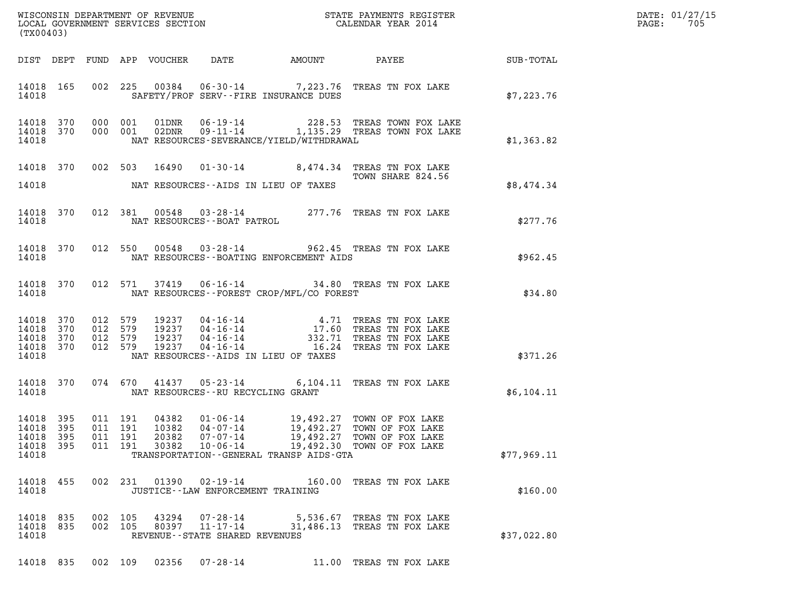| DATE: | 01/27/15 |
|-------|----------|
| PAGE: | 705      |

| WISCONSIN DEPARTMENT OF REVENUE<br>LOCAL GOVERNMENT SERVICES SECTION<br>CALENDAR YEAR 2014<br>(TX00403) |  |                    |                    |                |                                                              |                                                |                                                                                                                                                                                                                                                                                                                                         |             | DATE: 01/27/15<br>$\mathtt{PAGE:}$<br>705 |
|---------------------------------------------------------------------------------------------------------|--|--------------------|--------------------|----------------|--------------------------------------------------------------|------------------------------------------------|-----------------------------------------------------------------------------------------------------------------------------------------------------------------------------------------------------------------------------------------------------------------------------------------------------------------------------------------|-------------|-------------------------------------------|
|                                                                                                         |  |                    |                    |                |                                                              |                                                | DIST DEPT FUND APP VOUCHER DATE AMOUNT PAYEE SUB-TOTAL                                                                                                                                                                                                                                                                                  |             |                                           |
| 14018                                                                                                   |  |                    |                    |                |                                                              | SAFETY/PROF SERV--FIRE INSURANCE DUES          | 14018 165 002 225 00384 06-30-14 7,223.76 TREAS TN FOX LAKE                                                                                                                                                                                                                                                                             | \$7,223.76  |                                           |
| 14018                                                                                                   |  |                    |                    |                |                                                              | NAT RESOURCES-SEVERANCE/YIELD/WITHDRAWAL       | $\begin{tabular}{cccccc} 14\,018 & 370 & 000 & 001 & 01DNR & 06-19-14 & & 228.53 & TREAS TOWN FOX LAKE \\ 14\,018 & 370 & 000 & 001 & 02DNR & 09-11-14 & & 1,135.29 & TREAS TOWN FOX LAKE \end{tabular}$                                                                                                                                | \$1,363.82  |                                           |
|                                                                                                         |  |                    |                    |                |                                                              | 14018 MAT RESOURCES - AIDS IN LIEU OF TAXES    | 14018 370 002 503 16490 01-30-14 8,474.34 TREAS TN FOX LAKE<br>TOWN SHARE 824.56                                                                                                                                                                                                                                                        | \$8,474.34  |                                           |
|                                                                                                         |  |                    |                    |                |                                                              |                                                | $\begin{tabular}{lllllll} 14018 & 370 & 012 & 381 & 00548 & 03\texttt{-}28\texttt{-}14 & & 277.76 & \texttt{TREAS TN FOX LAKE} \\ 14018 & & \texttt{NAT RESOURCES}\texttt{--BOAT PATROL} & & & & & & \\ \end{tabular}$                                                                                                                  | \$277.76    |                                           |
|                                                                                                         |  |                    |                    |                |                                                              | 14018 MAT RESOURCES - BOATING ENFORCEMENT AIDS | 14018 370 012 550 00548 03-28-14 962.45 TREAS TN FOX LAKE                                                                                                                                                                                                                                                                               | \$962.45    |                                           |
|                                                                                                         |  |                    |                    |                |                                                              | 14018 MAT RESOURCES--FOREST CROP/MFL/CO FOREST | 14018 370 012 571 37419 06-16-14 34.80 TREAS TN FOX LAKE                                                                                                                                                                                                                                                                                | \$34.80     |                                           |
| 14018                                                                                                   |  |                    |                    |                |                                                              | NAT RESOURCES--AIDS IN LIEU OF TAXES           | $\begin{tabular}{cccc} 14018 & 370 & 012 & 579 & 19237 & 04-16-14 & & 4.71 \end{tabular} \begin{tabular}{cccc} 14018 & 370 & 012 & 579 & 19237 & 04-16-14 & & 17.60 \end{tabular} \begin{tabular}{cccc} 14018 & 370 & 012 & 579 & 19237 & 04-16-14 & & 17.60 \end{tabular} \begin{tabular}{cccc} 14018 & 370 & 012 & 579 & 19237 & 04-$ | \$371.26    |                                           |
|                                                                                                         |  |                    |                    |                |                                                              | 14018 MAT RESOURCES--RU RECYCLING GRANT        | 14018 370 074 670 41437 05-23-14 6,104.11 TREAS TN FOX LAKE                                                                                                                                                                                                                                                                             | \$6,104.11  |                                           |
| 14018 395<br>14018 395<br>14018 395<br>14018 395<br>14018                                               |  |                    | 011 191<br>011 191 | 20382<br>30382 | 07-07-14<br>$10 - 06 - 14$                                   | TRANSPORTATION--GENERAL TRANSP AIDS-GTA        | 011 191 04382 01-06-14 19,492.27 TOWN OF FOX LAKE<br>011 191 10382 04-07-14 19,492.27 TOWN OF FOX LAKE<br>19,492.27 TOWN OF FOX LAKE<br>19,492.30 TOWN OF FOX LAKE                                                                                                                                                                      | \$77,969.11 |                                           |
| 14018 455<br>14018                                                                                      |  |                    |                    | 002 231 01390  | 02-19-14<br>JUSTICE -- LAW ENFORCEMENT TRAINING              |                                                | 160.00 TREAS TN FOX LAKE                                                                                                                                                                                                                                                                                                                | \$160.00    |                                           |
| 14018 835<br>14018 835<br>14018                                                                         |  | 002 105<br>002 105 |                    | 43294<br>80397 | 07-28-14<br>$11 - 17 - 14$<br>REVENUE--STATE SHARED REVENUES |                                                | 5,536.67 TREAS TN FOX LAKE<br>31,486.13 TREAS TN FOX LAKE                                                                                                                                                                                                                                                                               | \$37,022.80 |                                           |

14018 835 002 109 02356 07-28-14 11.00 TREAS TN FOX LAKE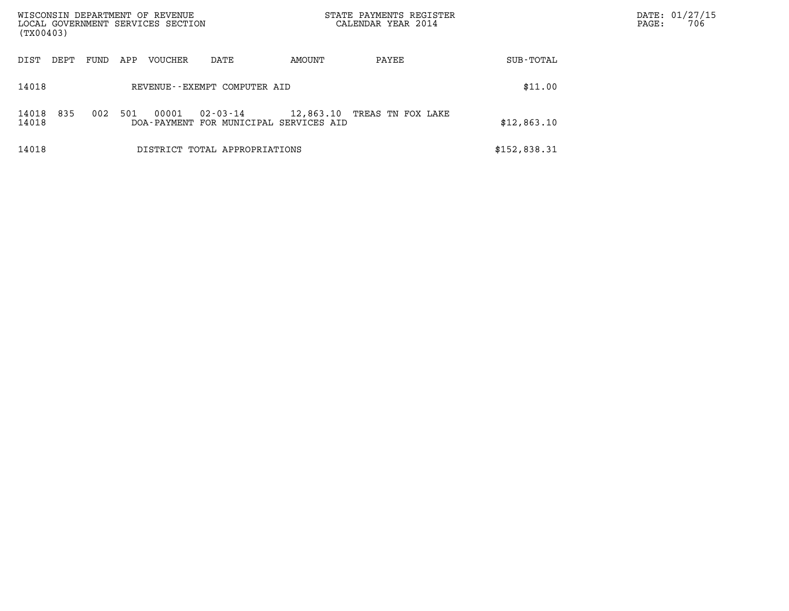| WISCONSIN DEPARTMENT OF REVENUE<br>LOCAL GOVERNMENT SERVICES SECTION |             |         |                                                    |           | STATE PAYMENTS REGISTER<br>CALENDAR YEAR 2014 |              | DATE: 01/27/15<br>706<br>PAGE: |
|----------------------------------------------------------------------|-------------|---------|----------------------------------------------------|-----------|-----------------------------------------------|--------------|--------------------------------|
| (TX00403)                                                            |             |         |                                                    |           |                                               |              |                                |
| DIST<br>DEPT                                                         | FUND<br>APP | VOUCHER | DATE                                               | AMOUNT    | PAYEE                                         | SUB-TOTAL    |                                |
| 14018                                                                |             |         | REVENUE--EXEMPT COMPUTER AID                       |           |                                               | \$11.00      |                                |
| 835<br>14018<br>14018                                                | 002<br>501  | 00001   | 02-03-14<br>DOA-PAYMENT FOR MUNICIPAL SERVICES AID | 12,863.10 | TREAS TN FOX LAKE                             | \$12,863.10  |                                |
| 14018                                                                |             |         | DISTRICT TOTAL APPROPRIATIONS                      |           |                                               | \$152,838.31 |                                |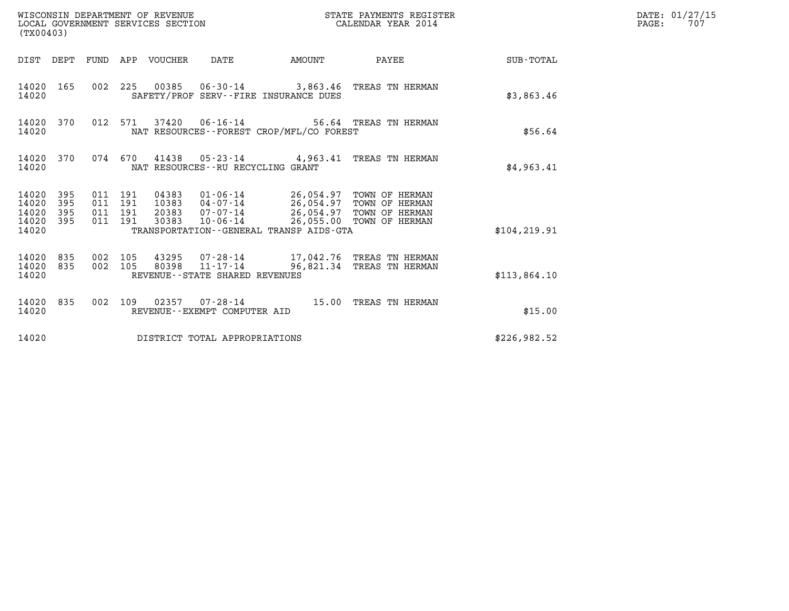| (TX00403)                                                       | WISCONSIN DEPARTMENT OF REVENUE<br>STATE PAYMENTS REGISTER<br>LOCAL GOVERNMENT SERVICES SECTION<br>CALENDAR YEAR 2014                                                                                                                                                    | $\mathtt{PAGE:}$ | DATE: 01/27/15<br>707 |
|-----------------------------------------------------------------|--------------------------------------------------------------------------------------------------------------------------------------------------------------------------------------------------------------------------------------------------------------------------|------------------|-----------------------|
|                                                                 | DIST DEPT FUND APP VOUCHER DATE<br>AMOUNT                                                                                                                                                                                                                                | PAYEE SUB-TOTAL  |                       |
| 14020 165<br>14020                                              | 002 225 00385 06-30-14 3,863.46 TREAS TN HERMAN<br>SAFETY/PROF SERV--FIRE INSURANCE DUES                                                                                                                                                                                 | \$3,863.46       |                       |
| 14020 370<br>14020                                              | 012 571<br>NAT RESOURCES--FOREST CROP/MFL/CO FOREST                                                                                                                                                                                                                      | \$56.64          |                       |
| 14020 370<br>14020                                              | 074 670 41438 05-23-14 4,963.41 TREAS TN HERMAN<br>NAT RESOURCES - - RU RECYCLING GRANT                                                                                                                                                                                  | \$4,963.41       |                       |
| 14020 395<br>14020<br>395<br>14020<br>395<br>14020 395<br>14020 | 011 191<br>04383  01-06-14  26,054.97  TOWN OF HERMAN<br>10383  04-07-14  26,054.97  TOWN OF HERMAN<br>011 191<br>20383 07-07-14 26,054.97 TOWN OF HERMAN<br>011 191<br>10-06-14 26,055.00 TOWN OF HERMAN<br>011 191<br>30383<br>TRANSPORTATION--GENERAL TRANSP AIDS-GTA | \$104, 219.91    |                       |
| 14020 835<br>14020<br>835<br>14020                              | 002 105<br>43295 07-28-14 17,042.76 TREAS TN HERMAN<br>80398 11-17-14<br>002 105<br>96,821.34 TREAS TN HERMAN<br>REVENUE - - STATE SHARED REVENUES                                                                                                                       | \$113,864.10     |                       |
| 14020 835<br>14020                                              | 002 109 02357 07-28-14 15.00 TREAS TN HERMAN<br>REVENUE--EXEMPT COMPUTER AID                                                                                                                                                                                             | \$15.00          |                       |
| 14020                                                           | DISTRICT TOTAL APPROPRIATIONS                                                                                                                                                                                                                                            | \$226,982.52     |                       |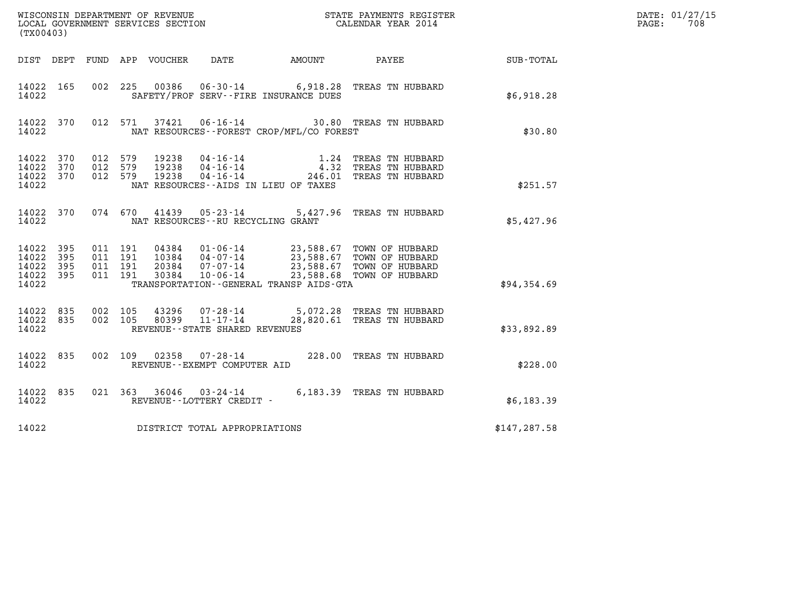| (TX00403)                                         |             |                               |         |                                 |                                                     |                                          | WISCONSIN DEPARTMENT OF REVENUE<br>LOCAL GOVERNMENT SERVICES SECTION<br>CALENDAR YEAR 2014                                                                                                           |                  | DATE: 01/27/15<br>PAGE:<br>708 |
|---------------------------------------------------|-------------|-------------------------------|---------|---------------------------------|-----------------------------------------------------|------------------------------------------|------------------------------------------------------------------------------------------------------------------------------------------------------------------------------------------------------|------------------|--------------------------------|
|                                                   |             |                               |         | DIST DEPT FUND APP VOUCHER DATE |                                                     | AMOUNT                                   | PAYEE                                                                                                                                                                                                | <b>SUB-TOTAL</b> |                                |
| 14022 165<br>14022                                |             |                               |         |                                 |                                                     | SAFETY/PROF SERV--FIRE INSURANCE DUES    | 002 225 00386 06-30-14 6,918.28 TREAS TN HUBBARD                                                                                                                                                     | \$6,918.28       |                                |
| 14022 370<br>14022                                |             |                               | 012 571 |                                 |                                                     | NAT RESOURCES--FOREST CROP/MFL/CO FOREST | 37421  06-16-14  30.80 TREAS TN HUBBARD                                                                                                                                                              | \$30.80          |                                |
| 14022 370<br>14022 370<br>14022 370<br>14022      |             | 012 579<br>012 579<br>012 579 |         | 19238<br>19238<br>19238         |                                                     | NAT RESOURCES -- AIDS IN LIEU OF TAXES   | 04-16-14 1.24 TREAS TN HUBBARD<br>04-16-14 4.32 TREAS TN HUBBARD<br>04-16-14 246.01 TREAS TN HUBBARD                                                                                                 | \$251.57         |                                |
| 14022 370<br>14022                                |             |                               |         |                                 | NAT RESOURCES - - RU RECYCLING GRANT                |                                          | 074 670 41439 05-23-14 5,427.96 TREAS TN HUBBARD                                                                                                                                                     | \$5,427.96       |                                |
| 14022 395<br>14022<br>14022<br>14022 395<br>14022 | 395<br>-395 | 011 191<br>011 191<br>011 191 | 011 191 |                                 |                                                     | TRANSPORTATION--GENERAL TRANSP AIDS-GTA  | 04384   01-06-14   23,588.67   TOWN OF HUBBARD<br>10384   04-07-14   23,588.67   TOWN OF HUBBARD<br>20384   07-07-14   23,588.67   TOWN OF HUBBARD<br>30384   10-06-14   23,588.68   TOWN OF HUBBARD | \$94,354.69      |                                |
| 14022 835<br>14022 835<br>14022                   |             | 002 105<br>002 105            |         | 43296                           | 80399 11-17-14<br>REVENUE - - STATE SHARED REVENUES |                                          | 07-28-14 5,072.28 TREAS TN HUBBARD<br>28,820.61 TREAS TN HUBBARD                                                                                                                                     | \$33,892.89      |                                |
| 14022 835<br>14022                                |             |                               | 002 109 | 02358                           | REVENUE--EXEMPT COMPUTER AID                        |                                          | 07-28-14 228.00 TREAS TN HUBBARD                                                                                                                                                                     | \$228.00         |                                |
| 14022 835<br>14022                                |             |                               |         |                                 | REVENUE - - LOTTERY CREDIT -                        |                                          | 021 363 36046 03-24-14 6,183.39 TREAS TN HUBBARD                                                                                                                                                     | \$6,183.39       |                                |
| 14022                                             |             |                               |         |                                 | DISTRICT TOTAL APPROPRIATIONS                       |                                          |                                                                                                                                                                                                      | \$147, 287.58    |                                |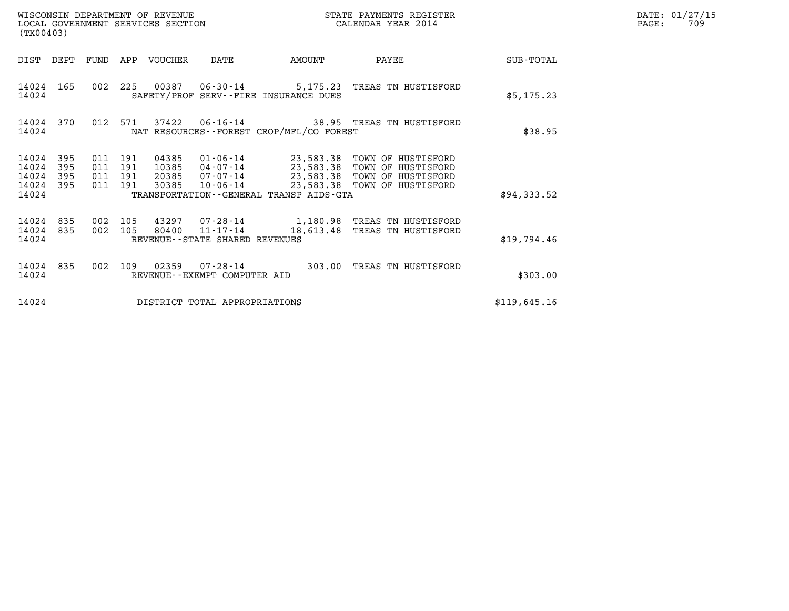| WISCONSIN DEPARTMENT OF REVENUE<br>LOCAL GOVERNMENT SERVICES SECTION<br>(TX00403) |                                                |                                  |                                                                       |                                             | STATE PAYMENTS REGISTER<br>CALENDAR YEAR 2014                                                                                         | DATE: 01/27/15<br>PAGE:<br>709 |  |
|-----------------------------------------------------------------------------------|------------------------------------------------|----------------------------------|-----------------------------------------------------------------------|---------------------------------------------|---------------------------------------------------------------------------------------------------------------------------------------|--------------------------------|--|
| DIST<br>DEPT                                                                      |                                                | FUND APP VOUCHER                 | DATE                                                                  | AMOUNT                                      | PAYEE                                                                                                                                 | SUB-TOTAL                      |  |
| 14024 165<br>14024                                                                |                                                |                                  | 002 225 00387 06-30-14                                                | SAFETY/PROF SERV--FIRE INSURANCE DUES       | 5,175.23 TREAS TN HUSTISFORD                                                                                                          | \$5,175.23                     |  |
| 14024 370<br>14024                                                                | 012 571                                        | 37422                            |                                                                       | NAT RESOURCES - - FOREST CROP/MFL/CO FOREST | 06-16-14 38.95 TREAS TN HUSTISFORD                                                                                                    | \$38.95                        |  |
| 395<br>14024<br>395<br>14024<br>14024<br>395<br>395<br>14024<br>14024             | 011 191<br>011<br>191<br>011<br>191<br>011 191 | 04385<br>10385<br>20385<br>30385 | 04-07-14<br>$07 - 07 - 14$<br>10-06-14                                | TRANSPORTATION--GENERAL TRANSP AIDS-GTA     | 01-06-14 23,583.38 TOWN OF HUSTISFORD<br>23,583.38 TOWN OF HUSTISFORD<br>23,583.38 TOWN OF HUSTISFORD<br>23,583.38 TOWN OF HUSTISFORD | \$94,333.52                    |  |
| 14024 835<br>14024<br>835<br>14024                                                | 002 105<br>002 105                             | 80400                            | 43297 07-28-14<br>$11 - 17 - 14$<br>REVENUE - - STATE SHARED REVENUES | 18,613.48                                   | 1,180.98 TREAS TN HUSTISFORD<br>TREAS TN HUSTISFORD                                                                                   | \$19,794.46                    |  |
| 14024 835<br>14024                                                                | 002<br>109                                     | 02359                            | 07-28-14<br>REVENUE - - EXEMPT COMPUTER AID                           |                                             | 303.00 TREAS TN HUSTISFORD                                                                                                            | \$303.00                       |  |
| 14024                                                                             |                                                |                                  | DISTRICT TOTAL APPROPRIATIONS                                         |                                             |                                                                                                                                       | \$119,645.16                   |  |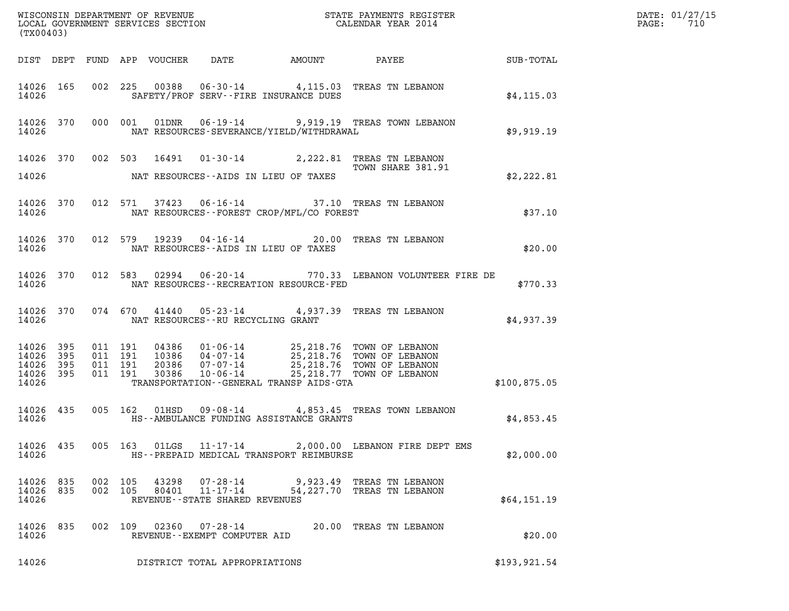| (TX00403)                                                 |     |                | WISCONSIN DEPARTMENT OF REVENUE<br>LOCAL GOVERNMENT SERVICES SECTION CALENDAR YEAR 2014                                                                                                                                                                                                                                                                                                                      | DATE: 01/27/15<br>$\mathtt{PAGE:}$<br>710 |
|-----------------------------------------------------------|-----|----------------|--------------------------------------------------------------------------------------------------------------------------------------------------------------------------------------------------------------------------------------------------------------------------------------------------------------------------------------------------------------------------------------------------------------|-------------------------------------------|
|                                                           |     |                |                                                                                                                                                                                                                                                                                                                                                                                                              |                                           |
| 14026                                                     |     |                | 14026 165 002 225 00388 06-30-14 4,115.03 TREAS TN LEBANON<br>SAFETY/PROF SERV--FIRE INSURANCE DUES<br>\$4, 115.03                                                                                                                                                                                                                                                                                           |                                           |
| 14026                                                     |     |                | 14026 370 000 001 01DNR 06-19-14 9,919.19 TREAS TOWN LEBANON<br>NAT RESOURCES-SEVERANCE/YIELD/WITHDRAWAL<br>\$9,919.19                                                                                                                                                                                                                                                                                       |                                           |
| 14026                                                     |     |                | 14026 370 002 503 16491 01-30-14 2,222.81 TREAS TN LEBANON<br>TOWN SHARE 381.91<br>NAT RESOURCES--AIDS IN LIEU OF TAXES<br>\$2,222.81                                                                                                                                                                                                                                                                        |                                           |
|                                                           |     |                | 14026 370 012 571 37423 06-16-14 37.10 TREAS TN LEBANON<br>14026 MAT RESOURCES--FOREST CROP/MFL/CO FOREST<br>\$37.10                                                                                                                                                                                                                                                                                         |                                           |
|                                                           |     |                | 14026 370 012 579 19239 04-16-14 20.00 TREAS TN LEBANON<br>\$20.00<br>14026 NAT RESOURCES--AIDS IN LIEU OF TAXES                                                                                                                                                                                                                                                                                             |                                           |
|                                                           |     |                | 14026 370 012 583 02994 06-20-14 770.33 LEBANON VOLUNTEER FIRE DE<br>14026 MAT RESOURCES--RECREATION RESOURCE-FED<br>\$770.33                                                                                                                                                                                                                                                                                |                                           |
|                                                           |     |                | 14026 370 074 670 41440 05-23-14 4,937.39 TREAS TN LEBANON<br>\$4,937.39<br>14026 NAT RESOURCES--RU RECYCLING GRANT                                                                                                                                                                                                                                                                                          |                                           |
| 14026 395<br>14026 395<br>14026 395<br>14026 395<br>14026 |     |                | $\begin{array}{cccc} 011 & 191 & 04386 & 01\cdot 06\cdot 14 & 25,218.76 & \text{TOWN OF LEBANON} \\ 011 & 191 & 10386 & 04\cdot 07\cdot 14 & 25,218.76 & \text{TOWN OF LEBANON} \\ 011 & 191 & 20386 & 07\cdot 07\cdot 14 & 25,218.76 & \text{TOWN OF LEBANON} \\ 011 & 191 & 30386 & 10\cdot 06\cdot 14 & 25,218.77 & \text{TOWN OF LEBANON} \\$<br>TRANSPORTATION--GENERAL TRANSP AIDS-GTA<br>\$100,875.05 |                                           |
| 14026 435<br>14026                                        |     |                | 005 162 01HSD 09-08-14 4,853.45 TREAS TOWN LEBANON<br>HS--AMBULANCE FUNDING ASSISTANCE GRANTS<br>\$4,853.45                                                                                                                                                                                                                                                                                                  |                                           |
| 14026 435<br>14026                                        |     |                | 005 163 01LGS<br>$11 - 17 - 14$<br>2,000.00 LEBANON FIRE DEPT EMS<br>HS--PREPAID MEDICAL TRANSPORT REIMBURSE<br>\$2,000.00                                                                                                                                                                                                                                                                                   |                                           |
| 14026 835<br>14026<br>14026                               | 835 | 002<br>002 105 | 105<br>43298<br>07-28-14<br>9,923.49 TREAS TN LEBANON<br>$11 - 17 - 14$<br>80401<br>54,227.70 TREAS TN LEBANON<br>\$64,151.19<br>REVENUE--STATE SHARED REVENUES                                                                                                                                                                                                                                              |                                           |
| 14026<br>14026                                            | 835 |                | 002 109 02360 07-28-14 20.00 TREAS TN LEBANON<br>\$20.00<br>REVENUE--EXEMPT COMPUTER AID                                                                                                                                                                                                                                                                                                                     |                                           |
| 14026                                                     |     |                | \$193,921.54<br>DISTRICT TOTAL APPROPRIATIONS                                                                                                                                                                                                                                                                                                                                                                |                                           |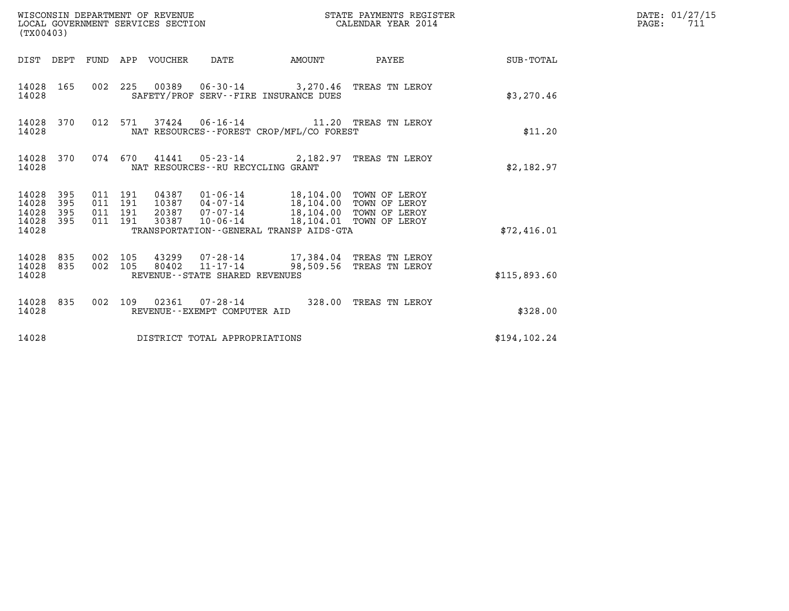| WISCONSIN DEPARTMENT OF REVENUE<br>LOCAL GOVERNMENT SERVICES SECTION<br>(TX00403) |                   |                                          |         |                                 |                                                     |                                                                                                                                                                                                                    | STATE PAYMENTS REGISTER<br>CALENDAR YEAR 2014 |                 | DATE: 01/27/15<br>$\mathtt{PAGE:}$<br>711 |
|-----------------------------------------------------------------------------------|-------------------|------------------------------------------|---------|---------------------------------|-----------------------------------------------------|--------------------------------------------------------------------------------------------------------------------------------------------------------------------------------------------------------------------|-----------------------------------------------|-----------------|-------------------------------------------|
|                                                                                   |                   |                                          |         | DIST DEPT FUND APP VOUCHER DATE |                                                     | <b>AMOUNT</b>                                                                                                                                                                                                      |                                               | PAYEE SUB-TOTAL |                                           |
| 14028 165<br>14028                                                                |                   |                                          |         |                                 |                                                     | 002 225 00389 06-30-14 3,270.46 TREAS TN LEROY<br>SAFETY/PROF SERV--FIRE INSURANCE DUES                                                                                                                            |                                               | \$3,270.46      |                                           |
| 14028 370<br>14028                                                                |                   |                                          | 012 571 |                                 |                                                     | NAT RESOURCES--FOREST CROP/MFL/CO FOREST                                                                                                                                                                           |                                               | \$11.20         |                                           |
| 14028                                                                             | 14028 370         |                                          |         |                                 | NAT RESOURCES - - RU RECYCLING GRANT                | 074 670 41441 05-23-14 2,182.97 TREAS TN LEROY                                                                                                                                                                     |                                               | \$2,182.97      |                                           |
| 14028<br>14028<br>14028<br>14028 395<br>14028                                     | 395<br>395<br>395 | 011 191<br>011 191<br>011 191<br>011 191 |         | 30387                           |                                                     | 04387  01-06-14  18,104.00 TOWN OF LEROY<br>10387  04-07-14  18,104.00 TOWN OF LEROY<br>20387 07-07-14 18,104.00 TOWN OF LEROY<br>10-06-14 18,104.01 TOWN OF LEROY<br>TRANSPORTATION - - GENERAL TRANSP AIDS - GTA |                                               | \$72,416.01     |                                           |
| 14028 835<br>14028 835<br>14028                                                   |                   | 002 105<br>002 105                       |         | 80402                           | $11 - 17 - 14$<br>REVENUE - - STATE SHARED REVENUES | 43299  07-28-14  17,384.04  TREAS TN LEROY                                                                                                                                                                         | 98,509.56 TREAS TN LEROY                      | \$115,893.60    |                                           |
| 14028                                                                             | 14028 835         |                                          |         |                                 | REVENUE--EXEMPT COMPUTER AID                        | 002 109 02361 07-28-14 328.00 TREAS TN LEROY                                                                                                                                                                       |                                               | \$328.00        |                                           |
| 14028                                                                             |                   |                                          |         |                                 | DISTRICT TOTAL APPROPRIATIONS                       |                                                                                                                                                                                                                    |                                               | \$194, 102.24   |                                           |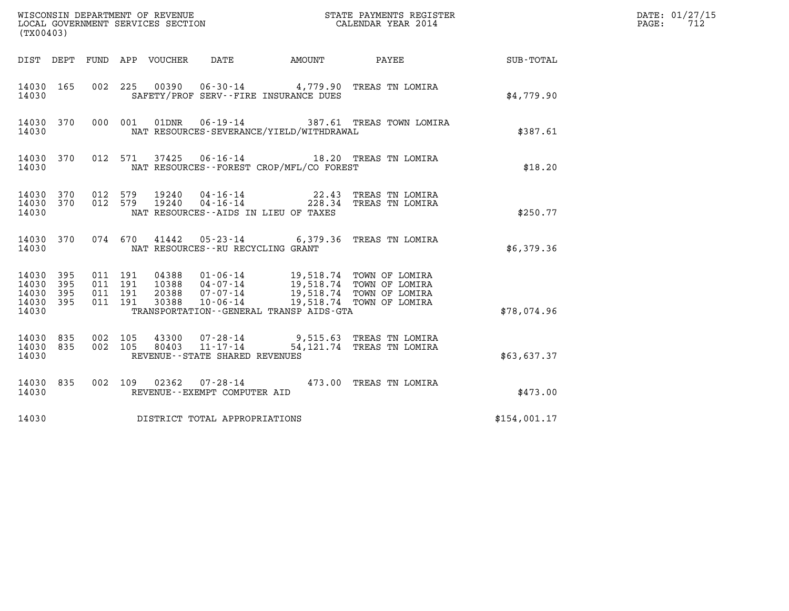| (TX00403)                                 |                          |                                          |                            | WISCONSIN DEPARTMENT OF REVENUE<br>LOCAL GOVERNMENT SERVICES SECTION |                                                                                                                                                                                        | STATE PAYMENTS REGISTER<br>CALENDAR YEAR 2014                  |              | DATE: 01/27/15<br>712<br>PAGE: |
|-------------------------------------------|--------------------------|------------------------------------------|----------------------------|----------------------------------------------------------------------|----------------------------------------------------------------------------------------------------------------------------------------------------------------------------------------|----------------------------------------------------------------|--------------|--------------------------------|
|                                           |                          |                                          | DIST DEPT FUND APP VOUCHER | DATE                                                                 | AMOUNT PAYEE                                                                                                                                                                           |                                                                | SUB-TOTAL    |                                |
| 14030 165<br>14030                        |                          |                                          |                            |                                                                      | SAFETY/PROF SERV--FIRE INSURANCE DUES                                                                                                                                                  | 002 225 00390 06-30-14 4,779.90 TREAS TN LOMIRA                | \$4.779.90   |                                |
| 14030 370<br>14030                        |                          |                                          | 000 001<br>01DNR           |                                                                      | NAT RESOURCES-SEVERANCE/YIELD/WITHDRAWAL                                                                                                                                               | 06-19-14 387.61 TREAS TOWN LOMIRA                              | \$387.61     |                                |
| 14030 370<br>14030                        |                          |                                          | 012 571                    |                                                                      | NAT RESOURCES - - FOREST CROP/MFL/CO FOREST                                                                                                                                            | 37425  06-16-14  18.20 TREAS TN LOMIRA                         | \$18.20      |                                |
| 14030 370<br>14030 370<br>14030           |                          | 012 579<br>012 579                       |                            |                                                                      | 22.43<br>NAT RESOURCES -- AIDS IN LIEU OF TAXES                                                                                                                                        | TREAS TN LOMIRA<br>228.34 TREAS TN LOMIRA                      | \$250.77     |                                |
| 14030 370<br>14030                        |                          |                                          | 074 670                    | NAT RESOURCES -- RU RECYCLING GRANT                                  |                                                                                                                                                                                        | 41442  05-23-14  6,379.36  TREAS TN LOMIRA                     | \$6,379.36   |                                |
| 14030<br>14030<br>14030<br>14030<br>14030 | 395<br>395<br>395<br>395 | 011 191<br>011 191<br>011 191<br>011 191 | 30388                      | $10 - 06 - 14$                                                       | 04388  01-06-14  19,518.74  TOWN OF LOMIRA<br>10388  04-07-14  19,518.74  TOWN OF LOMIRA<br>20388  07-07-14  19,518.74  TOWN OF LOMIRA<br>TRANSPORTATION - - GENERAL TRANSP AIDS - GTA | 19,518.74 TOWN OF LOMIRA                                       | \$78,074.96  |                                |
| 14030 835<br>14030 835<br>14030           |                          | 002 105<br>002 105                       | 43300<br>80403             | $11 - 17 - 14$<br>REVENUE--STATE SHARED REVENUES                     |                                                                                                                                                                                        | 07-28-14 9,515.63 TREAS TN LOMIRA<br>54,121.74 TREAS TN LOMIRA | \$63,637.37  |                                |
| 14030 835<br>14030                        |                          |                                          | 002 109<br>02362           | REVENUE--EXEMPT COMPUTER AID                                         |                                                                                                                                                                                        | 07-28-14  473.00 TREAS TN LOMIRA                               | \$473.00     |                                |
| 14030                                     |                          |                                          |                            | DISTRICT TOTAL APPROPRIATIONS                                        |                                                                                                                                                                                        |                                                                | \$154,001.17 |                                |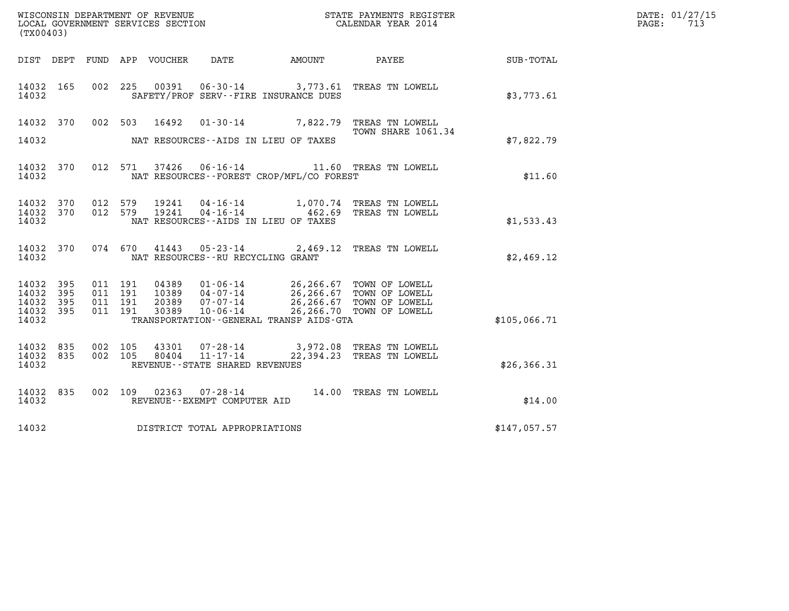| WISCONSIN DEPARTMENT OF REVENUE                               STATE PAYMENTS REGISTER LOCAL GOVERNMENT SERVICES SECTION                               CALENDAR YEAR 2014<br>(TX00403) |                           |                               |                    |                                 |                                               |                                              |                                                                                                                                                                                      |              | DATE: 01/27/15<br>$\mathtt{PAGE:}$<br>713 |
|---------------------------------------------------------------------------------------------------------------------------------------------------------------------------------------|---------------------------|-------------------------------|--------------------|---------------------------------|-----------------------------------------------|----------------------------------------------|--------------------------------------------------------------------------------------------------------------------------------------------------------------------------------------|--------------|-------------------------------------------|
|                                                                                                                                                                                       |                           |                               |                    | DIST DEPT FUND APP VOUCHER DATE |                                               | AMOUNT                                       | <b>PAYEE</b>                                                                                                                                                                         | SUB-TOTAL    |                                           |
| 14032 165<br>14032                                                                                                                                                                    |                           |                               |                    |                                 |                                               | SAFETY/PROF SERV--FIRE INSURANCE DUES        | 002 225 00391 06-30-14 3,773.61 TREAS TN LOWELL                                                                                                                                      | \$3,773.61   |                                           |
| 14032 370                                                                                                                                                                             |                           |                               | 002 503            | 16492                           |                                               |                                              | 01-30-14 7,822.79 TREAS TN LOWELL<br>TOWN SHARE 1061.34                                                                                                                              |              |                                           |
| 14032                                                                                                                                                                                 |                           |                               |                    |                                 |                                               | NAT RESOURCES--AIDS IN LIEU OF TAXES         |                                                                                                                                                                                      | \$7,822.79   |                                           |
| 14032 370<br>14032                                                                                                                                                                    |                           |                               |                    |                                 |                                               | NAT RESOURCES - - FOREST CROP/MFL/CO FOREST  | 012 571 37426 06-16-14 11.60 TREAS TN LOWELL                                                                                                                                         | \$11.60      |                                           |
| 14032 370<br>14032<br>14032                                                                                                                                                           | 370                       |                               | 012 579            | 19241                           |                                               | NAT RESOURCES--AIDS IN LIEU OF TAXES         | 012 579 19241 04-16-14 1,070.74 TREAS TN LOWELL<br>04-16-14    462.69 TREAS TN LOWELL                                                                                                | \$1,533.43   |                                           |
| 14032 370<br>14032                                                                                                                                                                    |                           |                               | 074 670            |                                 | NAT RESOURCES - - RU RECYCLING GRANT          |                                              | 41443  05-23-14  2,469.12  TREAS TN LOWELL                                                                                                                                           | \$2,469.12   |                                           |
| 14032<br>14032<br>14032<br>14032<br>14032                                                                                                                                             | 395<br>-395<br>395<br>395 | 011 191<br>011 191<br>011 191 | 011 191            |                                 |                                               | TRANSPORTATION - - GENERAL TRANSP AIDS - GTA | 04389  01-06-14  26,266.67  TOWN OF LOWELL<br>10389  04-07-14  26,266.67  TOWN OF LOWELL<br>20389  07-07-14  26,266.67  TOWN OF LOWELL<br>30389  10-06-14  26,266.70  TOWN OF LOWELL | \$105,066.71 |                                           |
| 14032 835<br>14032<br>14032                                                                                                                                                           | 835                       |                               | 002 105<br>002 105 | 43301<br>80404                  | 11-17-14<br>REVENUE - - STATE SHARED REVENUES |                                              | 07-28-14 3,972.08 TREAS TN LOWELL<br>22,394.23 TREAS TN LOWELL                                                                                                                       | \$26, 366.31 |                                           |
| 14032 835<br>14032                                                                                                                                                                    |                           |                               |                    |                                 | REVENUE--EXEMPT COMPUTER AID                  |                                              | 002 109 02363 07-28-14 14.00 TREAS TN LOWELL                                                                                                                                         | \$14.00      |                                           |
| 14032                                                                                                                                                                                 |                           |                               |                    |                                 | DISTRICT TOTAL APPROPRIATIONS                 |                                              |                                                                                                                                                                                      | \$147,057.57 |                                           |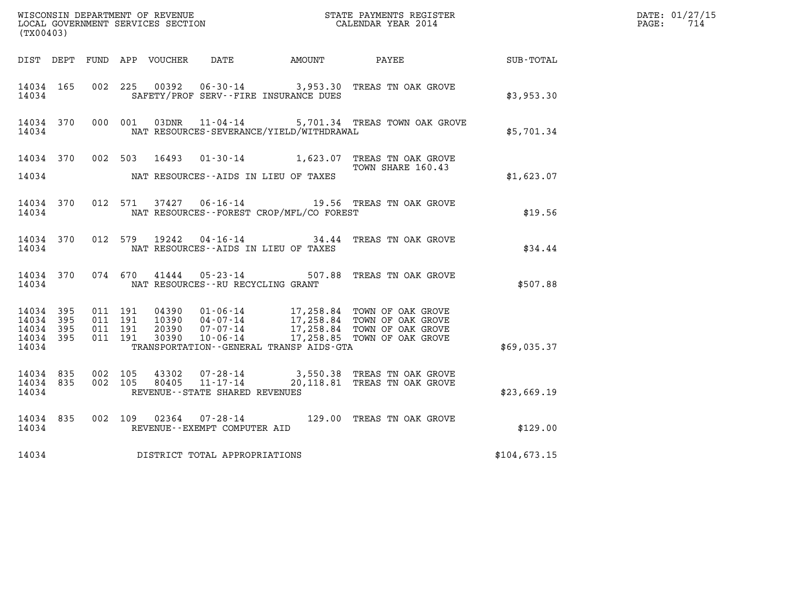|                                                   | (TX00403)  |                               |         |                |                                                  |                                          |                                                                                                                                                                                |                  | DATE: 01/27/15<br>$\mathtt{PAGE:}$<br>714 |
|---------------------------------------------------|------------|-------------------------------|---------|----------------|--------------------------------------------------|------------------------------------------|--------------------------------------------------------------------------------------------------------------------------------------------------------------------------------|------------------|-------------------------------------------|
|                                                   |            |                               |         |                |                                                  | DIST DEPT FUND APP VOUCHER DATE AMOUNT   | PAYEE                                                                                                                                                                          | <b>SUB-TOTAL</b> |                                           |
| 14034 165<br>14034                                |            |                               |         | 002 225 00392  |                                                  | SAFETY/PROF SERV--FIRE INSURANCE DUES    | 06-30-14 3,953.30 TREAS TN OAK GROVE                                                                                                                                           | \$3,953.30       |                                           |
| 14034 370<br>14034                                |            |                               | 000 001 |                |                                                  | NAT RESOURCES-SEVERANCE/YIELD/WITHDRAWAL | 03DNR  11-04-14  5,701.34 TREAS TOWN OAK GROVE                                                                                                                                 | \$5,701.34       |                                           |
| 14034 370<br>14034                                |            |                               |         | 002 503 16493  |                                                  | NAT RESOURCES--AIDS IN LIEU OF TAXES     | 01-30-14 1,623.07 TREAS TN OAK GROVE<br>TOWN SHARE 160.43                                                                                                                      | \$1,623.07       |                                           |
| 14034 370<br>14034                                |            |                               |         |                |                                                  | NAT RESOURCES--FOREST CROP/MFL/CO FOREST | 012 571 37427 06-16-14 19.56 TREAS TN OAK GROVE                                                                                                                                | \$19.56          |                                           |
| 14034 370<br>14034                                |            | 012 579                       |         | 19242          | $04 - 16 - 14$                                   | NAT RESOURCES -- AIDS IN LIEU OF TAXES   | 34.44 TREAS TN OAK GROVE                                                                                                                                                       | \$34.44          |                                           |
| 14034 370<br>14034                                |            |                               |         | 074 670 41444  | NAT RESOURCES - - RU RECYCLING GRANT             |                                          | 05-23-14 507.88 TREAS TN OAK GROVE                                                                                                                                             | \$507.88         |                                           |
| 14034<br>14034<br>14034 395<br>14034 395<br>14034 | 395<br>395 | 011 191<br>011 191<br>011 191 | 011 191 | 30390          | $10 - 06 - 14$                                   | TRANSPORTATION--GENERAL TRANSP AIDS-GTA  | 04390  01-06-14  17,258.84  TOWN OF OAK GROVE<br>10390  04-07-14  17,258.84  TOWN OF OAK GROVE<br>20390  07-07-14  17,258.84  TOWN OF OAK GROVE<br>17,258.85 TOWN OF OAK GROVE | \$69,035.37      |                                           |
| 14034 835<br>14034 835<br>14034                   |            | 002 105<br>002 105            |         | 43302<br>80405 | $11 - 17 - 14$<br>REVENUE--STATE SHARED REVENUES |                                          | 07-28-14 3,550.38 TREAS TN OAK GROVE<br>20,118.81 TREAS TN OAK GROVE                                                                                                           | \$23,669.19      |                                           |
| 14034 835<br>14034                                |            | 002 109                       |         | 02364          | $07 - 28 - 14$<br>REVENUE--EXEMPT COMPUTER AID   |                                          | 129.00 TREAS TN OAK GROVE                                                                                                                                                      | \$129.00         |                                           |
| 14034                                             |            |                               |         |                | DISTRICT TOTAL APPROPRIATIONS                    |                                          |                                                                                                                                                                                | \$104,673.15     |                                           |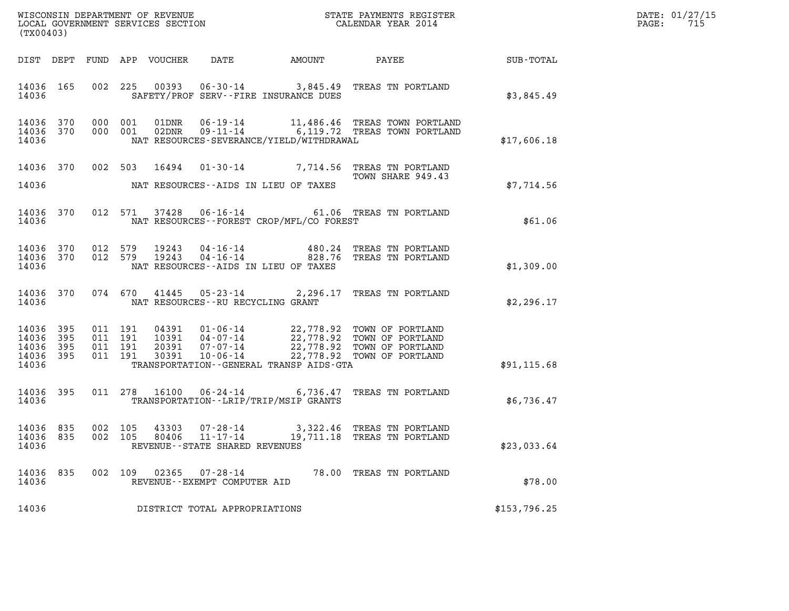|                                                       | (TX00403) |  |  |  |                                                           |                                          |                                                                                                                                                                                                                                                                                                                                                                    |                                                        | DATE: 01/27/15<br>PAGE: 715 |
|-------------------------------------------------------|-----------|--|--|--|-----------------------------------------------------------|------------------------------------------|--------------------------------------------------------------------------------------------------------------------------------------------------------------------------------------------------------------------------------------------------------------------------------------------------------------------------------------------------------------------|--------------------------------------------------------|-----------------------------|
|                                                       |           |  |  |  |                                                           |                                          |                                                                                                                                                                                                                                                                                                                                                                    | DIST DEPT FUND APP VOUCHER DATE AMOUNT PAYEE SUB-TOTAL |                             |
| 14036 165<br>14036                                    |           |  |  |  |                                                           | SAFETY/PROF SERV--FIRE INSURANCE DUES    | 002 225 00393 06-30-14 3,845.49 TREAS TN PORTLAND                                                                                                                                                                                                                                                                                                                  | \$3,845.49                                             |                             |
| 14036 370<br>14036 370<br>14036                       |           |  |  |  |                                                           | NAT RESOURCES-SEVERANCE/YIELD/WITHDRAWAL | 000 001 01DNR 06-19-14 11,486.46 TREAS TOWN PORTLAND<br>000 001 02DNR 09-11-14 6,119.72 TREAS TOWN PORTLAND                                                                                                                                                                                                                                                        | \$17,606.18                                            |                             |
| 14036 370<br>14036                                    |           |  |  |  |                                                           | NAT RESOURCES--AIDS IN LIEU OF TAXES     | 002 503 16494 01-30-14 7,714.56 TREAS TN PORTLAND<br>TOWN SHARE 949.43                                                                                                                                                                                                                                                                                             | \$7,714.56                                             |                             |
| 14036                                                 |           |  |  |  |                                                           | NAT RESOURCES--FOREST CROP/MFL/CO FOREST | 14036 370 012 571 37428 06-16-14 61.06 TREAS TN PORTLAND                                                                                                                                                                                                                                                                                                           | \$61.06                                                |                             |
| 14036                                                 |           |  |  |  |                                                           | NAT RESOURCES--AIDS IN LIEU OF TAXES     | $\begin{array}{cccccc} 14036 & 370 & 012 & 579 & 19243 & 04-16-14 & & & & 480.24 & \text{TREAS TN PORTLAND} \\ 14036 & 370 & 012 & 579 & 19243 & 04-16-14 & & & & 828.76 & \text{TREAS TN PORTLAND} \end{array}$                                                                                                                                                   | \$1,309.00                                             |                             |
| 14036 370<br>14036                                    |           |  |  |  | NAT RESOURCES--RU RECYCLING GRANT                         |                                          | 074 670 41445 05-23-14 2,296.17 TREAS TN PORTLAND                                                                                                                                                                                                                                                                                                                  | \$2,296.17                                             |                             |
| 14036 395<br>14036 395<br>14036<br>14036 395<br>14036 | - 395     |  |  |  |                                                           | TRANSPORTATION--GENERAL TRANSP AIDS-GTA  | $\begin{array}{cccc} 011 & 191 & 04391 & 01\cdot 06\cdot 14 & 22\,778.92 & \text{TOWN OF PORTLAND} \\ 011 & 191 & 10391 & 04\cdot 07\cdot 14 & 22\,778.92 & \text{TOWN OF PORTLAND} \\ 011 & 191 & 20391 & 07\cdot 07\cdot 14 & 22\,778.92 & \text{TOWN OF PORTLAND} \\ 011 & 191 & 30391 & 10\cdot 06\cdot 14 & 22\,778.92 & \text{TOWN OF PORTLAND} \end{array}$ | \$91,115.68                                            |                             |
|                                                       |           |  |  |  |                                                           |                                          |                                                                                                                                                                                                                                                                                                                                                                    |                                                        |                             |
| 14036                                                 |           |  |  |  |                                                           | TRANSPORTATION--LRIP/TRIP/MSIP GRANTS    | 14036 395 011 278 16100 06-24-14 6,736.47 TREAS TN PORTLAND                                                                                                                                                                                                                                                                                                        | \$6,736.47                                             |                             |
| 14036 835<br>14036                                    |           |  |  |  | REVENUE--STATE SHARED REVENUES                            |                                          | 14036 835 002 105 43303 07-28-14 3,322.46 TREAS TN PORTLAND<br>002  105  80406  11-17-14  19,711.18  TREAS TN PORTLAND                                                                                                                                                                                                                                             | \$23,033.64                                            |                             |
| 14036 835<br>14036                                    |           |  |  |  | 002 109 02365 07-28-14<br>REVENUE - - EXEMPT COMPUTER AID |                                          | 78.00 TREAS TN PORTLAND                                                                                                                                                                                                                                                                                                                                            | \$78.00                                                |                             |
| 14036                                                 |           |  |  |  | DISTRICT TOTAL APPROPRIATIONS                             |                                          |                                                                                                                                                                                                                                                                                                                                                                    | \$153,796.25                                           |                             |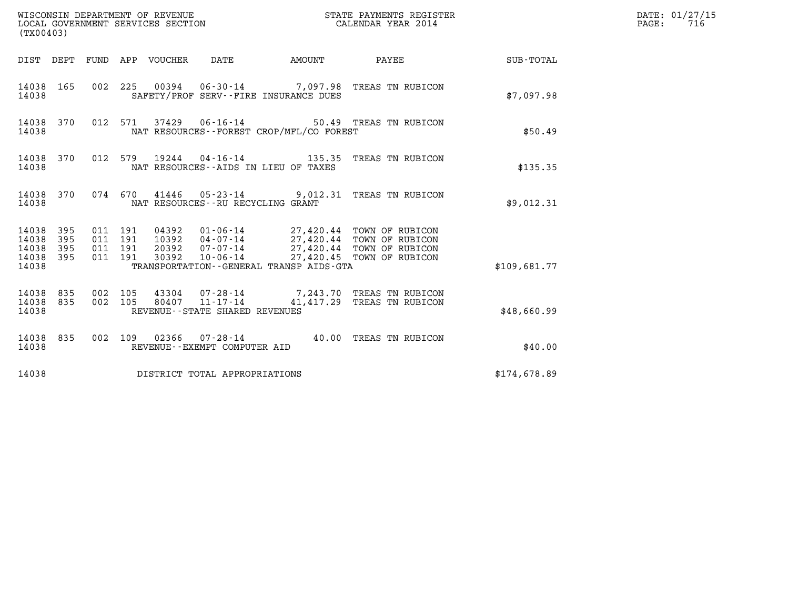| (TX00403)                                                                                                      | WISCONSIN DEPARTMENT OF REVENUE<br>LOCAL GOVERNMENT SERVICES SECTION                                                                                           | STATE PAYMENTS REGISTER<br>CALENDAR YEAR 2014                                       |              | DATE: 01/27/15<br>PAGE:<br>716 |
|----------------------------------------------------------------------------------------------------------------|----------------------------------------------------------------------------------------------------------------------------------------------------------------|-------------------------------------------------------------------------------------|--------------|--------------------------------|
| DIST DEPT FUND APP VOUCHER DATE                                                                                | <b>EXAMPLE THE AMOUNT</b>                                                                                                                                      | PAYEE                                                                               | SUB-TOTAL    |                                |
| 14038 165<br>14038                                                                                             | 002 225 00394 06-30-14 7,097.98 TREAS TN RUBICON<br>SAFETY/PROF SERV--FIRE INSURANCE DUES                                                                      |                                                                                     | \$7,097.98   |                                |
| 14038 370<br>14038                                                                                             | 012 571 37429 06-16-14<br>NAT RESOURCES--FOREST CROP/MFL/CO FOREST                                                                                             | 50.49 TREAS TN RUBICON                                                              | \$50.49      |                                |
| 14038 370<br>012 579<br>14038                                                                                  | NAT RESOURCES -- AIDS IN LIEU OF TAXES                                                                                                                         |                                                                                     | \$135.35     |                                |
| 14038 370<br>14038                                                                                             | 074 670 41446 05-23-14 9,012.31 TREAS TN RUBICON<br>NAT RESOURCES -- RU RECYCLING GRANT                                                                        |                                                                                     | \$9,012.31   |                                |
| 14038 395<br>011 191<br>14038<br>395<br>011 191<br>14038<br>395<br>011 191<br>395<br>011 191<br>14038<br>14038 | 04392<br>01-06-14    27,420.44 TOWN OF RUBICON<br>10392<br>04-07-14<br>20392<br>07-07-14<br>$10 - 06 - 14$<br>30392<br>TRANSPORTATION--GENERAL TRANSP AIDS-GTA | 27,420.44 TOWN OF RUBICON<br>27,420.44 TOWN OF RUBICON<br>27,420.45 TOWN OF RUBICON | \$109,681.77 |                                |
| 14038 835<br>002 105<br>835<br>002 105<br>14038<br>14038                                                       | 43304 07-28-14 7,243.70 TREAS TN RUBICON<br>80407<br>11-17-14<br>REVENUE - - STATE SHARED REVENUES                                                             | 41,417.29 TREAS TN RUBICON                                                          | \$48,660.99  |                                |
| 14038 835<br>14038                                                                                             | 002 109 02366 07-28-14 40.00 TREAS TN RUBICON<br>REVENUE--EXEMPT COMPUTER AID                                                                                  |                                                                                     | \$40.00      |                                |
| 14038                                                                                                          | DISTRICT TOTAL APPROPRIATIONS                                                                                                                                  |                                                                                     | \$174,678.89 |                                |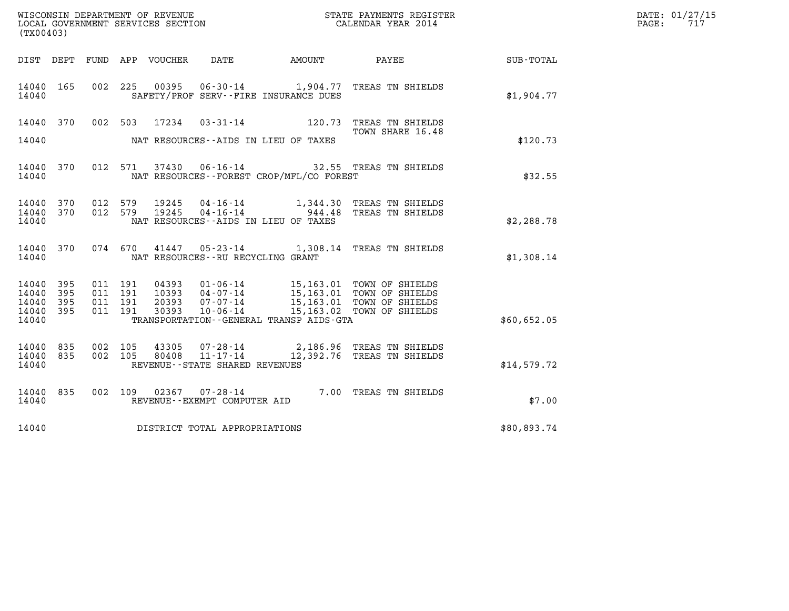| WISCONSIN DEPARTMENT OF REVENUE<br>LOCAL GOVERNMENT SERVICES SECTION | STATE PAYMENTS REGISTER<br>CALENDAR YEAR 2014 | DATE: 01/27/15<br>715<br>PAGE: |
|----------------------------------------------------------------------|-----------------------------------------------|--------------------------------|

| (TX00403)              |            |                                      |                                     |                                              | WISCONSIN DEPARTMENT OF REVENUE<br>LOCAL GOVERNMENT SERVICES SECTION<br>CALENDAR YEAR 2014                                                                                                                   |             | DATE: 01/27/15<br>$\mathtt{PAGE:}$<br>717 |
|------------------------|------------|--------------------------------------|-------------------------------------|----------------------------------------------|--------------------------------------------------------------------------------------------------------------------------------------------------------------------------------------------------------------|-------------|-------------------------------------------|
|                        |            |                                      |                                     |                                              | DIST DEPT FUND APP VOUCHER DATE AMOUNT PAYEE                                                                                                                                                                 | SUB-TOTAL   |                                           |
| 14040 165<br>14040     |            |                                      |                                     | SAFETY/PROF SERV--FIRE INSURANCE DUES        | 002 225 00395 06-30-14 1,904.77 TREAS TN SHIELDS                                                                                                                                                             | \$1,904.77  |                                           |
| 14040 370              |            |                                      |                                     |                                              | 002 503 17234 03-31-14 120.73 TREAS TN SHIELDS<br>TOWN SHARE 16.48                                                                                                                                           |             |                                           |
| 14040                  |            | NAT RESOURCES--AIDS IN LIEU OF TAXES |                                     |                                              |                                                                                                                                                                                                              | \$120.73    |                                           |
| 14040 370<br>14040     |            |                                      |                                     | NAT RESOURCES--FOREST CROP/MFL/CO FOREST     | 012 571 37430 06-16-14 32.55 TREAS TN SHIELDS                                                                                                                                                                | \$32.55     |                                           |
| 14040<br>14040 370     | 370        |                                      |                                     |                                              | 012 579 19245 04-16-14 1,344.30 TREAS TN SHIELDS<br>012 579 19245 04-16-14 944.48 TREAS TN SHIELDS                                                                                                           |             |                                           |
| 14040                  |            |                                      |                                     | NAT RESOURCES--AIDS IN LIEU OF TAXES         |                                                                                                                                                                                                              | \$2,288.78  |                                           |
| 14040 370<br>14040     |            |                                      | NAT RESOURCES -- RU RECYCLING GRANT |                                              | 074 670 41447 05-23-14 1,308.14 TREAS TN SHIELDS                                                                                                                                                             | \$1,308.14  |                                           |
| 14040<br>14040         | 395<br>395 |                                      |                                     |                                              |                                                                                                                                                                                                              |             |                                           |
| 14040<br>14040         | 395<br>395 |                                      |                                     |                                              | 011 191 04393 01-06-14 15,163.01 TOWN OF SHIELDS<br>011 191 10393 04-07-14 15,163.01 TOWN OF SHIELDS<br>011 191 20393 07-07-14 15,163.01 TOWN OF SHIELDS<br>011 191 30393 10-06-14 15,163.02 TOWN OF SHIELDS |             |                                           |
| 14040                  |            |                                      |                                     | TRANSPORTATION - - GENERAL TRANSP AIDS - GTA |                                                                                                                                                                                                              | \$60,652.05 |                                           |
| 14040 835<br>14040 835 |            |                                      |                                     |                                              | 002 105 43305 07-28-14 2,186.96 TREAS TN SHIELDS<br>002 105 80408 11-17-14 12,392.76 TREAS TN SHIELDS                                                                                                        |             |                                           |
| 14040                  |            |                                      | REVENUE - - STATE SHARED REVENUES   |                                              |                                                                                                                                                                                                              | \$14,579.72 |                                           |
| 14040 835<br>14040     |            | 002 109 02367                        | REVENUE--EXEMPT COMPUTER AID        |                                              | 07-28-14 7.00 TREAS TN SHIELDS                                                                                                                                                                               | \$7.00      |                                           |
| 14040                  |            | DISTRICT TOTAL APPROPRIATIONS        |                                     |                                              |                                                                                                                                                                                                              | \$80,893.74 |                                           |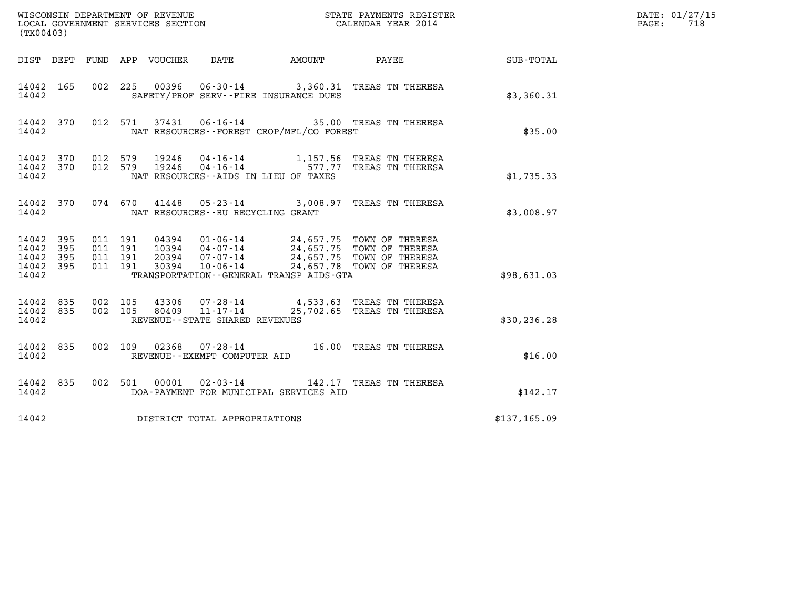| (TX00403)                                 |                            |                                          |                                                                                                                                                                                                                                                                  |              | DATE: 01/27/15<br>PAGE:<br>718 |
|-------------------------------------------|----------------------------|------------------------------------------|------------------------------------------------------------------------------------------------------------------------------------------------------------------------------------------------------------------------------------------------------------------|--------------|--------------------------------|
|                                           |                            |                                          | DIST DEPT FUND APP VOUCHER DATE<br>AMOUNT PAYEE                                                                                                                                                                                                                  | SUB-TOTAL    |                                |
| 14042 165<br>14042                        |                            |                                          | 002 225 00396 06-30-14 3,360.31 TREAS TN THERESA<br>SAFETY/PROF SERV--FIRE INSURANCE DUES                                                                                                                                                                        | \$3,360.31   |                                |
| 14042 370<br>14042                        |                            |                                          | 37431  06-16-14  35.00  TREAS TN THERESA<br>012 571<br>NAT RESOURCES - - FOREST CROP/MFL/CO FOREST                                                                                                                                                               | \$35.00      |                                |
| 14042 370<br>14042 370<br>14042           |                            |                                          | 012 579<br>$19246$ 04-16-14 1,157.56 TREAS TN THERESA<br>19246 04-16-14 577.77 TREAS TN THERESA<br>012 579<br>NAT RESOURCES--AIDS IN LIEU OF TAXES                                                                                                               | \$1,735.33   |                                |
| 14042 370<br>14042                        |                            |                                          | 41448  05-23-14  3,008.97  TREAS TN THERESA<br>074 670<br>NAT RESOURCES -- RU RECYCLING GRANT                                                                                                                                                                    | \$3,008.97   |                                |
| 14042<br>14042<br>14042<br>14042<br>14042 | 395<br>395<br>395<br>- 395 | 011 191<br>011 191<br>011 191<br>011 191 | 04394  01-06-14  24,657.75  TOWN OF THERESA<br>10394  04-07-14  24,657.75  TOWN OF THERESA<br>20394  07-07-14  24,657.75  TOWN OF THERESA<br>30394  10-06-14  24,657.78  TOWN OF THERESA<br>24,657.78 TOWN OF THERESA<br>TRANSPORTATION--GENERAL TRANSP AIDS-GTA | \$98,631.03  |                                |
| 14042 835<br>14042 835<br>14042           |                            | 002 105                                  | 43306  07-28-14  4,533.63 TREAS TN THERESA<br>80409  11-17-14  25,702.65 TREAS TN THERESA<br>002 105<br>REVENUE--STATE SHARED REVENUES                                                                                                                           | \$30, 236.28 |                                |
| 14042 835<br>14042                        |                            |                                          | 002 109 02368 07-28-14 16.00 TREAS TN THERESA<br>REVENUE--EXEMPT COMPUTER AID                                                                                                                                                                                    | \$16.00      |                                |
| 14042 835<br>14042                        |                            |                                          | 002 501 00001<br>DOA-PAYMENT FOR MUNICIPAL SERVICES AID                                                                                                                                                                                                          | \$142.17     |                                |
| 14042                                     |                            |                                          | DISTRICT TOTAL APPROPRIATIONS                                                                                                                                                                                                                                    | \$137,165.09 |                                |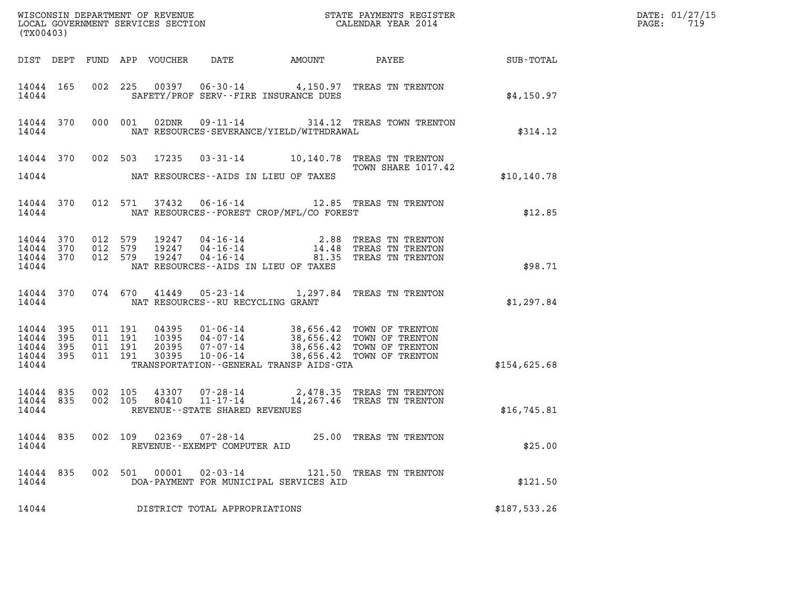| (TX00403)                                                 |                    |                    |                                 |                                                           |                                              |                                                                                                                                                                                 |              | DATE: 01/27/15<br>$\mathtt{PAGE:}$<br>719 |
|-----------------------------------------------------------|--------------------|--------------------|---------------------------------|-----------------------------------------------------------|----------------------------------------------|---------------------------------------------------------------------------------------------------------------------------------------------------------------------------------|--------------|-------------------------------------------|
|                                                           |                    |                    | DIST DEPT FUND APP VOUCHER DATE |                                                           |                                              |                                                                                                                                                                                 |              |                                           |
| 14044 165<br>14044                                        |                    |                    |                                 |                                                           | SAFETY/PROF SERV--FIRE INSURANCE DUES        | 002 225 00397 06-30-14 4,150.97 TREAS TN TRENTON                                                                                                                                | \$4,150.97   |                                           |
| 14044 370 000 001<br>14044                                |                    |                    |                                 |                                                           | NAT RESOURCES-SEVERANCE/YIELD/WITHDRAWAL     | 02DNR  09-11-14  314.12 TREAS TOWN TRENTON                                                                                                                                      | \$314.12     |                                           |
| 14044                                                     |                    |                    |                                 |                                                           | NAT RESOURCES--AIDS IN LIEU OF TAXES         | 14044 370 002 503 17235 03-31-14 10,140.78 TREAS TN TRENTON<br>TOWN SHARE 1017.42                                                                                               | \$10, 140.78 |                                           |
| 14044 370<br>14044                                        |                    |                    |                                 |                                                           | NAT RESOURCES - - FOREST CROP/MFL/CO FOREST  | 012 571 37432 06-16-14 12.85 TREAS TN TRENTON                                                                                                                                   | \$12.85      |                                           |
| 14044 370<br>14044 370<br>14044 370<br>14044              | 012 579<br>012 579 | 012 579            |                                 |                                                           | NAT RESOURCES--AIDS IN LIEU OF TAXES         | 19247  04-16-14  2.88 TREAS TN TRENTON<br>19247  04-16-14  14.48 TREAS TN TRENTON<br>19247  04-16-14  81.35 TREAS TN TRENTON                                                    | \$98.71      |                                           |
| 14044 370<br>14044                                        |                    |                    |                                 | NAT RESOURCES--RU RECYCLING GRANT                         |                                              | 074 670 41449 05-23-14 1,297.84 TREAS TN TRENTON                                                                                                                                | \$1,297.84   |                                           |
| 14044 395<br>14044 395<br>14044 395<br>14044 395<br>14044 | 011 191<br>011 191 | 011 191<br>011 191 | 30395                           |                                                           | TRANSPORTATION - - GENERAL TRANSP AIDS - GTA | 04395  01-06-14  38,656.42  TOWN OF TRENTON<br>10395  04-07-14  38,656.42  TOWN OF TRENTON<br>20395  07-07-14  38,656.42  TOWN OF TRENTON<br>10-06-14 38,656.42 TOWN OF TRENTON | \$154,625.68 |                                           |
| 14044 835<br>14044 835<br>14044                           | 002 105<br>002 105 |                    |                                 | REVENUE--STATE SHARED REVENUES                            |                                              | 43307  07-28-14  2,478.35  TREAS TN TRENTON<br>80410  11-17-14  14,267.46  TREAS TN TRENTON                                                                                     | \$16,745.81  |                                           |
| 14044 835<br>14044                                        |                    |                    |                                 | 002 109 02369 07-28-14<br>REVENUE - - EXEMPT COMPUTER AID |                                              | 25.00 TREAS TN TRENTON                                                                                                                                                          | \$25.00      |                                           |
| 14044 835<br>14044                                        |                    | 002 501            |                                 | $00001$ $02 - 03 - 14$                                    | DOA-PAYMENT FOR MUNICIPAL SERVICES AID       | 121.50 TREAS TN TRENTON                                                                                                                                                         | \$121.50     |                                           |
| 14044                                                     |                    |                    |                                 | DISTRICT TOTAL APPROPRIATIONS                             |                                              |                                                                                                                                                                                 | \$187,533.26 |                                           |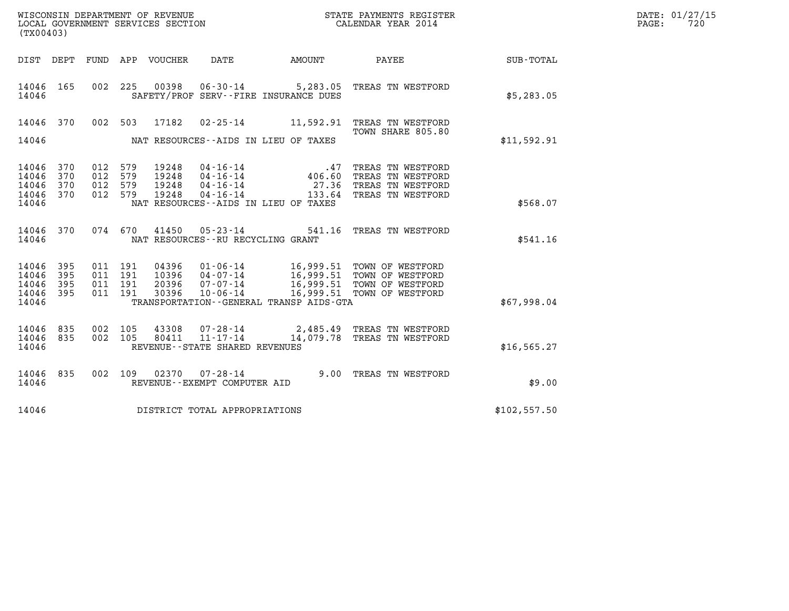| WISCONSIN DEPARTMENT OF REVENUE   | STATE PAYMENTS REGISTER | DATE: 01/27/15 |
|-----------------------------------|-------------------------|----------------|
| LOCAL GOVERNMENT SERVICES SECTION | CALENDAR YEAR 2014      | 720<br>PAGE:   |

|                                      | (TX00403)         |                                      |                               |                                  |                                         |  |                                                                                                                                                                            |              | DATE: 01/27/15<br>PAGE:<br>720 |
|--------------------------------------|-------------------|--------------------------------------|-------------------------------|----------------------------------|-----------------------------------------|--|----------------------------------------------------------------------------------------------------------------------------------------------------------------------------|--------------|--------------------------------|
|                                      |                   |                                      |                               |                                  | DIST DEPT FUND APP VOUCHER DATE AMOUNT  |  | <b>PAYEE</b>                                                                                                                                                               | SUB-TOTAL    |                                |
| 14046 165<br>14046                   |                   |                                      |                               |                                  | SAFETY/PROF SERV--FIRE INSURANCE DUES   |  | 002 225 00398 06-30-14 5,283.05 TREAS TN WESTFORD                                                                                                                          | \$5,283.05   |                                |
| 14046                                | 370               |                                      |                               | 002 503 17182                    |                                         |  | 02-25-14 11,592.91 TREAS TN WESTFORD<br>TOWN SHARE 805.80                                                                                                                  |              |                                |
| 14046                                |                   |                                      |                               |                                  | NAT RESOURCES--AIDS IN LIEU OF TAXES    |  |                                                                                                                                                                            | \$11,592.91  |                                |
| 14046<br>14046<br>14046<br>14046 370 | 370<br>370<br>370 | 012<br>012 579<br>012 579<br>012 579 | 579                           | 19248<br>19248<br>19248<br>19248 |                                         |  | TREAS TN WESTFORD<br>TREAS TN WESTFORD<br>TREAS TN WESTFORD<br>04-16-14 133.64 TREAS TN WESTFORD                                                                           |              |                                |
| 14046                                |                   |                                      |                               |                                  | NAT RESOURCES -- AIDS IN LIEU OF TAXES  |  |                                                                                                                                                                            | \$568.07     |                                |
| 14046 370<br>14046                   |                   |                                      |                               |                                  | NAT RESOURCES - - RU RECYCLING GRANT    |  | 074 670 41450 05-23-14 541.16 TREAS TN WESTFORD                                                                                                                            | \$541.16     |                                |
| 14046<br>14046<br>14046              | 395<br>395<br>395 |                                      | 011 191<br>011 191<br>011 191 | 04396                            |                                         |  | 01-06-14 16,999.51 TOWN OF WESTFORD<br>10396 04-07-14 16,999.51 TOWN OF WESTFORD<br>20396 07-07-14 16,999.51 TOWN OF WESTFORD<br>30396 10-06-14 16,999.51 TOWN OF WESTFORD |              |                                |
| 14046 395<br>14046                   |                   |                                      | 011 191                       |                                  | TRANSPORTATION--GENERAL TRANSP AIDS-GTA |  |                                                                                                                                                                            | \$67,998.04  |                                |
| 14046<br>14046 835<br>14046          | 835               |                                      | 002 105<br>002 105            | 43308                            | REVENUE - - STATE SHARED REVENUES       |  | 43308  07-28-14  2,485.49  TREAS TN WESTFORD<br>80411  11-17-14  14,079.78  TREAS TN WESTFORD                                                                              | \$16, 565.27 |                                |
| 14046<br>14046                       | 835               |                                      | 002 109                       |                                  | REVENUE--EXEMPT COMPUTER AID            |  | 02370  07-28-14  9.00 TREAS TN WESTFORD                                                                                                                                    | \$9.00       |                                |
| 14046                                |                   |                                      |                               |                                  | DISTRICT TOTAL APPROPRIATIONS           |  |                                                                                                                                                                            | \$102,557.50 |                                |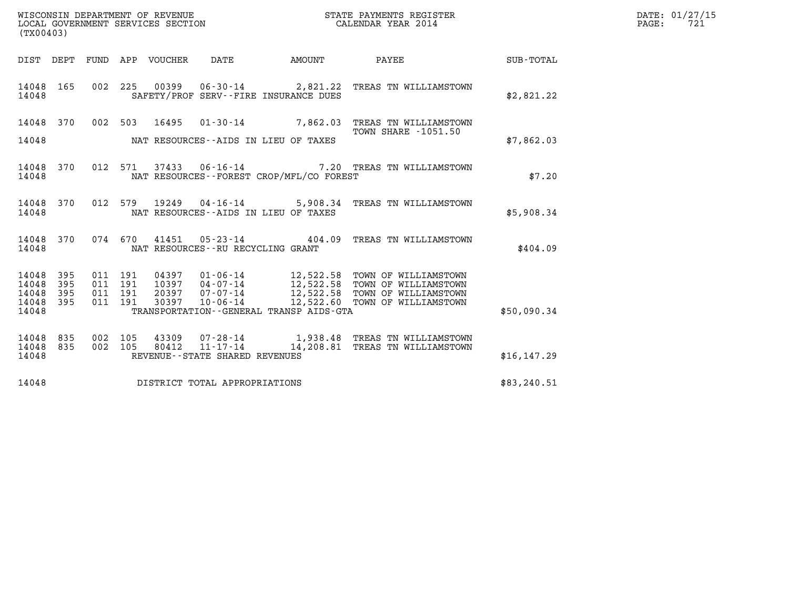| (TX00403) |           |      |     | WISCONSIN DEPARTMENT OF REVENUE<br>LOCAL GOVERNMENT SERVICES SECTION |      |        | STATE PAYMENTS REGISTER<br>CALENDAR YEAR 2014 |           | DATE: 01/27/15<br>721<br>PAGE: |  |
|-----------|-----------|------|-----|----------------------------------------------------------------------|------|--------|-----------------------------------------------|-----------|--------------------------------|--|
|           | DIST DEPT | FUND | APP | VOUCHER                                                              | DATE | AMOUNT | PAYEE                                         | SUB-TOTAL |                                |  |

| (TX00403)                                 |                          |                          |                          |                                  |                                                              |                                                                                             |                                                                                              |              |
|-------------------------------------------|--------------------------|--------------------------|--------------------------|----------------------------------|--------------------------------------------------------------|---------------------------------------------------------------------------------------------|----------------------------------------------------------------------------------------------|--------------|
| DIST                                      | DEPT                     | FUND                     | APP                      | VOUCHER                          | DATE                                                         | AMOUNT                                                                                      | PAYEE                                                                                        | SUB-TOTAL    |
| 14048<br>14048                            | 165                      | 002                      | 225                      | 00399                            | 06-30-14                                                     | SAFETY/PROF SERV--FIRE INSURANCE DUES                                                       | 2,821.22 TREAS TN WILLIAMSTOWN                                                               | \$2,821.22   |
| 14048<br>14048                            | 370                      | 002                      | 503                      | 16495                            | $01 - 30 - 14$                                               | 7,862.03<br>NAT RESOURCES--AIDS IN LIEU OF TAXES                                            | TREAS TN WILLIAMSTOWN<br><b>TOWN SHARE -1051.50</b>                                          | \$7,862.03   |
| 14048<br>14048                            | 370                      | 012                      | 571                      | 37433                            | 06-16-14                                                     | NAT RESOURCES - - FOREST CROP/MFL/CO FOREST                                                 | 7.20 TREAS TN WILLIAMSTOWN                                                                   | \$7.20       |
| 14048<br>14048                            | 370                      | 012                      | 579                      | 19249                            | 04-16-14                                                     | 5,908.34<br>NAT RESOURCES -- AIDS IN LIEU OF TAXES                                          | TREAS TN WILLIAMSTOWN                                                                        | \$5,908.34   |
| 14048<br>14048                            | 370                      | 074                      | 670                      | 41451                            | $05 - 23 - 14$<br>NAT RESOURCES - - RU RECYCLING GRANT       | 404.09                                                                                      | TREAS TN WILLIAMSTOWN                                                                        | \$404.09     |
| 14048<br>14048<br>14048<br>14048<br>14048 | 395<br>395<br>395<br>395 | 011<br>011<br>011<br>011 | 191<br>191<br>191<br>191 | 04397<br>10397<br>20397<br>30397 | 01-06-14<br>$04 - 07 - 14$<br>07-07-14<br>$10 - 06 - 14$     | 12,522.58<br>12,522.58<br>12,522.58<br>12,522.60<br>TRANSPORTATION--GENERAL TRANSP AIDS-GTA | TOWN OF WILLIAMSTOWN<br>TOWN OF WILLIAMSTOWN<br>TOWN OF WILLIAMSTOWN<br>TOWN OF WILLIAMSTOWN | \$50,090.34  |
| 14048<br>14048<br>14048                   | 835<br>835               | 002<br>002               | 105<br>105               | 43309<br>80412                   | 07-28-14<br>$11 - 17 - 14$<br>REVENUE--STATE SHARED REVENUES | 1,938.48<br>14,208.81                                                                       | TREAS TN WILLIAMSTOWN<br>TREAS TN WILLIAMSTOWN                                               | \$16, 147.29 |
| 14048                                     |                          |                          |                          |                                  | DISTRICT TOTAL APPROPRIATIONS                                |                                                                                             |                                                                                              | \$83,240.51  |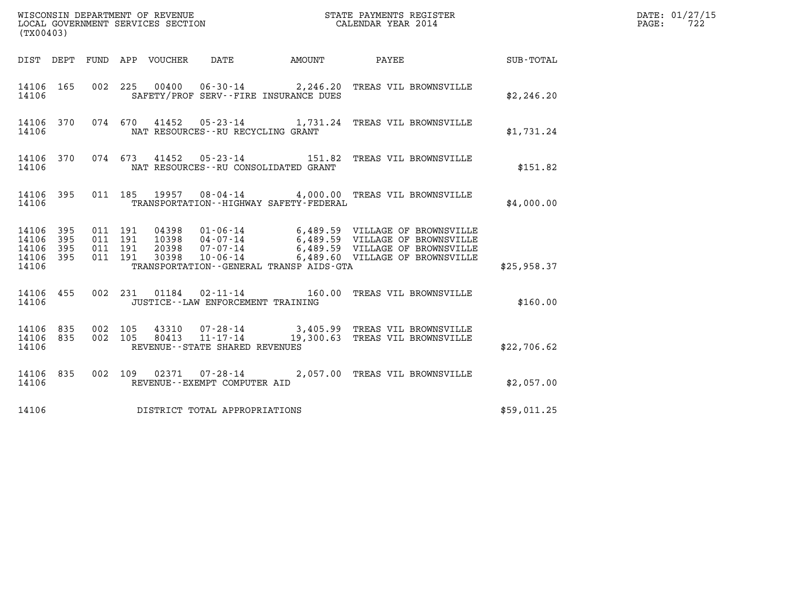| (TX00403)                                                       |                                          |                                             |  | DATE: 01/27/15<br>$\mathtt{PAGE:}$<br>722                                                                                                                                                                         |             |  |
|-----------------------------------------------------------------|------------------------------------------|---------------------------------------------|--|-------------------------------------------------------------------------------------------------------------------------------------------------------------------------------------------------------------------|-------------|--|
|                                                                 | DIST DEPT FUND APP VOUCHER DATE          |                                             |  | AMOUNT PAYEE SUB-TOTAL                                                                                                                                                                                            |             |  |
| 14106 165<br>14106                                              |                                          | SAFETY/PROF SERV--FIRE INSURANCE DUES       |  | 002 225 00400 06-30-14 2,246.20 TREAS VIL BROWNSVILLE                                                                                                                                                             | \$2,246.20  |  |
| 14106                                                           |                                          | NAT RESOURCES--RU RECYCLING GRANT           |  | 14106 370 074 670 41452 05-23-14 1,731.24 TREAS VIL BROWNSVILLE                                                                                                                                                   | \$1,731.24  |  |
| 14106                                                           |                                          | NAT RESOURCES -- RU CONSOLIDATED GRANT      |  | 14106 370 074 673 41452 05-23-14 151.82 TREAS VIL BROWNSVILLE                                                                                                                                                     | \$151.82    |  |
| 14106                                                           |                                          | TRANSPORTATION - - HIGHWAY SAFETY - FEDERAL |  | 14106 395 011 185 19957 08-04-14 4,000.00 TREAS VIL BROWNSVILLE                                                                                                                                                   | \$4,000.00  |  |
| 14106 395<br>395<br>14106<br>395<br>14106<br>14106 395<br>14106 | 011 191<br>011 191<br>011 191<br>011 191 | TRANSPORTATION--GENERAL TRANSP AIDS-GTA     |  | 04398  01-06-14  6,489.59  VILLAGE OF BROWNSVILLE<br>10398  04-07-14  6,489.59  VILLAGE OF BROWNSVILLE<br>20398  07-07-14  6,489.59  VILLAGE OF BROWNSVILLE<br>30398  10-06-14   6,489.60  VILLAGE OF BROWNSVILLE | \$25,958.37 |  |
| 14106                                                           |                                          | JUSTICE -- LAW ENFORCEMENT TRAINING         |  | 14106 455 002 231 01184 02-11-14 160.00 TREAS VIL BROWNSVILLE                                                                                                                                                     | \$160.00    |  |
| 14106 835 002 105<br>14106 835<br>14106                         | 002 105                                  | REVENUE--STATE SHARED REVENUES              |  | 43310  07-28-14  3,405.99  TREAS VIL BROWNSVILLE<br>80413  11-17-14  19,300.63  TREAS VIL BROWNSVILLE                                                                                                             | \$22,706.62 |  |
| 14106                                                           |                                          | REVENUE--EXEMPT COMPUTER AID                |  | 14106 835 002 109 02371 07-28-14 2,057.00 TREAS VIL BROWNSVILLE                                                                                                                                                   | \$2,057.00  |  |
| 14106                                                           | DISTRICT TOTAL APPROPRIATIONS            |                                             |  |                                                                                                                                                                                                                   | \$59,011.25 |  |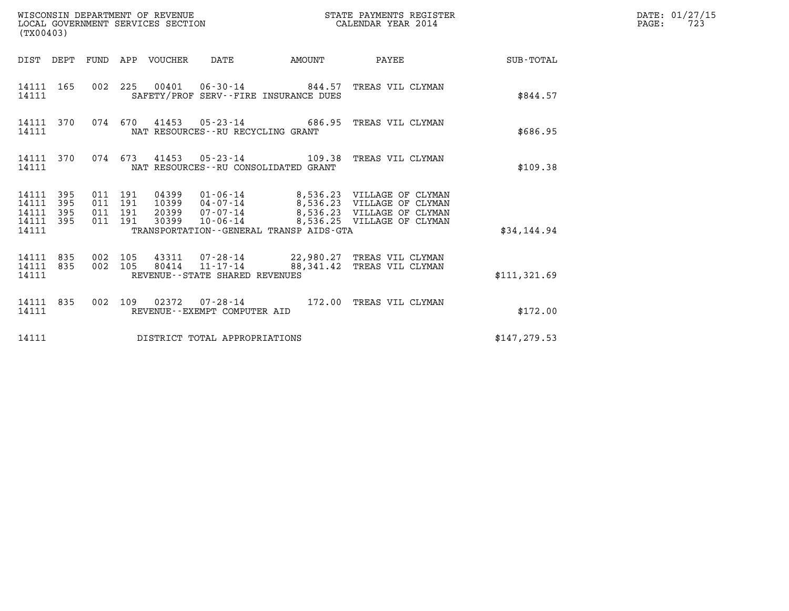| WISCONSIN DEPARTMENT OF REVENUE<br>LOCAL GOVERNMENT SERVICES SECTION<br>(TX00403) |            |                                          |  |                                 |                                      |                                         | STATE PAYMENTS REGISTER<br>CALENDAR YEAR 2014                                                                                                                                                |               | DATE: 01/27/15<br>$\mathtt{PAGE:}$<br>723 |
|-----------------------------------------------------------------------------------|------------|------------------------------------------|--|---------------------------------|--------------------------------------|-----------------------------------------|----------------------------------------------------------------------------------------------------------------------------------------------------------------------------------------------|---------------|-------------------------------------------|
|                                                                                   |            |                                          |  | DIST DEPT FUND APP VOUCHER DATE |                                      | AMOUNT                                  | PAYEE SUB-TOTAL                                                                                                                                                                              |               |                                           |
| 14111                                                                             | 14111 165  |                                          |  |                                 |                                      | SAFETY/PROF SERV--FIRE INSURANCE DUES   | 002 225 00401 06-30-14 844.57 TREAS VIL CLYMAN                                                                                                                                               | \$844.57      |                                           |
| 14111                                                                             | 14111 370  |                                          |  |                                 | NAT RESOURCES - - RU RECYCLING GRANT |                                         | 074 670 41453 05-23-14 686.95 TREAS VIL CLYMAN                                                                                                                                               | \$686.95      |                                           |
| 14111                                                                             | 14111 370  |                                          |  |                                 |                                      | NAT RESOURCES - - RU CONSOLIDATED GRANT | 074 673 41453 05-23-14 109.38 TREAS VIL CLYMAN                                                                                                                                               | \$109.38      |                                           |
| 14111 395<br>14111<br>14111<br>14111 395<br>14111                                 | 395<br>395 | 011 191<br>011 191<br>011 191<br>011 191 |  |                                 |                                      | TRANSPORTATION--GENERAL TRANSP AIDS-GTA | 04399  01-06-14  8,536.23  VILLAGE OF CLYMAN<br>10399  04-07-14  8,536.23  VILLAGE OF CLYMAN<br>20399  07-07-14  8,536.23  VILLAGE OF CLYMAN<br>30399  10-06-14  8,536.25  VILLAGE OF CLYMAN | \$34,144.94   |                                           |
| 14111 835<br>14111 835<br>14111                                                   |            | 002 105<br>002 105                       |  |                                 | REVENUE--STATE SHARED REVENUES       |                                         | 43311  07-28-14  22,980.27 TREAS VIL CLYMAN<br>80414 11-17-14 88,341.42 TREAS VIL CLYMAN                                                                                                     | \$111,321.69  |                                           |
| 14111                                                                             | 14111 835  |                                          |  |                                 | REVENUE--EXEMPT COMPUTER AID         |                                         | 002 109 02372 07-28-14 172.00 TREAS VIL CLYMAN                                                                                                                                               | \$172.00      |                                           |
| 14111                                                                             |            |                                          |  |                                 | DISTRICT TOTAL APPROPRIATIONS        |                                         |                                                                                                                                                                                              | \$147, 279.53 |                                           |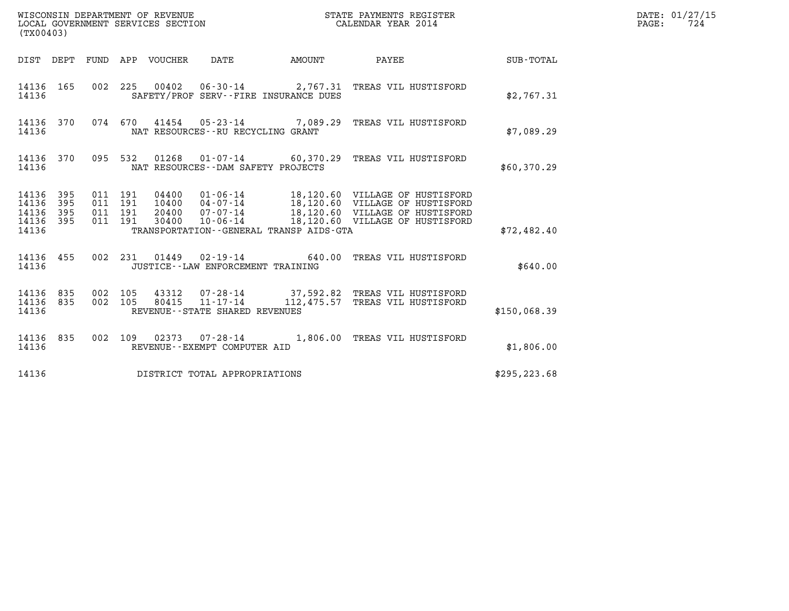|                                                   | (TX00403)  |                               |         |                                 |                                            | STATE PAYMENTS REGISTER                 |                                                                                                                                                                                                                  |               | DATE: 01/27/15<br>$\mathtt{PAGE}$ :<br>724 |
|---------------------------------------------------|------------|-------------------------------|---------|---------------------------------|--------------------------------------------|-----------------------------------------|------------------------------------------------------------------------------------------------------------------------------------------------------------------------------------------------------------------|---------------|--------------------------------------------|
|                                                   |            |                               |         | DIST DEPT FUND APP VOUCHER DATE |                                            | <b>EXAMPLE THE PROPERTY OF AMOUNT</b>   | <b>PAYEE</b>                                                                                                                                                                                                     | SUB-TOTAL     |                                            |
| 14136                                             |            |                               |         |                                 |                                            | SAFETY/PROF SERV--FIRE INSURANCE DUES   | 14136 165 002 225 00402 06-30-14 2,767.31 TREAS VIL HUSTISFORD                                                                                                                                                   | \$2,767.31    |                                            |
| 14136                                             |            |                               |         |                                 | NAT RESOURCES--RU RECYCLING GRANT          |                                         | 14136 370 074 670 41454 05-23-14 7,089.29 TREAS VIL HUSTISFORD                                                                                                                                                   | \$7,089.29    |                                            |
| 14136 370<br>14136                                |            |                               |         |                                 | NAT RESOURCES - DAM SAFETY PROJECTS        |                                         | 095 532 01268 01-07-14 60,370.29 TREAS VIL HUSTISFORD                                                                                                                                                            | \$60,370.29   |                                            |
| 14136 395<br>14136<br>14136<br>14136 395<br>14136 | 395<br>395 | 011 191<br>011 191<br>011 191 | 011 191 |                                 |                                            | TRANSPORTATION--GENERAL TRANSP AIDS-GTA | 04400  01-06-14  18,120.60  VILLAGE OF HUSTISFORD<br>10400  04-07-14  18,120.60  VILLAGE OF HUSTISFORD<br>20400  07-07-14  18,120.60  VILLAGE OF HUSTISFORD<br>30400  10-06-14  18,120.60  VILLAGE OF HUSTISFORD | \$72,482.40   |                                            |
| 14136                                             |            |                               |         |                                 | JUSTICE - - LAW ENFORCEMENT TRAINING       |                                         | 14136 455 002 231 01449 02-19-14 640.00 TREAS VIL HUSTISFORD                                                                                                                                                     | \$640.00      |                                            |
| 14136 835<br>14136 835<br>14136                   |            | 002 105<br>002 105            |         | 80415                           | 11-17-14<br>REVENUE--STATE SHARED REVENUES |                                         | 43312  07-28-14  37,592.82  TREAS VIL HUSTISFORD<br>112,475.57 TREAS VIL HUSTISFORD                                                                                                                              | \$150,068.39  |                                            |
| 14136 835<br>14136                                |            |                               |         |                                 | REVENUE--EXEMPT COMPUTER AID               |                                         | 002 109 02373 07-28-14 1,806.00 TREAS VIL HUSTISFORD                                                                                                                                                             | \$1,806.00    |                                            |
| 14136                                             |            |                               |         |                                 | DISTRICT TOTAL APPROPRIATIONS              |                                         |                                                                                                                                                                                                                  | \$295, 223.68 |                                            |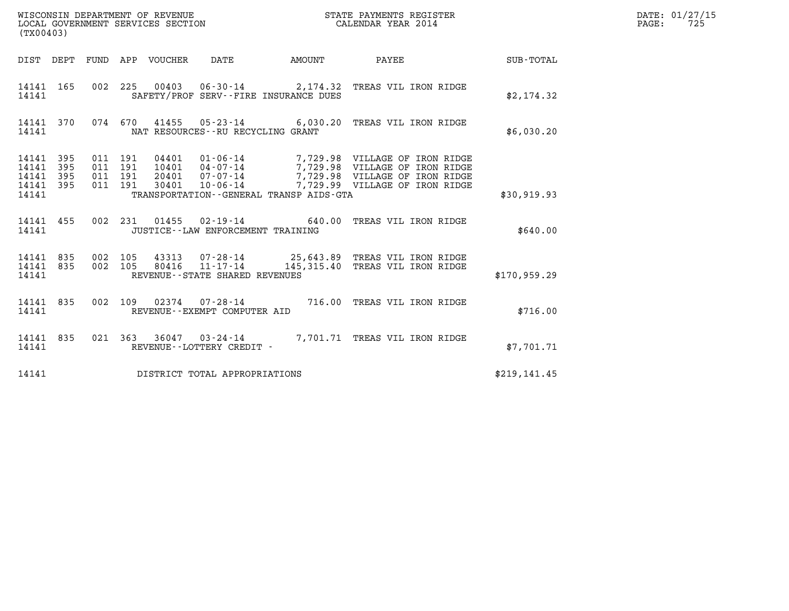| WISCONSIN DEPARTMENT OF REVENUE<br>LOCAL GOVERNMENT SERVICES SECTION<br>$(mv \wedge \wedge \wedge \wedge \wedge)$ | STATE PAYMENTS REGISTER<br>CALENDAR YEAR 2014 | DATE: 01/27/15<br>725<br>PAGE: |
|-------------------------------------------------------------------------------------------------------------------|-----------------------------------------------|--------------------------------|

| (TX00403)                                                                           |                                                                                                                                                                                                                                                                                                                        |                  |
|-------------------------------------------------------------------------------------|------------------------------------------------------------------------------------------------------------------------------------------------------------------------------------------------------------------------------------------------------------------------------------------------------------------------|------------------|
| DIST<br>DEPT<br>FUND                                                                | APP<br>VOUCHER<br>DATE<br>AMOUNT<br>PAYEE                                                                                                                                                                                                                                                                              | <b>SUB-TOTAL</b> |
| 165<br>002<br>14141<br>14141                                                        | 225<br>$00403$ $06-30-14$ 2,174.32<br>TREAS VIL IRON RIDGE<br>SAFETY/PROF SERV--FIRE INSURANCE DUES                                                                                                                                                                                                                    | \$2,174.32       |
| 370<br>14141<br>14141                                                               | 074 670<br>41455<br>05-23-14 6,030.20<br>TREAS VIL IRON RIDGE<br>NAT RESOURCES - - RU RECYCLING GRANT                                                                                                                                                                                                                  | \$6,030.20       |
| 14141<br>395<br>011<br>14141<br>395<br>14141<br>395<br>011<br>14141<br>395<br>14141 | 191<br>04401      01-06-14<br>10401      04-07-14<br>7,729.98 VILLAGE OF IRON RIDGE<br>7,729.98 VILLAGE OF IRON RIDGE<br>011 191<br>$20401$ $07 - 07 - 14$<br>7,729.98 VILLAGE OF IRON RIDGE<br>011 191<br>$10 - 06 - 14$<br>7,729.99 VILLAGE OF IRON RIDGE<br>191<br>30401<br>TRANSPORTATION--GENERAL TRANSP AIDS-GTA | \$30,919.93      |
| 002<br>14141<br>455<br>14141                                                        | 231<br>01455<br>$02 - 19 - 14$ 640.00<br>TREAS VIL IRON RIDGE<br>JUSTICE - - LAW ENFORCEMENT TRAINING                                                                                                                                                                                                                  | \$640.00         |
| 14141 835<br>002<br>14141<br>835<br>14141                                           | 002 105<br>43313 07-28-14 25,643.89 TREAS VIL IRON RIDGE<br>$11 - 17 - 14$<br>105<br>80416<br>145,315.40<br>TREAS VIL IRON RIDGE<br>REVENUE - - STATE SHARED REVENUES                                                                                                                                                  | \$170,959.29     |
| 835<br>002<br>14141<br>14141                                                        | 109<br>$02374$ $07 - 28 - 14$<br>716.00<br>TREAS VIL IRON RIDGE<br>REVENUE--EXEMPT COMPUTER AID                                                                                                                                                                                                                        | \$716.00         |
| 835<br>021<br>14141<br>14141                                                        | 363<br>36047<br>7,701.71<br>$03 - 24 - 14$<br>TREAS VIL IRON RIDGE<br>REVENUE--LOTTERY CREDIT -                                                                                                                                                                                                                        | \$7,701.71       |
| 14141                                                                               | DISTRICT TOTAL APPROPRIATIONS                                                                                                                                                                                                                                                                                          | \$219,141.45     |

(TX00403)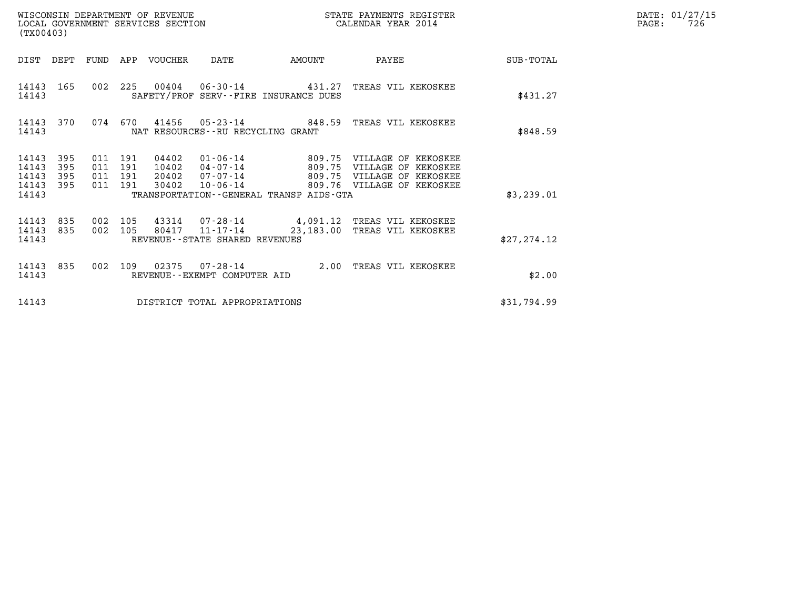| DATE: | 01/27/15 |
|-------|----------|
| PAGE: | 726      |

| (TX00403)                                                             |                                  | WISCONSIN DEPARTMENT OF REVENUE<br>LOCAL GOVERNMENT SERVICES SECTION                                                                                              | STATE PAYMENTS REGISTER<br>CALENDAR YEAR 2014 |                                                                                                               |              | DATE: 01/27/15<br>$\mathtt{PAGE}$ :<br>726 |
|-----------------------------------------------------------------------|----------------------------------|-------------------------------------------------------------------------------------------------------------------------------------------------------------------|-----------------------------------------------|---------------------------------------------------------------------------------------------------------------|--------------|--------------------------------------------|
| DIST DEPT FUND                                                        |                                  | APP VOUCHER<br>DATE                                                                                                                                               | AMOUNT                                        | PAYEE                                                                                                         | SUB-TOTAL    |                                            |
| 14143 165<br>14143                                                    |                                  | 002 225 00404 06-30-14 431.27 TREAS VIL KEKOSKEE<br>SAFETY/PROF SERV--FIRE INSURANCE DUES                                                                         |                                               |                                                                                                               | \$431.27     |                                            |
| 14143 370<br>14143                                                    |                                  | 074 670<br>41456  05-23-14  848.59  TREAS VIL KEKOSKEE<br>NAT RESOURCES--RU RECYCLING GRANT                                                                       |                                               |                                                                                                               | \$848.59     |                                            |
| 14143<br>395<br>395<br>14143<br>395<br>14143<br>395<br>14143<br>14143 | 011 191<br>011<br>011<br>011 191 | 04402<br>$01 - 06 - 14$<br>191<br>10402<br>$04 - 07 - 14$<br>191<br>20402<br>$07 - 07 - 14$<br>30402<br>$10 - 06 - 14$<br>TRANSPORTATION--GENERAL TRANSP AIDS-GTA | 809.75                                        | 809.75 VILLAGE OF KEKOSKEE<br>VILLAGE OF KEKOSKEE<br>809.75 VILLAGE OF KEKOSKEE<br>809.76 VILLAGE OF KEKOSKEE | \$3,239.01   |                                            |
| 14143<br>835<br>14143<br>835<br>14143                                 | 002 105<br>002 105               | 43314 07-28-14 4,091.12 TREAS VIL KEKOSKEE<br>80417 11-17-14<br>REVENUE - - STATE SHARED REVENUES                                                                 |                                               | 23,183.00 TREAS VIL KEKOSKEE                                                                                  | \$27, 274.12 |                                            |
| 14143 835<br>14143                                                    | 002 109                          | 02375<br>$07 - 28 - 14$<br>REVENUE--EXEMPT COMPUTER AID                                                                                                           | 2.00                                          | TREAS VIL KEKOSKEE                                                                                            | \$2.00       |                                            |
| 14143                                                                 |                                  | DISTRICT TOTAL APPROPRIATIONS                                                                                                                                     |                                               |                                                                                                               | \$31,794.99  |                                            |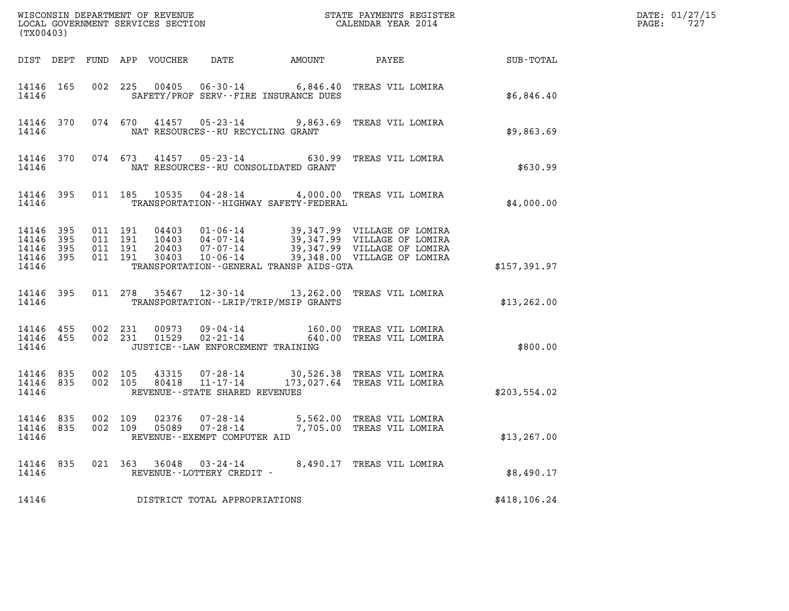| (TX00403)                                             |                                |                                          |  |                                 |                                                     |                                              |                                                                                                                                                                                      | DATE: 01/27/15<br>$\mathtt{PAGE}$ :<br>727 |  |
|-------------------------------------------------------|--------------------------------|------------------------------------------|--|---------------------------------|-----------------------------------------------------|----------------------------------------------|--------------------------------------------------------------------------------------------------------------------------------------------------------------------------------------|--------------------------------------------|--|
|                                                       |                                |                                          |  | DIST DEPT FUND APP VOUCHER DATE |                                                     | <b>AMOUNT</b>                                |                                                                                                                                                                                      | PAYEE SUB-TOTAL                            |  |
| 14146                                                 | 14146 165                      |                                          |  |                                 |                                                     | SAFETY/PROF SERV--FIRE INSURANCE DUES        | 002 225 00405 06-30-14 6,846.40 TREAS VIL LOMIRA                                                                                                                                     | \$6,846.40                                 |  |
| 14146                                                 |                                |                                          |  |                                 |                                                     | NAT RESOURCES--RU RECYCLING GRANT            | 14146 370 074 670 41457 05-23-14 9,863.69 TREAS VIL LOMIRA                                                                                                                           | \$9,863.69                                 |  |
| 14146                                                 |                                |                                          |  |                                 |                                                     | NAT RESOURCES - - RU CONSOLIDATED GRANT      | 14146 370 074 673 41457 05-23-14 630.99 TREAS VIL LOMIRA                                                                                                                             | \$630.99                                   |  |
| 14146                                                 | 14146 395                      |                                          |  |                                 |                                                     | TRANSPORTATION - - HIGHWAY SAFETY - FEDERAL  | 011 185 10535 04-28-14 4,000.00 TREAS VIL LOMIRA                                                                                                                                     | \$4,000.00                                 |  |
| 14146 395<br>14146<br>14146 395<br>14146 395<br>14146 | 395                            | 011 191<br>011 191<br>011 191<br>011 191 |  |                                 |                                                     | TRANSPORTATION - - GENERAL TRANSP AIDS - GTA | 04403 01-06-14 39,347.99 VILLAGE OF LOMIRA<br>10403 04-07-14 39,347.99 VILLAGE OF LOMIRA<br>20403 07-07-14 39,347.99 VILLAGE OF LOMIRA<br>30403 10-06-14 39,348.00 VILLAGE OF LOMIRA | \$157,391.97                               |  |
| 14146                                                 | 14146 395                      |                                          |  |                                 |                                                     | TRANSPORTATION--LRIP/TRIP/MSIP GRANTS        | 011 278 35467 12-30-14 13,262.00 TREAS VIL LOMIRA                                                                                                                                    | \$13, 262.00                               |  |
| 14146                                                 | 14146 455 002 231<br>14146 455 |                                          |  |                                 |                                                     | JUSTICE - - LAW ENFORCEMENT TRAINING         | 002 231 00973 09-04-14 160.00 TREAS VIL LOMIRA<br>002 231 01529 02-21-14 640.00 TREAS VIL LOMIRA                                                                                     | \$800.00                                   |  |
| 14146                                                 | 14146 835 002 105<br>14146 835 | 002 105                                  |  |                                 | REVENUE--STATE SHARED REVENUES                      |                                              | 43315  07-28-14  30,526.38 TREAS  VIL LOMIRA<br>80418  11-17-14  173,027.64 TREAS  VIL LOMIRA                                                                                        | \$203,554.02                               |  |
| 14146 835<br>14146 835<br>14146                       |                                | 002 109<br>002 109                       |  |                                 | REVENUE--EXEMPT COMPUTER AID                        |                                              | 02376  07-28-14  5,562.00 TREAS VIL LOMIRA<br>05089  07-28-14  7,705.00 TREAS VIL LOMIRA                                                                                             | \$13, 267.00                               |  |
| 14146 835<br>14146                                    |                                |                                          |  |                                 | 021 363 36048 03-24-14<br>REVENUE--LOTTERY CREDIT - |                                              | 8,490.17 TREAS VIL LOMIRA                                                                                                                                                            | \$8,490.17                                 |  |
| 14146                                                 |                                |                                          |  |                                 | DISTRICT TOTAL APPROPRIATIONS                       |                                              |                                                                                                                                                                                      | \$418, 106.24                              |  |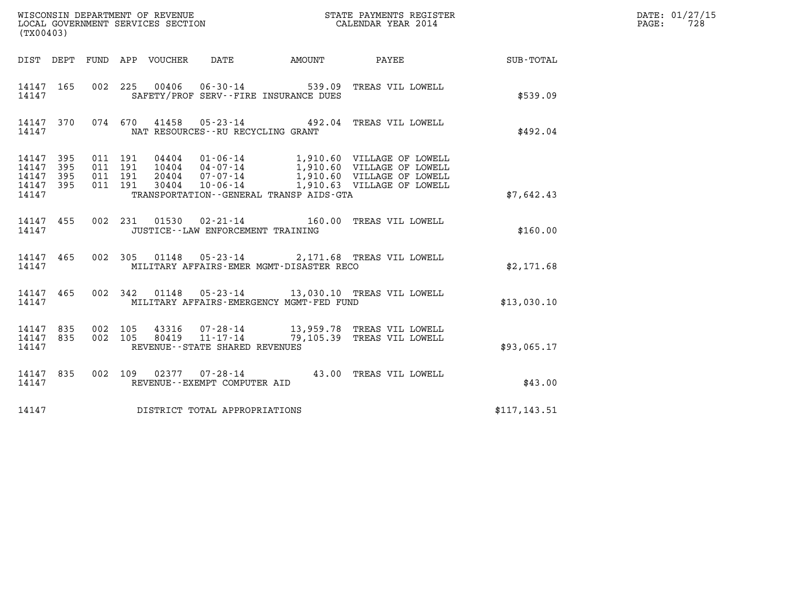| (TX00403)                                                                                                   | WISCONSIN DEPARTMENT OF REVENUE<br>LOCAL GOVERNMENT SERVICES SECTION<br>(TWO 1403)                                              |                        |               | DATE: 01/27/15<br>$\mathtt{PAGE:}$<br>728 |
|-------------------------------------------------------------------------------------------------------------|---------------------------------------------------------------------------------------------------------------------------------|------------------------|---------------|-------------------------------------------|
|                                                                                                             | DIST DEPT FUND APP VOUCHER DATE                                                                                                 | AMOUNT PAYEE SUB-TOTAL |               |                                           |
| 14147 165<br>14147                                                                                          | 002 225 00406 06-30-14 539.09 TREAS VIL LOWELL<br>SAFETY/PROF SERV--FIRE INSURANCE DUES                                         |                        | \$539.09      |                                           |
| 14147 370<br>14147                                                                                          | 074 670 41458 05-23-14 492.04 TREAS VIL LOWELL<br>NAT RESOURCES -- RU RECYCLING GRANT                                           |                        | \$492.04      |                                           |
| 14147 395<br>011 191<br>011 191<br>395<br>14147<br>395<br>011 191<br>14147<br>011 191<br>14147 395<br>14147 | TRANSPORTATION--GENERAL TRANSP AIDS-GTA                                                                                         |                        | \$7.642.43    |                                           |
| 14147 455<br>14147                                                                                          | 002 231 01530 02-21-14 160.00 TREAS VIL LOWELL<br>JUSTICE -- LAW ENFORCEMENT TRAINING                                           |                        | \$160.00      |                                           |
| 14147 465<br>14147                                                                                          | 002 305 01148 05-23-14 2,171.68 TREAS VIL LOWELL<br>MILITARY AFFAIRS-EMER MGMT-DISASTER RECO                                    |                        | \$2,171.68    |                                           |
| 14147 465<br>14147                                                                                          | 002 342 01148 05-23-14 13,030.10 TREAS VIL LOWELL<br>MILITARY AFFAIRS-EMERGENCY MGMT-FED FUND                                   |                        | \$13,030.10   |                                           |
| 002 105<br>14147 835<br>14147 835<br>002 105<br>14147                                                       | 43316  07-28-14  13,959.78 TREAS VIL LOWELL<br>80419  11-17-14  79,105.39 TREAS VIL LOWELL<br>REVENUE - - STATE SHARED REVENUES |                        | \$93,065.17   |                                           |
| 14147 835<br>14147                                                                                          | 002 109 02377 07-28-14 43.00 TREAS VIL LOWELL<br>REVENUE--EXEMPT COMPUTER AID                                                   |                        | \$43.00       |                                           |
| 14147                                                                                                       | DISTRICT TOTAL APPROPRIATIONS                                                                                                   |                        | \$117, 143.51 |                                           |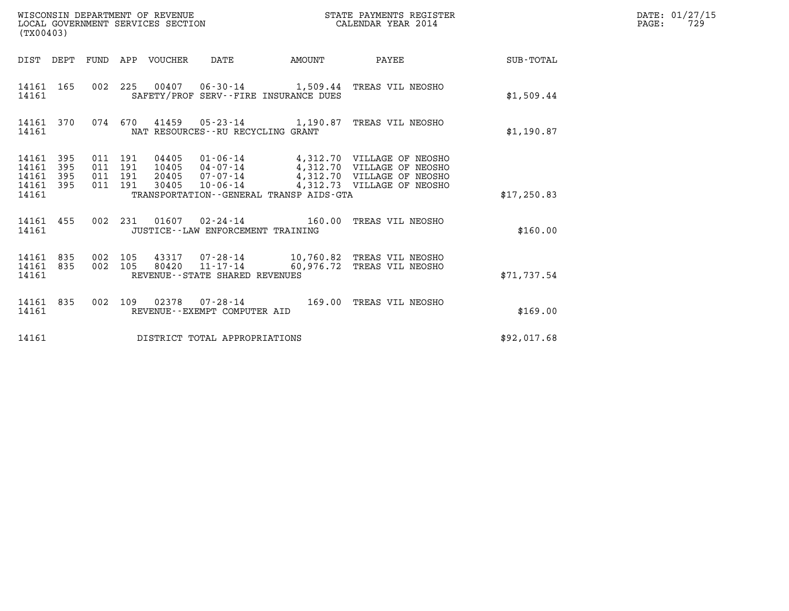| WISCONSIN DEPARTMENT OF REVENUE<br>LOCAL GOVERNMENT SERVICES SECTION<br>(TX00403) |                   |                                          |  |                                  |                                                          | STATE PAYMENTS REGISTER<br>CALENDAR YEAR 2014                                                                                                            |             | DATE: 01/27/15<br>$\mathtt{PAGE}$ :<br>729 |
|-----------------------------------------------------------------------------------|-------------------|------------------------------------------|--|----------------------------------|----------------------------------------------------------|----------------------------------------------------------------------------------------------------------------------------------------------------------|-------------|--------------------------------------------|
|                                                                                   |                   |                                          |  | DIST DEPT FUND APP VOUCHER DATE  |                                                          | AMOUNT PAYEE SUB-TOTAL                                                                                                                                   |             |                                            |
| 14161 165<br>14161                                                                |                   |                                          |  |                                  | SAFETY/PROF SERV--FIRE INSURANCE DUES                    | 002 225 00407 06-30-14 1,509.44 TREAS VIL NEOSHO                                                                                                         | \$1,509.44  |                                            |
| 14161 370<br>14161                                                                |                   |                                          |  |                                  | NAT RESOURCES--RU RECYCLING GRANT                        | 074 670 41459 05-23-14 1,190.87 TREAS VIL NEOSHO                                                                                                         | \$1,190.87  |                                            |
| 14161 395<br>14161<br>14161<br>14161<br>14161                                     | 395<br>395<br>395 | 011 191<br>011 191<br>011 191<br>011 191 |  | 04405<br>10405<br>20405<br>30405 | TRANSPORTATION--GENERAL TRANSP AIDS-GTA                  | 01-06-14 4,312.70 VILLAGE OF NEOSHO<br>04-07-14 4,312.70 VILLAGE OF NEOSHO<br>07-07-14 4,312.70 VILLAGE OF NEOSHO<br>10-06-14 4,312.73 VILLAGE OF NEOSHO | \$17,250.83 |                                            |
| 14161 455<br>14161                                                                |                   |                                          |  |                                  | JUSTICE - - LAW ENFORCEMENT TRAINING                     | 002 231 01607 02-24-14 160.00 TREAS VIL NEOSHO                                                                                                           | \$160.00    |                                            |
| 14161 835<br>14161 835<br>14161                                                   |                   | 002 105<br>002 105                       |  |                                  | $80420$ $11 - 17 - 14$<br>REVENUE--STATE SHARED REVENUES | 43317 07-28-14 10,760.82 TREAS VIL NEOSHO<br>60,976.72 TREAS VIL NEOSHO                                                                                  | \$71,737.54 |                                            |
| 14161 835<br>14161                                                                |                   |                                          |  |                                  | REVENUE--EXEMPT COMPUTER AID                             | 002 109 02378 07-28-14 169.00 TREAS VIL NEOSHO                                                                                                           | \$169.00    |                                            |
| 14161                                                                             |                   |                                          |  |                                  | DISTRICT TOTAL APPROPRIATIONS                            |                                                                                                                                                          | \$92,017.68 |                                            |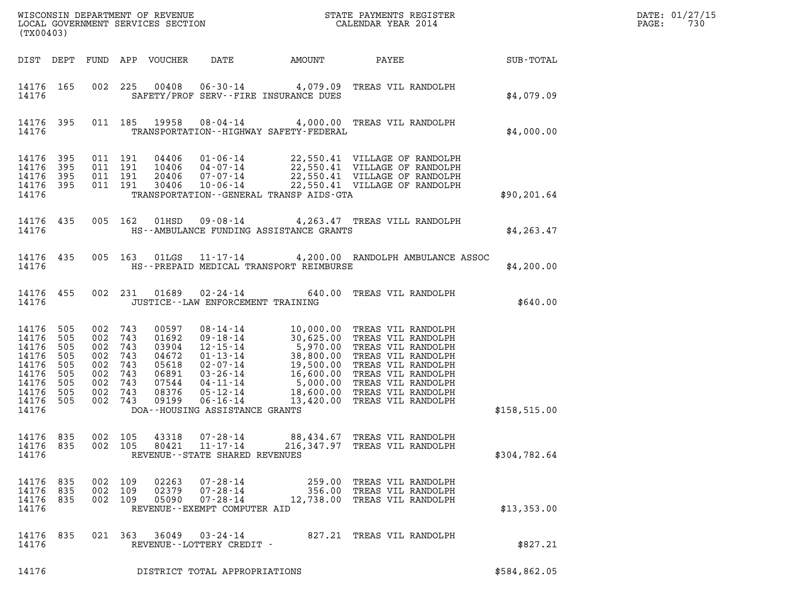| (TX00403)                                                                         |                                                      |                                               |                                                                     |                                                                               |                                                                           |                                                                                                                                                                                                                                                        |                                                                                        |                              |               | DATE: 01/27/15<br>730<br>PAGE: |
|-----------------------------------------------------------------------------------|------------------------------------------------------|-----------------------------------------------|---------------------------------------------------------------------|-------------------------------------------------------------------------------|---------------------------------------------------------------------------|--------------------------------------------------------------------------------------------------------------------------------------------------------------------------------------------------------------------------------------------------------|----------------------------------------------------------------------------------------|------------------------------|---------------|--------------------------------|
|                                                                                   |                                                      |                                               |                                                                     | DIST DEPT FUND APP VOUCHER                                                    | DATE                                                                      | AMOUNT                                                                                                                                                                                                                                                 |                                                                                        | <b>PAYEE</b> FOUND THE PAYEE | SUB-TOTAL     |                                |
| 14176 165<br>14176                                                                |                                                      |                                               |                                                                     |                                                                               |                                                                           | 002 225 00408 06-30-14 4,079.09 TREAS VIL RANDOLPH<br>SAFETY/PROF SERV--FIRE INSURANCE DUES                                                                                                                                                            |                                                                                        |                              | \$4,079.09    |                                |
| 14176 395<br>14176                                                                |                                                      |                                               |                                                                     |                                                                               |                                                                           | 011 185 19958 08-04-14 4,000.00 TREAS VIL RANDOLPH<br>TRANSPORTATION - - HIGHWAY SAFETY - FEDERAL                                                                                                                                                      |                                                                                        |                              | \$4,000.00    |                                |
| 14176<br>14176<br>14176<br>14176 395<br>14176                                     | 395<br>395<br>395                                    |                                               | 011 191<br>011 191<br>011 191<br>011 191                            | 04406<br>10406<br>20406<br>30406                                              | $10 - 06 - 14$                                                            | 01-06-14 22,550.41 VILLAGE OF RANDOLPH<br>04-07-14 22,550.41 VILLAGE OF RANDOLPH<br>07-07-14 22,550.41 VILLAGE OF RANDOLPH<br>TRANSPORTATION--GENERAL TRANSP AIDS-GTA                                                                                  | 22,550.41 VILLAGE OF RANDOLPH                                                          |                              | \$90, 201.64  |                                |
| 14176                                                                             | 14176 435                                            |                                               | 005 162                                                             | 01HSD                                                                         |                                                                           | 09-08-14 4, 263.47 TREAS VILL RANDOLPH<br>HS--AMBULANCE FUNDING ASSISTANCE GRANTS                                                                                                                                                                      |                                                                                        |                              | \$4, 263.47   |                                |
| 14176 435<br>14176                                                                |                                                      |                                               |                                                                     | 005 163 01LGS                                                                 |                                                                           | 11-17-14 4,200.00 RANDOLPH AMBULANCE ASSOC<br>HS--PREPAID MEDICAL TRANSPORT REIMBURSE                                                                                                                                                                  |                                                                                        |                              | \$4,200.00    |                                |
| 14176                                                                             | 14176 455                                            |                                               | 002 231                                                             | 01689                                                                         | $02 - 24 - 14$<br>JUSTICE -- LAW ENFORCEMENT TRAINING                     |                                                                                                                                                                                                                                                        | 640.00 TREAS VIL RANDOLPH                                                              |                              | \$640.00      |                                |
| 14176<br>14176<br>14176<br>14176<br>14176<br>14176<br>14176<br>14176<br>14176 505 | 505<br>505<br>505<br>505<br>505<br>505<br>505<br>505 | 002<br>002<br>002<br>002<br>002<br>002<br>002 | 002 743<br>743<br>743<br>743<br>743<br>743<br>743<br>743<br>002 743 | 00597<br>01692<br>03904<br>04672<br>05618<br>06891<br>07544<br>08376<br>09199 |                                                                           | 08-14-14<br>09-18-14<br>10,000.00 TREAS VIL RANDOLPH<br>12-15-14<br>5,970.00 TREAS VIL RANDOLPH<br>01-13-14<br>38,800.00 TREAS VIL RANDOLPH<br>02-07-14<br>19,500.00 TREAS VIL RANDOLPH<br>03-26-14<br>16,600.00 TREAS VIL RANDOLPH<br>05-12-14<br>18, |                                                                                        |                              |               |                                |
| 14176                                                                             |                                                      |                                               |                                                                     |                                                                               | DOA--HOUSING ASSISTANCE GRANTS                                            |                                                                                                                                                                                                                                                        |                                                                                        |                              | \$158, 515.00 |                                |
| 14176 835<br>14176 835<br>14176                                                   |                                                      | 002                                           | 105<br>002 105                                                      | 43318<br>80421                                                                | $07 - 28 - 14$<br>$11 - 17 - 14$<br>REVENUE - - STATE SHARED REVENUES     | 216,347.97 TREAS VIL RANDOLPH                                                                                                                                                                                                                          | 88,434.67 TREAS VIL RANDOLPH                                                           |                              | \$304,782.64  |                                |
| 14176 835<br>14176<br>14176<br>14176                                              | 835<br>835                                           | 002<br>002<br>002                             | 109<br>109<br>109                                                   | 02263<br>02379<br>05090                                                       | $07 - 28 - 14$<br>07-28-14<br>07-28-14<br>REVENUE - - EXEMPT COMPUTER AID |                                                                                                                                                                                                                                                        | 259.00 TREAS VIL RANDOLPH<br>356.00 TREAS VIL RANDOLPH<br>12,738.00 TREAS VIL RANDOLPH |                              | \$13,353.00   |                                |
| 14176<br>14176                                                                    | 835                                                  |                                               |                                                                     | 021 363 36049                                                                 | 03-24-14<br>REVENUE--LOTTERY CREDIT -                                     |                                                                                                                                                                                                                                                        | 827.21 TREAS VIL RANDOLPH                                                              |                              | \$827.21      |                                |
| 14176                                                                             |                                                      |                                               |                                                                     |                                                                               | DISTRICT TOTAL APPROPRIATIONS                                             |                                                                                                                                                                                                                                                        |                                                                                        |                              | \$584,862.05  |                                |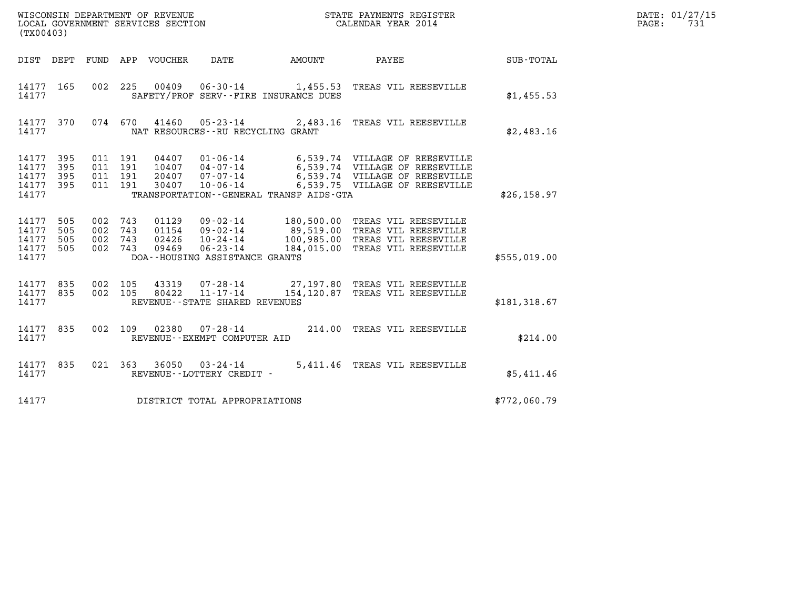| STATE PAYMENTS REGISTER<br>CALENDAR YEAR 2014 | DATE: 01/27/15<br>72.<br>PAGE: |
|-----------------------------------------------|--------------------------------|
|                                               |                                |

| (TX00403)                                 |                          |                          |                                      |                                  |                                                                                                            |                                         |                                                                                                                                      |              |  |
|-------------------------------------------|--------------------------|--------------------------|--------------------------------------|----------------------------------|------------------------------------------------------------------------------------------------------------|-----------------------------------------|--------------------------------------------------------------------------------------------------------------------------------------|--------------|--|
| DIST                                      | DEPT                     | <b>FUND</b>              | APP                                  | VOUCHER                          | <b>DATE</b>                                                                                                | AMOUNT                                  | PAYEE                                                                                                                                | SUB-TOTAL    |  |
| 14177<br>14177                            | 165                      | 002                      | 225                                  |                                  | 00409 06-30-14                                                                                             | SAFETY/PROF SERV--FIRE INSURANCE DUES   | 1,455.53 TREAS VIL REESEVILLE                                                                                                        | \$1,455.53   |  |
| 14177<br>14177                            | 370                      | 074                      | 670                                  |                                  | NAT RESOURCES - - RU RECYCLING GRANT                                                                       | $41460$ $05 - 23 - 14$ 2,483.16         | TREAS VIL REESEVILLE                                                                                                                 | \$2,483.16   |  |
| 14177<br>14177<br>14177<br>14177<br>14177 | 395<br>395<br>395<br>395 | 011                      | 011 191<br>011 191<br>011 191<br>191 | 04407<br>10407<br>20407<br>30407 | $01 - 06 - 14$<br>04 - 07 - 14<br>07 - 07 - 14<br>$10 - 06 - 14$                                           | TRANSPORTATION--GENERAL TRANSP AIDS-GTA | 6,539.74 VILLAGE OF REESEVILLE<br>6,539.74 VILLAGE OF REESEVILLE<br>6,539.74 VILLAGE OF REESEVILLE<br>6,539.75 VILLAGE OF REESEVILLE | \$26, 158.97 |  |
| 14177<br>14177<br>14177<br>14177<br>14177 | 505<br>505<br>505<br>505 | 002<br>002<br>002<br>002 | 743<br>743<br>743<br>743             | 01154<br>02426<br>09469          | $01129$ $09-02-14$<br>$09 - 02 - 14$<br>$10 - 24 - 14$<br>$06 - 23 - 14$<br>DOA--HOUSING ASSISTANCE GRANTS | 89,519.00<br>100,985.00<br>184,015.00   | 180,500.00 TREAS VIL REESEVILLE<br>TREAS VIL REESEVILLE<br>TREAS VIL REESEVILLE<br>TREAS VIL REESEVILLE                              | \$555,019.00 |  |
| 14177<br>14177<br>14177                   | 835<br>835               | 002<br>002               | 105<br>105                           |                                  | 80422 11-17-14<br>REVENUE - - STATE SHARED REVENUES                                                        |                                         | 43319  07-28-14  27,197.80 TREAS VIL REESEVILLE<br>154,120.87 TREAS VIL REESEVILLE                                                   | \$181,318.67 |  |
| 14177<br>14177                            | 835                      | 002                      | 109                                  |                                  | 02380   07-28-14<br>REVENUE--EXEMPT COMPUTER AID                                                           | 214.00                                  | TREAS VIL REESEVILLE                                                                                                                 | \$214.00     |  |
| 14177<br>14177                            | 835                      |                          | 021 363                              | 36050                            | $03 - 24 - 14$<br>REVENUE - - LOTTERY CREDIT -                                                             | 5,411.46                                | TREAS VIL REESEVILLE                                                                                                                 | \$5,411.46   |  |
| 14177                                     |                          |                          |                                      |                                  | DISTRICT TOTAL APPROPRIATIONS                                                                              |                                         |                                                                                                                                      | \$772,060.79 |  |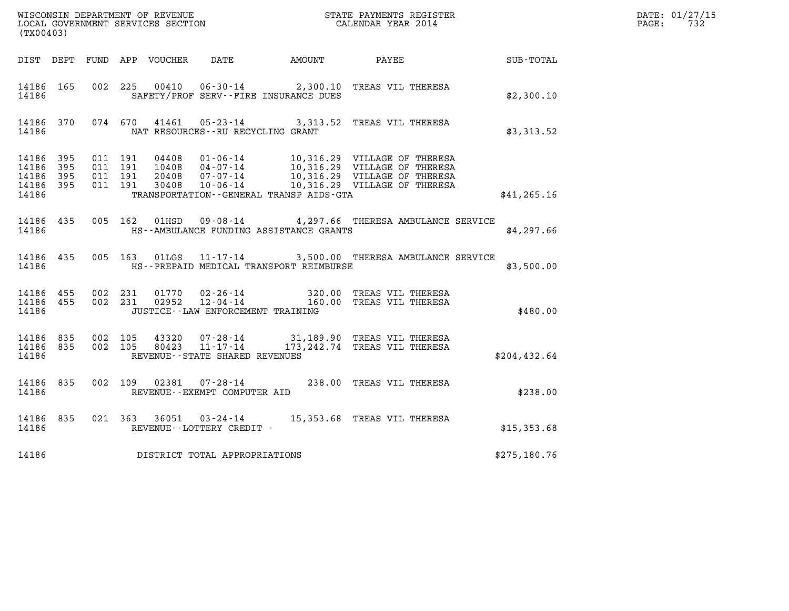| WISCONSIN DEPARTMENT OF REVENUE<br>LOCAL GOVERNMENT SERVICES SECTION<br>CALENDAR YEAR 2014 |           |  |  |  |                                     |                                               |                                                                                                                                                    |              | DATE: 01/27/15<br>PAGE: 732 |
|--------------------------------------------------------------------------------------------|-----------|--|--|--|-------------------------------------|-----------------------------------------------|----------------------------------------------------------------------------------------------------------------------------------------------------|--------------|-----------------------------|
| (TX00403)                                                                                  |           |  |  |  |                                     |                                               |                                                                                                                                                    |              |                             |
|                                                                                            |           |  |  |  |                                     |                                               | DIST DEPT FUND APP VOUCHER DATE AMOUNT PAYEE SUB-TOTAL                                                                                             |              |                             |
| 14186                                                                                      | 14186 165 |  |  |  |                                     | SAFETY/PROF SERV--FIRE INSURANCE DUES         | 002 225 00410 06-30-14 2,300.10 TREAS VIL THERESA                                                                                                  | \$2,300.10   |                             |
| 14186                                                                                      |           |  |  |  | NAT RESOURCES--RU RECYCLING GRANT   |                                               | 14186 370 074 670 41461 05-23-14 3,313.52 TREAS VIL THERESA                                                                                        | \$3,313.52   |                             |
| 14186                                                                                      |           |  |  |  |                                     | TRANSPORTATION--GENERAL TRANSP AIDS-GTA       |                                                                                                                                                    | \$41, 265.16 |                             |
| 14186                                                                                      |           |  |  |  |                                     | HS--AMBULANCE FUNDING ASSISTANCE GRANTS       | 14186 435 005 162 01HSD 09-08-14 4,297.66 THERESA AMBULANCE SERVICE                                                                                | \$4,297.66   |                             |
|                                                                                            |           |  |  |  |                                     | 14186 MS--PREPAID MEDICAL TRANSPORT REIMBURSE | 14186 435 005 163 01LGS 11-17-14 3,500.00 THERESA AMBULANCE SERVICE                                                                                | \$3,500.00   |                             |
| 14186                                                                                      | 14186 455 |  |  |  | JUSTICE -- LAW ENFORCEMENT TRAINING |                                               | $14186$ $455$ $002$ $231$ $01770$ $02-26-14$ $320.00$ TREAS VIL THERESA<br>$14186$ $455$ $002$ $231$ $02952$ $12-04-14$ $160.00$ TREAS VIL THERESA | \$480.00     |                             |
| 14186                                                                                      |           |  |  |  | REVENUE--STATE SHARED REVENUES      |                                               | 14186 835 002 105 43320 07-28-14 31,189.90 TREAS VIL THERESA<br>14186 835 002 105 80423 11-17-14 173,242.74 TREAS VIL THERESA                      | \$204,432.64 |                             |
| 14186                                                                                      |           |  |  |  | REVENUE--EXEMPT COMPUTER AID        |                                               | 14186 835 002 109 02381 07-28-14 238.00 TREAS VIL THERESA                                                                                          | \$238.00     |                             |
| 14186                                                                                      | 14186 835 |  |  |  | REVENUE--LOTTERY CREDIT -           |                                               | 021 363 36051 03-24-14 15,353.68 TREAS VIL THERESA                                                                                                 | \$15,353.68  |                             |
| 14186                                                                                      |           |  |  |  | DISTRICT TOTAL APPROPRIATIONS       |                                               |                                                                                                                                                    | \$275,180.76 |                             |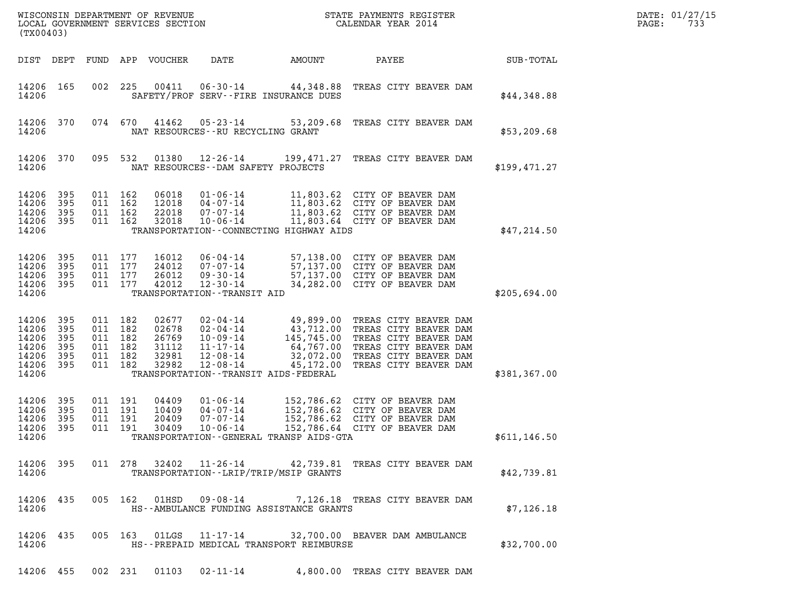| WISCONSIN DEPARTMENT OF REVENUE<br>STATE PAYMENTS REGISTER<br>LOCAL GOVERNMENT SERVICES SECTION<br>CALENDAR YEAR 2014<br>(TX00403) |                                          |                                                            |         |                                                    |                                                                                                    |                                                  |                                                                                                                                                                                                                 |               | DATE: 01/27/15<br>PAGE:<br>733 |
|------------------------------------------------------------------------------------------------------------------------------------|------------------------------------------|------------------------------------------------------------|---------|----------------------------------------------------|----------------------------------------------------------------------------------------------------|--------------------------------------------------|-----------------------------------------------------------------------------------------------------------------------------------------------------------------------------------------------------------------|---------------|--------------------------------|
|                                                                                                                                    | DIST DEPT FUND                           |                                                            |         | APP VOUCHER                                        | DATE                                                                                               | AMOUNT                                           | PAYEE                                                                                                                                                                                                           | SUB-TOTAL     |                                |
| 14206 165<br>14206                                                                                                                 |                                          | 002                                                        | 225     | 00411                                              | $06 - 30 - 14$                                                                                     | SAFETY/PROF SERV--FIRE INSURANCE DUES            | 44,348.88 TREAS CITY BEAVER DAM                                                                                                                                                                                 | \$44,348.88   |                                |
| 14206 370<br>14206                                                                                                                 |                                          |                                                            | 074 670 | 41462                                              | $05 - 23 - 14$                                                                                     | 53,209.68<br>NAT RESOURCES -- RU RECYCLING GRANT | TREAS CITY BEAVER DAM                                                                                                                                                                                           | \$53, 209.68  |                                |
| 14206 370<br>14206                                                                                                                 |                                          |                                                            | 095 532 | 01380                                              | $12 - 26 - 14$                                                                                     | NAT RESOURCES - - DAM SAFETY PROJECTS            | 199,471.27 TREAS CITY BEAVER DAM                                                                                                                                                                                | \$199,471.27  |                                |
| 14206<br>14206<br>14206<br>14206<br>14206                                                                                          | 395<br>395<br>395<br>395                 | 011 162<br>011 162<br>011 162<br>011 162                   |         | 06018<br>12018<br>22018<br>32018                   | $01 - 06 - 14$<br>$04 - 07 - 14$<br>07-07-14<br>$10 - 06 - 14$                                     | TRANSPORTATION--CONNECTING HIGHWAY AIDS          | 11,803.62 CITY OF BEAVER DAM<br>11,803.62 CITY OF BEAVER DAM<br>11,803.62 CITY OF BEAVER DAM<br>11,803.64 CITY OF BEAVER DAM                                                                                    | \$47,214.50   |                                |
| 14206<br>14206<br>14206<br>14206 395<br>14206                                                                                      | 395<br>395<br>- 395                      | 011 177<br>011 177<br>011 177<br>011 177                   |         | 16012<br>24012<br>26012<br>42012                   | 06-04-14<br>07-07-14<br>$09 - 30 - 14$<br>12-30-14<br>TRANSPORTATION - - TRANSIT AID               |                                                  | 57,138.00 CITY OF BEAVER DAM<br>57,137.00 CITY OF BEAVER DAM<br>57,137.00 CITY OF BEAVER DAM<br>34,282.00 CITY OF BEAVER DAM                                                                                    | \$205,694.00  |                                |
| 14206<br>14206<br>14206<br>14206<br>14206<br>14206<br>14206                                                                        | 395<br>395<br>395<br>395<br>- 395<br>395 | 011 182<br>011 182<br>011 182<br>011 182<br>011<br>011 182 | 182     | 02677<br>02678<br>26769<br>31112<br>32981<br>32982 | $02 - 04 - 14$<br>02-04-14<br>$10 - 09 - 14$<br>$11 - 17 - 14$<br>$12 - 08 - 14$<br>$12 - 08 - 14$ | TRANSPORTATION - - TRANSIT AIDS - FEDERAL        | 49,899.00 TREAS CITY BEAVER DAM<br>43,712.00 TREAS CITY BEAVER DAM<br>145,745.00 TREAS CITY BEAVER DAM<br>64,767.00 TREAS CITY BEAVER DAM<br>32,072.00 TREAS CITY BEAVER DAM<br>45,172.00 TREAS CITY BEAVER DAM | \$381,367.00  |                                |
| 14206<br>14206<br>14206<br>14206<br>14206                                                                                          | 395<br>395<br>395<br>395                 | 011 191<br>011 191<br>011 191<br>011 191                   |         | 04409<br>10409<br>20409<br>30409                   | $01 - 06 - 14$<br>04-07-14<br>07-07-14<br>$10 - 06 - 14$                                           | TRANSPORTATION--GENERAL TRANSP AIDS-GTA          | 152,786.62 CITY OF BEAVER DAM<br>152,786.62 CITY OF BEAVER DAM<br>152,786.62 CITY OF BEAVER DAM<br>152,786.64 CITY OF BEAVER DAM                                                                                | \$611, 146.50 |                                |
| 14206                                                                                                                              | 14206 395                                |                                                            |         |                                                    |                                                                                                    | TRANSPORTATION - - LRIP/TRIP/MSIP GRANTS         | 011 278 32402 11-26-14 42,739.81 TREAS CITY BEAVER DAM                                                                                                                                                          | \$42,739.81   |                                |
| 14206                                                                                                                              | 14206 435                                |                                                            |         |                                                    |                                                                                                    | HS--AMBULANCE FUNDING ASSISTANCE GRANTS          | 005 162 01HSD 09-08-14 7,126.18 TREAS CITY BEAVER DAM                                                                                                                                                           | \$7,126.18    |                                |
| 14206                                                                                                                              | 14206 435                                |                                                            |         |                                                    |                                                                                                    | HS--PREPAID MEDICAL TRANSPORT REIMBURSE          | 005 163 01LGS 11-17-14 32,700.00 BEAVER DAM AMBULANCE                                                                                                                                                           | \$32,700.00   |                                |
|                                                                                                                                    |                                          |                                                            |         |                                                    |                                                                                                    |                                                  | 14206 455 002 231 01103 02-11-14 4,800.00 TREAS CITY BEAVER DAM                                                                                                                                                 |               |                                |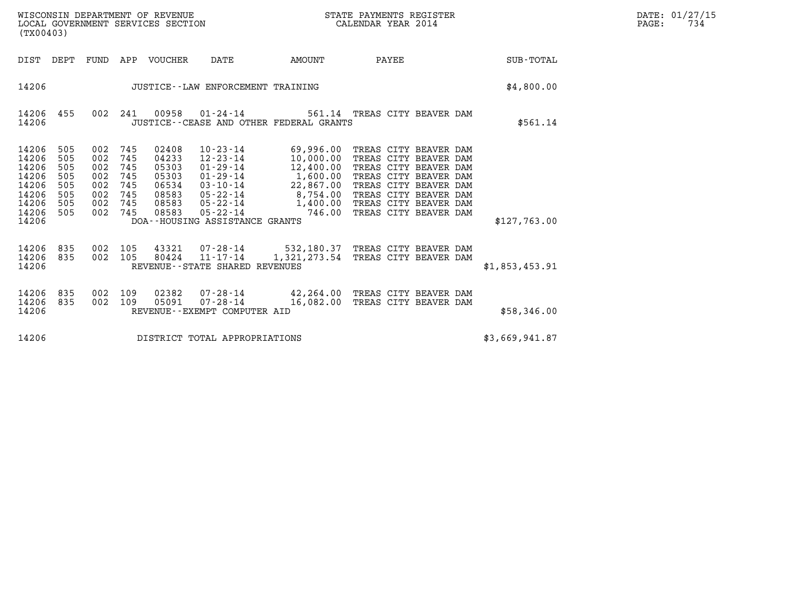| DATE: | 01/27/15 |
|-------|----------|
| PAGE: | 734      |

| WISCONSIN DEPARTMENT OF REVENUE<br>LOCAL GOVERNMENT SERVICES SECTION<br>(TX00403)                                                                                                                     |                                                                                                                                                                               | STATE PAYMENTS REGISTER<br>CALENDAR YEAR 2014                                                                                                                                                                                                                                                                                                                                                                                           |                  | DATE: 01/27/15<br>PAGE:<br>734 |
|-------------------------------------------------------------------------------------------------------------------------------------------------------------------------------------------------------|-------------------------------------------------------------------------------------------------------------------------------------------------------------------------------|-----------------------------------------------------------------------------------------------------------------------------------------------------------------------------------------------------------------------------------------------------------------------------------------------------------------------------------------------------------------------------------------------------------------------------------------|------------------|--------------------------------|
| DIST DEPT                                                                                                                                                                                             | FUND APP VOUCHER<br>DATE<br>AMOUNT                                                                                                                                            | PAYEE                                                                                                                                                                                                                                                                                                                                                                                                                                   | <b>SUB-TOTAL</b> |                                |
| 14206                                                                                                                                                                                                 | JUSTICE -- LAW ENFORCEMENT TRAINING                                                                                                                                           |                                                                                                                                                                                                                                                                                                                                                                                                                                         | \$4,800.00       |                                |
| 14206<br>455<br>14206                                                                                                                                                                                 | 002 241<br>JUSTICE -- CEASE AND OTHER FEDERAL GRANTS                                                                                                                          | 00958  01-24-14  561.14  TREAS CITY BEAVER DAM                                                                                                                                                                                                                                                                                                                                                                                          | \$561.14         |                                |
| 14206<br>505<br>002<br>14206<br>505<br>002<br>14206<br>505<br>002<br>14206<br>505<br>002<br>14206<br>505<br>002<br>14206<br>505<br>002<br>14206<br>505<br>002 745<br>14206<br>505<br>002 745<br>14206 | 745<br>02408<br>745<br>04233<br>745<br>05303<br>$01 - 29 - 14$ $1,600.00$<br>745<br>05303<br>745<br>06534<br>745<br>08583<br>08583<br>08583<br>DOA--HOUSING ASSISTANCE GRANTS | 10-23-14 69,996.00 TREAS CITY BEAVER DAM<br>12-23-14 10,000.00 TREAS CITY BEAVER DAM<br>01-29-14 12,400.00 TREAS CITY BEAVER DAM<br>TREAS CITY BEAVER DAM<br>03-10-14<br>05-22-14<br>05-22-14<br>05-22-14<br>05-22-14<br>05-22-14<br>05-22-14<br>05-22-14<br>05-22-14<br>05-22-14<br>05-22-14<br>05-22-14<br>05-22-14<br>05-22-14<br>05-22-14<br>05-22-14<br>05-22-14<br>05-22-14<br>05-22-14<br>05-22-14<br>05-22-14<br>05-22-14<br>05 | \$127,763.00     |                                |
| 14206<br>835<br>002 105<br>14206 835<br>002 105<br>14206                                                                                                                                              | REVENUE - - STATE SHARED REVENUES                                                                                                                                             | 43321  07-28-14  532,180.37  TREAS CITY BEAVER DAM<br>80424  11-17-14  1,321,273.54  TREAS CITY BEAVER DAM                                                                                                                                                                                                                                                                                                                              | \$1,853,453.91   |                                |
| 14206<br>835<br>002 109<br>14206<br>835<br>002 109<br>14206                                                                                                                                           | 02382<br>05091<br>REVENUE--EXEMPT COMPUTER AID                                                                                                                                | 07-28-14 42,264.00 TREAS CITY BEAVER DAM<br>07-28-14 16,082.00 TREAS CITY BEAVER DAM                                                                                                                                                                                                                                                                                                                                                    | \$58,346.00      |                                |
| 14206                                                                                                                                                                                                 | DISTRICT TOTAL APPROPRIATIONS                                                                                                                                                 |                                                                                                                                                                                                                                                                                                                                                                                                                                         | \$3,669,941.87   |                                |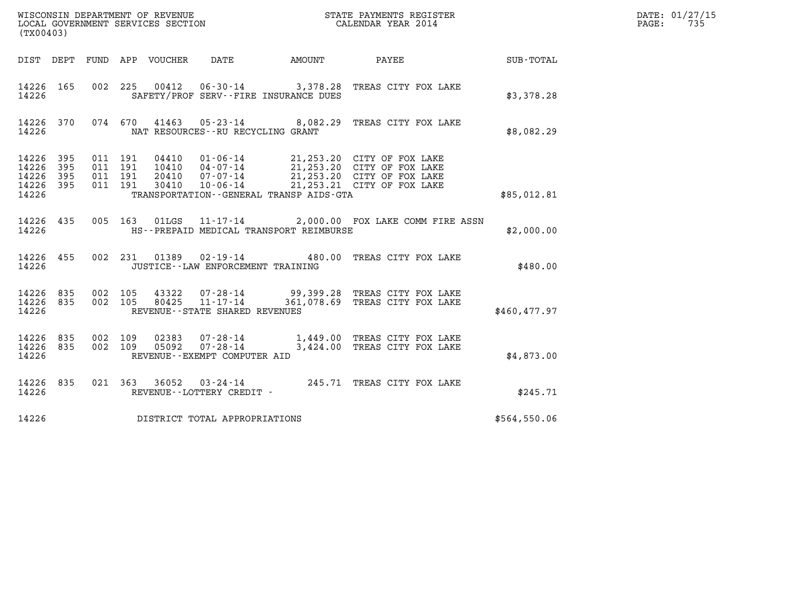|                                           | WISCONSIN DEPARTMENT OF REVENUE<br>LOCAL GOVERNMENT SERVICES SECTION<br>STATE PAYMENTS REGISTER<br>CALENDAR YEAR 2014<br>(TX00403) |                               |                          |                                 |                                                  |                                         |                                                                                                                                                                                              |              | DATE: 01/27/15<br>$\mathtt{PAGE}$ :<br>735 |
|-------------------------------------------|------------------------------------------------------------------------------------------------------------------------------------|-------------------------------|--------------------------|---------------------------------|--------------------------------------------------|-----------------------------------------|----------------------------------------------------------------------------------------------------------------------------------------------------------------------------------------------|--------------|--------------------------------------------|
|                                           |                                                                                                                                    |                               |                          | DIST DEPT FUND APP VOUCHER DATE |                                                  |                                         | AMOUNT PAYEE                                                                                                                                                                                 | SUB-TOTAL    |                                            |
| 14226 165<br>14226                        |                                                                                                                                    |                               |                          |                                 |                                                  | SAFETY/PROF SERV--FIRE INSURANCE DUES   | 002 225 00412 06-30-14 3,378.28 TREAS CITY FOX LAKE                                                                                                                                          | \$3,378.28   |                                            |
| 14226 370<br>14226                        |                                                                                                                                    |                               |                          |                                 | NAT RESOURCES--RU RECYCLING GRANT                |                                         | 074 670 41463 05-23-14 8,082.29 TREAS CITY FOX LAKE                                                                                                                                          | \$8,082.29   |                                            |
| 14226<br>14226<br>14226<br>14226<br>14226 | -395<br>395<br>395<br>-395                                                                                                         | 011 191<br>011 191<br>011 191 | 011 191                  |                                 |                                                  | TRANSPORTATION--GENERAL TRANSP AIDS-GTA | 04410  01-06-14  21,253.20  CITY OF FOX LAKE<br>10410  04-07-14  21,253.20  CITY OF FOX LAKE<br>20410  07-07-14  21,253.20  CITY OF FOX LAKE<br>30410  10-06-14  21,253.21  CITY OF FOX LAKE | \$85,012.81  |                                            |
| 14226                                     |                                                                                                                                    |                               |                          |                                 |                                                  | HS--PREPAID MEDICAL TRANSPORT REIMBURSE | 14226 435 005 163 01LGS 11-17-14 2,000.00 FOX LAKE COMM FIRE ASSN                                                                                                                            | \$2,000.00   |                                            |
| 14226                                     |                                                                                                                                    |                               |                          |                                 | JUSTICE -- LAW ENFORCEMENT TRAINING              |                                         | 14226 455 002 231 01389 02-19-14 480.00 TREAS CITY FOX LAKE                                                                                                                                  | \$480.00     |                                            |
| 14226 835<br>14226 835<br>14226           |                                                                                                                                    |                               | 002 105                  | 80425                           | $11 - 17 - 14$<br>REVENUE--STATE SHARED REVENUES |                                         | 002 105 43322 07-28-14 99,399.28 TREAS CITY FOX LAKE<br>361,078.69 TREAS CITY FOX LAKE                                                                                                       | \$460,477.97 |                                            |
| 14226 835<br>14226 835<br>14226           |                                                                                                                                    |                               | 002 109<br>002 109 05092 | 02383                           | REVENUE--EXEMPT COMPUTER AID                     |                                         | 07-28-14 1,449.00 TREAS CITY FOX LAKE<br>07-28-14 3,424.00 TREAS CITY FOX LAKE                                                                                                               | \$4,873.00   |                                            |
| 14226 835<br>14226                        |                                                                                                                                    |                               |                          |                                 | REVENUE--LOTTERY CREDIT -                        |                                         | 021 363 36052 03-24-14 245.71 TREAS CITY FOX LAKE                                                                                                                                            | \$245.71     |                                            |
| 14226                                     |                                                                                                                                    |                               |                          |                                 | DISTRICT TOTAL APPROPRIATIONS                    |                                         |                                                                                                                                                                                              | \$564,550.06 |                                            |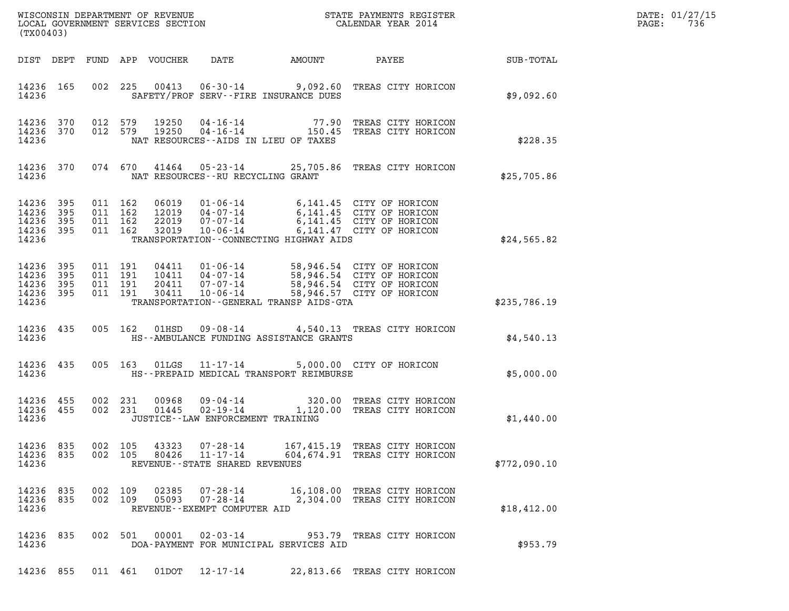| DATE: | 01/27/15 |
|-------|----------|
| PAGE: | 736      |

| (TX00403)                                                                                                                                                                                                                                                                                                                                       |              | DATE: 01/27/15<br>$\mathtt{PAGE}$ :<br>736 |
|-------------------------------------------------------------------------------------------------------------------------------------------------------------------------------------------------------------------------------------------------------------------------------------------------------------------------------------------------|--------------|--------------------------------------------|
| DATE AMOUNT<br>PAYEE<br>DIST DEPT FUND APP VOUCHER                                                                                                                                                                                                                                                                                              | SUB-TOTAL    |                                            |
| 00413  06-30-14  9,092.60  TREAS CITY HORICON<br>14236 165<br>002 225<br>SAFETY/PROF SERV--FIRE INSURANCE DUES<br>14236                                                                                                                                                                                                                         | \$9,092.60   |                                            |
| 14236 370<br>012 579<br>19250  04-16-14  77.90 TREAS CITY HORICON<br>19250  04-16-14  150.45 TREAS CITY HORICON<br>012 579<br>14236 370<br>14236<br>NAT RESOURCES--AIDS IN LIEU OF TAXES                                                                                                                                                        | \$228.35     |                                            |
| 074 670 41464 05-23-14 25,705.86 TREAS CITY HORICON<br>14236 370<br>14236<br>NAT RESOURCES--RU RECYCLING GRANT                                                                                                                                                                                                                                  | \$25,705.86  |                                            |
| 14236 395<br>011 162<br>06019 01-06-14 6,141.45 CITY OF HORICON<br>12019 04-07-14 6,141.45 CITY OF HORICON<br>22019 07-07-14 6,141.45 CITY OF HORICON<br>14236 395<br>011 162<br>14236 395<br>011 162<br>14236 395<br>011 162<br>32019<br>$10 - 06 - 14$<br>6,141.47 CITY OF HORICON<br>14236<br>TRANSPORTATION--CONNECTING HIGHWAY AIDS        | \$24,565.82  |                                            |
| 04411  01-06-14  58,946.54  CITY OF HORICON<br>10411  04-07-14  58,946.54  CITY OF HORICON<br>20411  07-07-14  58,946.54  CITY OF HORICON<br>30411  10-06-14  58,946.57  CITY OF HORICON<br>14236 395<br>011 191<br>14236<br>395<br>011 191<br>14236 395<br>011 191<br>14236 395<br>011 191<br>14236<br>TRANSPORTATION--GENERAL TRANSP AIDS-GTA | \$235,786.19 |                                            |
| 09-08-14 4,540.13 TREAS CITY HORICON<br>14236 435<br>005 162<br>01HSD<br>14236<br>HS--AMBULANCE FUNDING ASSISTANCE GRANTS                                                                                                                                                                                                                       | \$4,540.13   |                                            |
| $11 - 17 - 14$<br>14236 435<br>005 163<br>01LGS<br>5,000.00 CITY OF HORICON<br>14236<br>HS--PREPAID MEDICAL TRANSPORT REIMBURSE                                                                                                                                                                                                                 | \$5,000.00   |                                            |
| 09-04-14 320.00 TREAS CITY HORICON<br>02-19-14 1,120.00 TREAS CITY HORICON<br>14236 455<br>00968<br>002 231<br>02-19-14<br>14236 455<br>002 231<br>01445<br>14236<br>JUSTICE - - LAW ENFORCEMENT TRAINING                                                                                                                                       | \$1,440.00   |                                            |
| 07-28-14<br>14236 835<br>002 105<br>43323<br>167,415.19 TREAS CITY HORICON<br>604, 674.91 TREAS CITY HORICON<br>14236 835<br>002 105<br>80426<br>$11 - 17 - 14$<br>14236<br>REVENUE - - STATE SHARED REVENUES                                                                                                                                   | \$772,090.10 |                                            |
| 14236 835<br>002 109<br>02385<br>07-28-14<br>16,108.00 TREAS CITY HORICON<br>07-28-14<br>14236 835<br>002 109<br>05093<br>2,304.00 TREAS CITY HORICON<br>14236<br>REVENUE - - EXEMPT COMPUTER AID                                                                                                                                               | \$18,412.00  |                                            |
| 14236 835<br>002 501<br>00001  02-03-14  953.79  TREAS CITY HORICON<br>14236<br>DOA-PAYMENT FOR MUNICIPAL SERVICES AID                                                                                                                                                                                                                          | \$953.79     |                                            |
| 14236 855<br>011 461<br>01DOT<br>12-17-14<br>22,813.66 TREAS CITY HORICON                                                                                                                                                                                                                                                                       |              |                                            |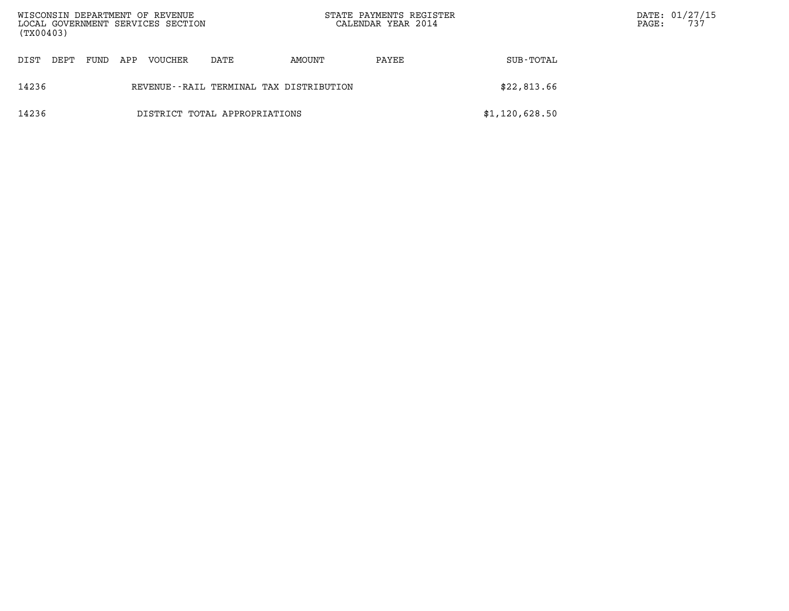| WISCONSIN DEPARTMENT OF REVENUE<br>LOCAL GOVERNMENT SERVICES SECTION<br>(TX00403) |      |      |     |                |                                         | STATE PAYMENTS REGISTER<br>CALENDAR YEAR 2014 |       | PAGE:          | DATE: 01/27/15<br>737 |  |
|-----------------------------------------------------------------------------------|------|------|-----|----------------|-----------------------------------------|-----------------------------------------------|-------|----------------|-----------------------|--|
| DIST                                                                              | DEPT | FUND | APP | <b>VOUCHER</b> | DATE                                    | AMOUNT                                        | PAYEE | SUB-TOTAL      |                       |  |
| 14236                                                                             |      |      |     |                | REVENUE--RAIL TERMINAL TAX DISTRIBUTION |                                               |       | \$22,813.66    |                       |  |
| 14236                                                                             |      |      |     |                | DISTRICT TOTAL APPROPRIATIONS           |                                               |       | \$1,120,628.50 |                       |  |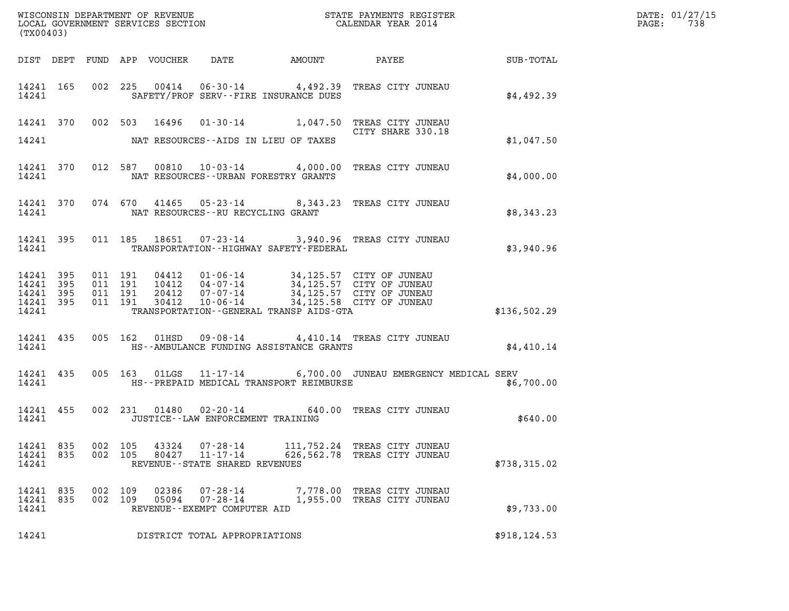| (TX00403)                       |                    |                |                                                                       |                                                      |                                                                                                                                                                                                                                                                                                                                   |              |  |
|---------------------------------|--------------------|----------------|-----------------------------------------------------------------------|------------------------------------------------------|-----------------------------------------------------------------------------------------------------------------------------------------------------------------------------------------------------------------------------------------------------------------------------------------------------------------------------------|--------------|--|
|                                 |                    |                |                                                                       |                                                      | DIST DEPT FUND APP VOUCHER DATE AMOUNT PAYEE SUB-TOTAL                                                                                                                                                                                                                                                                            |              |  |
|                                 | 14241              |                |                                                                       | SAFETY/PROF SERV--FIRE INSURANCE DUES                | 14241 165 002 225 00414 06-30-14 4,492.39 TREAS CITY JUNEAU                                                                                                                                                                                                                                                                       | \$4,492.39   |  |
|                                 |                    |                |                                                                       | 14241 NAT RESOURCES--AIDS IN LIEU OF TAXES           | 14241 370 002 503 16496 01-30-14 1,047.50 TREAS CITY JUNEAU<br>CITY SHARE 330.18                                                                                                                                                                                                                                                  | \$1,047.50   |  |
|                                 |                    |                |                                                                       | 14241 NAT RESOURCES--URBAN FORESTRY GRANTS           | 14241 370 012 587 00810 10-03-14 4,000.00 TREAS CITY JUNEAU                                                                                                                                                                                                                                                                       | \$4,000.00   |  |
|                                 |                    |                |                                                                       | 14241 MAT RESOURCES--RU RECYCLING GRANT              | 14241 370 074 670 41465 05-23-14 8,343.23 TREAS CITY JUNEAU                                                                                                                                                                                                                                                                       | \$8,343.23   |  |
|                                 |                    |                |                                                                       | 14241 TRANSPORTATION - HIGHWAY SAFETY - FEDERAL      | 14241 395 011 185 18651 07-23-14 3,940.96 TREAS CITY JUNEAU                                                                                                                                                                                                                                                                       | \$3,940.96   |  |
|                                 |                    |                |                                                                       | 14241 TRANSPORTATION--GENERAL TRANSP AIDS-GTA        | $\begin{array}{cccccccc} 14241 & 395 & 011 & 191 & 04412 & 01\cdot 06\cdot 14 & 34\,, 125\,.57 & \text{CITY OF JUNEAU} \\ 14241 & 395 & 011 & 191 & 10412 & 04\cdot 07\cdot 14 & 34\,, 125\,.57 & \text{CITY OF JUNEAU} \\ 14241 & 395 & 011 & 191 & 20412 & 07\cdot 07\cdot 14 & 34\,, 125\,.57 & \text{CITY OF JUNEAU} \\ 1424$ | \$136,502.29 |  |
|                                 |                    |                |                                                                       | 14241 <b>HS--AMBULANCE FUNDING ASSISTANCE GRANTS</b> | 14241 435 005 162 01HSD 09-08-14 4,410.14 TREAS CITY JUNEAU                                                                                                                                                                                                                                                                       | \$4,410.14   |  |
|                                 |                    |                |                                                                       |                                                      | 14241 435 005 163 01LGS 11-17-14 6,700.00 JUNEAU EMERGENCY MEDICAL SERV<br>14241 MS--PREPAID MEDICAL TRANSPORT REIMBURSE                                                                                                                                                                                                          | \$6,700.00   |  |
|                                 |                    |                | 14241 JUSTICE - LAW ENFORCEMENT TRAINING                              |                                                      | 14241 455 002 231 01480 02-20-14 640.00 TREAS CITY JUNEAU                                                                                                                                                                                                                                                                         | \$640.00     |  |
| 14241 835<br>14241 835<br>14241 | 002 105<br>002 105 | 43324<br>80427 | $07 - 28 - 14$<br>$11 - 17 - 14$<br>REVENUE - - STATE SHARED REVENUES |                                                      | 111,752.24 TREAS CITY JUNEAU<br>626,562.78 TREAS CITY JUNEAU                                                                                                                                                                                                                                                                      | \$738,315.02 |  |
| 14241 835<br>14241 835<br>14241 | 002 109<br>002 109 | 02386<br>05094 | 07-28-14<br>$07 - 28 - 14$<br>REVENUE--EXEMPT COMPUTER AID            |                                                      | 7,778.00 TREAS CITY JUNEAU<br>1,955.00 TREAS CITY JUNEAU                                                                                                                                                                                                                                                                          | \$9,733.00   |  |
| 14241                           |                    |                | DISTRICT TOTAL APPROPRIATIONS                                         |                                                      |                                                                                                                                                                                                                                                                                                                                   | \$918,124.53 |  |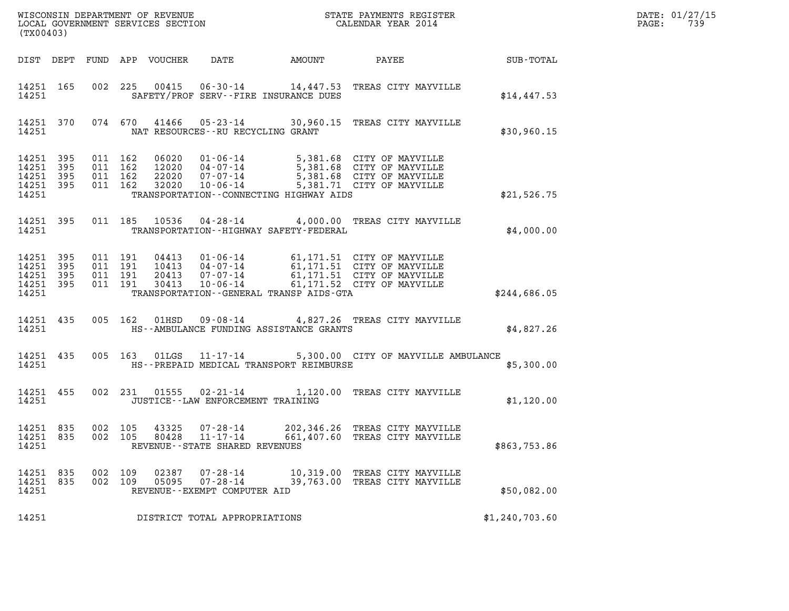| DATE: | 01/27/15 |
|-------|----------|
| PAGE: | 739      |

| (TX00403)                                                 |     |                                          |     |                            |                                                                            |                                                                                                                                                                                          | DATE: 01/27/15<br>739<br>$\mathtt{PAGE}$ : |  |
|-----------------------------------------------------------|-----|------------------------------------------|-----|----------------------------|----------------------------------------------------------------------------|------------------------------------------------------------------------------------------------------------------------------------------------------------------------------------------|--------------------------------------------|--|
|                                                           |     |                                          |     | DIST DEPT FUND APP VOUCHER | DATE                                                                       | AMOUNT PAYEE SUB-TOTAL                                                                                                                                                                   |                                            |  |
| 14251 165<br>14251                                        |     |                                          |     |                            | SAFETY/PROF SERV--FIRE INSURANCE DUES                                      | 002 225 00415 06-30-14 14,447.53 TREAS CITY MAYVILLE                                                                                                                                     | \$14,447.53                                |  |
| 14251 370<br>14251                                        |     |                                          |     |                            | NAT RESOURCES--RU RECYCLING GRANT                                          | 074 670 41466 05-23-14 30,960.15 TREAS CITY MAYVILLE                                                                                                                                     | \$30,960.15                                |  |
| 14251 395<br>14251<br>14251 395<br>14251 395<br>14251     | 395 | 011 162<br>011 162<br>011 162<br>011 162 |     |                            | TRANSPORTATION--CONNECTING HIGHWAY AIDS                                    | 06020  01-06-14  5,381.68  CITY OF MAYVILLE<br>12020  04-07-14  5,381.68  CITY OF MAYVILLE<br>22020  07-07-14  5,381.68  CITY OF MAYVILLE<br>32020  10-06-14  5,381.71  CITY OF MAYVILLE | \$21,526.75                                |  |
| 14251 395<br>14251                                        |     |                                          |     |                            | TRANSPORTATION - - HIGHWAY SAFETY - FEDERAL                                | 011 185 10536 04-28-14 4,000.00 TREAS CITY MAYVILLE                                                                                                                                      | \$4,000.00                                 |  |
| 14251 395<br>14251 395<br>14251 395<br>14251 395<br>14251 |     | 011 191<br>011 191<br>011 191<br>011 191 |     | 30413                      | TRANSPORTATION--GENERAL TRANSP AIDS-GTA                                    | 04413 01-06-14 61,171.51 CITY OF MAYVILLE<br>10413 04-07-14 61,171.51 CITY OF MAYVILLE<br>20413 07-07-14 61,171.51 CITY OF MAYVILLE<br>10-06-14 61,171.52 CITY OF MAYVILLE               | \$244,686.05                               |  |
| 14251 435<br>14251                                        |     |                                          |     |                            | HS--AMBULANCE FUNDING ASSISTANCE GRANTS                                    | 005 162 01HSD 09-08-14 4,827.26 TREAS CITY MAYVILLE                                                                                                                                      | \$4,827.26                                 |  |
| 14251 435<br>14251                                        |     |                                          |     |                            | HS--PREPAID MEDICAL TRANSPORT REIMBURSE                                    | 005 163 01LGS 11-17-14 5,300.00 CITY OF MAYVILLE AMBULANCE                                                                                                                               | \$5,300.00                                 |  |
| 14251 455<br>14251                                        |     |                                          |     |                            | JUSTICE--LAW ENFORCEMENT TRAINING                                          | 002 231 01555 02-21-14 1,120.00 TREAS CITY MAYVILLE                                                                                                                                      | \$1,120.00                                 |  |
| 14251 835<br>14251 835<br>14251                           |     | 002 105                                  |     |                            | 002 105 43325 07-28-14<br>80428 11-17-14<br>REVENUE--STATE SHARED REVENUES | 202,346.26 TREAS CITY MAYVILLE<br>661,407.60 TREAS CITY MAYVILLE                                                                                                                         | \$863,753.86                               |  |
| 14251 835<br>14251 835<br>14251                           |     | 002<br>002 109                           | 109 | 02387<br>05095             | $07 - 28 - 14$<br>07-28-14<br>REVENUE - - EXEMPT COMPUTER AID              | 10,319.00 TREAS CITY MAYVILLE<br>39,763.00 TREAS CITY MAYVILLE                                                                                                                           | \$50,082.00                                |  |
| 14251                                                     |     |                                          |     |                            | DISTRICT TOTAL APPROPRIATIONS                                              |                                                                                                                                                                                          | \$1,240,703.60                             |  |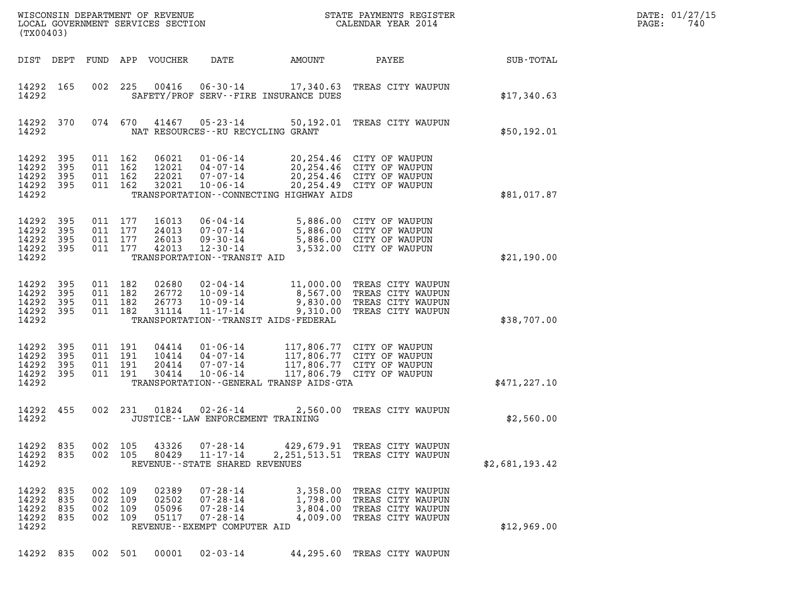|       | DATE: 01/27/15 |
|-------|----------------|
| PAGE: | 740            |

| (TX00403)                                     |                          |                           |                                      | WISCONSIN DEPARTMENT OF REVENUE<br>LOCAL GOVERNMENT SERVICES SECTION |                                                                                                         |                                                       | STATE PAYMENTS REGISTER<br>CALENDAR YEAR 2014                                                                    |                | DATE: 01/27/15<br>PAGE:<br>740 |
|-----------------------------------------------|--------------------------|---------------------------|--------------------------------------|----------------------------------------------------------------------|---------------------------------------------------------------------------------------------------------|-------------------------------------------------------|------------------------------------------------------------------------------------------------------------------|----------------|--------------------------------|
| DIST DEPT                                     |                          | FUND                      |                                      | APP VOUCHER                                                          | DATE                                                                                                    | AMOUNT                                                | PAYEE                                                                                                            | SUB-TOTAL      |                                |
| 14292 165<br>14292                            |                          | 002                       | 225                                  | 00416                                                                | $06 - 30 - 14$                                                                                          | SAFETY/PROF SERV--FIRE INSURANCE DUES                 | 17,340.63 TREAS CITY WAUPUN                                                                                      | \$17,340.63    |                                |
| 14292 370<br>14292                            |                          |                           | 074 670                              | 41467                                                                | $05 - 23 - 14$<br>NAT RESOURCES - - RU RECYCLING GRANT                                                  |                                                       | 50,192.01 TREAS CITY WAUPUN                                                                                      | \$50,192.01    |                                |
| 14292<br>14292<br>14292<br>14292<br>14292     | 395<br>395<br>395<br>395 | 011                       | 011 162<br>162<br>011 162<br>011 162 | 06021<br>12021<br>22021<br>32021                                     | $01 - 06 - 14$<br>$04 - 07 - 14$<br>$07 - 07 - 14$<br>$10 - 06 - 14$                                    | TRANSPORTATION - - CONNECTING HIGHWAY AIDS            | 20,254.46 CITY OF WAUPUN<br>20,254.46 CITY OF WAUPUN<br>20,254.46 CITY OF WAUPUN<br>20,254.49 CITY OF WAUPUN     | \$81,017.87    |                                |
| 14292<br>14292<br>14292<br>14292 395<br>14292 | 395<br>395<br>395        | 011<br>011<br>011 177     | 011 177<br>177<br>177                | 16013<br>24013<br>26013<br>42013                                     | $06 - 04 - 14$<br>$07 - 07 - 14$<br>$09 - 30 - 14$<br>$12 - 30 - 14$<br>TRANSPORTATION - - TRANSIT AID  | 5,886.00<br>5,886.00<br>3,532.00                      | 5,886.00 CITY OF WAUPUN<br>CITY OF WAUPUN<br>CITY OF WAUPUN<br>CITY OF WAUPUN                                    | \$21,190.00    |                                |
| 14292<br>14292<br>14292<br>14292 395<br>14292 | 395<br>395<br>395        | 011<br>011 182<br>011 182 | 011 182<br>182                       | 02680<br>26772<br>26773<br>31114                                     | 02-04-14<br>$10 - 09 - 14$<br>$10 - 09 - 14$<br>$11 - 17 - 14$                                          | 9,310.00<br>TRANSPORTATION - - TRANSIT AIDS - FEDERAL | 11,000.00 TREAS CITY WAUPUN<br>8,567.00 TREAS CITY WAUPUN<br>9,830.00 TREAS CITY WAUPUN<br>TREAS CITY WAUPUN     | \$38,707.00    |                                |
| 14292<br>14292<br>14292<br>14292<br>14292     | 395<br>395<br>395<br>395 | 011                       | 011 191<br>011 191<br>191<br>011 191 | 04414<br>10414<br>20414<br>30414                                     | $01 - 06 - 14$<br>04-07-14<br>$07 - 07 - 14$<br>$10 - 06 - 14$                                          | TRANSPORTATION - - GENERAL TRANSP AIDS - GTA          | 117,806.77 CITY OF WAUPUN<br>117,806.77 CITY OF WAUPUN<br>117,806.77 CITY OF WAUPUN<br>117,806.79 CITY OF WAUPUN | \$471, 227.10  |                                |
| 14292<br>14292                                | 455                      | 002                       | 231                                  | 01824                                                                | $02 - 26 - 14$<br>JUSTICE--LAW ENFORCEMENT TRAINING                                                     | 2,560.00                                              | TREAS CITY WAUPUN                                                                                                | \$2,560.00     |                                |
| 14292 835<br>14292 835<br>14292               |                          | 002 105                   | 002 105                              | 43326<br>80429                                                       | $07 - 28 - 14$<br>$11 - 17 - 14$<br>REVENUE - - STATE SHARED REVENUES                                   |                                                       | 429,679.91 TREAS CITY WAUPUN<br>2, 251, 513.51 TREAS CITY WAUPUN                                                 | \$2,681,193.42 |                                |
| 14292<br>14292<br>14292<br>14292<br>14292     | 835<br>835<br>835<br>835 | 002<br>002<br>002<br>002  | 109<br>109<br>109<br>109             | 02389<br>02502<br>05096<br>05117                                     | $07 - 28 - 14$<br>$07 - 28 - 14$<br>$07 - 28 - 14$<br>$07 - 28 - 14$<br>REVENUE - - EXEMPT COMPUTER AID | 3,358.00<br>1,798.00<br>3,804.00<br>4,009.00          | TREAS CITY WAUPUN<br>TREAS CITY WAUPUN<br>TREAS CITY WAUPUN<br>TREAS CITY WAUPUN                                 | \$12,969.00    |                                |
| 14292 835                                     |                          |                           | 002 501                              | 00001                                                                | $02 - 03 - 14$                                                                                          |                                                       | 44,295.60 TREAS CITY WAUPUN                                                                                      |                |                                |